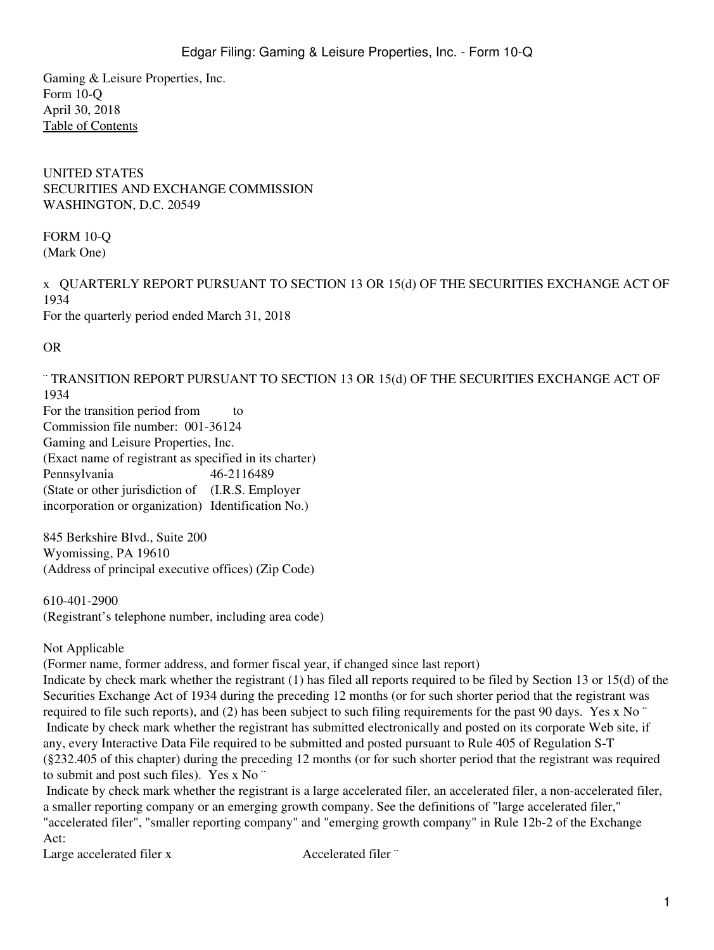Gaming & Leisure Properties, Inc. Form 10-Q April 30, 2018 [Table of Contents](#page-5-0)

UNITED STATES SECURITIES AND EXCHANGE COMMISSION WASHINGTON, D.C. 20549

FORM 10-Q (Mark One)

x QUARTERLY REPORT PURSUANT TO SECTION 13 OR 15(d) OF THE SECURITIES EXCHANGE ACT OF 1934 For the quarterly period ended March 31, 2018

OR

¨ TRANSITION REPORT PURSUANT TO SECTION 13 OR 15(d) OF THE SECURITIES EXCHANGE ACT OF 1934 For the transition period from to Commission file number: 001-36124

Gaming and Leisure Properties, Inc.

(Exact name of registrant as specified in its charter)

Pennsylvania 46-2116489 (State or other jurisdiction of (I.R.S. Employer

incorporation or organization) Identification No.)

845 Berkshire Blvd., Suite 200 Wyomissing, PA 19610 (Address of principal executive offices) (Zip Code)

610-401-2900 (Registrant's telephone number, including area code)

Not Applicable

(Former name, former address, and former fiscal year, if changed since last report)

Indicate by check mark whether the registrant (1) has filed all reports required to be filed by Section 13 or 15(d) of the Securities Exchange Act of 1934 during the preceding 12 months (or for such shorter period that the registrant was required to file such reports), and (2) has been subject to such filing requirements for the past 90 days. Yes x No ¨ Indicate by check mark whether the registrant has submitted electronically and posted on its corporate Web site, if any, every Interactive Data File required to be submitted and posted pursuant to Rule 405 of Regulation S-T (§232.405 of this chapter) during the preceding 12 months (or for such shorter period that the registrant was required to submit and post such files). Yes x No ¨

 Indicate by check mark whether the registrant is a large accelerated filer, an accelerated filer, a non-accelerated filer, a smaller reporting company or an emerging growth company. See the definitions of "large accelerated filer," "accelerated filer", "smaller reporting company" and "emerging growth company" in Rule 12b-2 of the Exchange Act:

Large accelerated filer x Accelerated filer <sup>"</sup>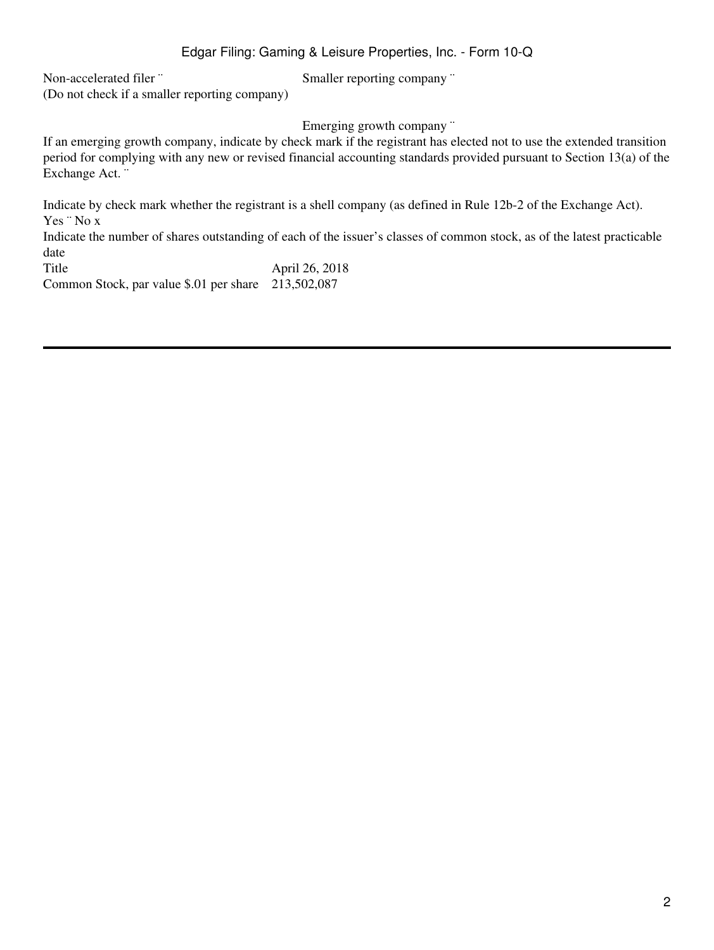Non-accelerated filer "Smaller reporting company " (Do not check if a smaller reporting company)

Emerging growth company "

If an emerging growth company, indicate by check mark if the registrant has elected not to use the extended transition period for complying with any new or revised financial accounting standards provided pursuant to Section 13(a) of the Exchange Act. ¨

Indicate by check mark whether the registrant is a shell company (as defined in Rule 12b-2 of the Exchange Act). Yes ¨ No x Indicate the number of shares outstanding of each of the issuer's classes of common stock, as of the latest practicable date Title April 26, 2018

Common Stock, par value \$.01 per share 213,502,087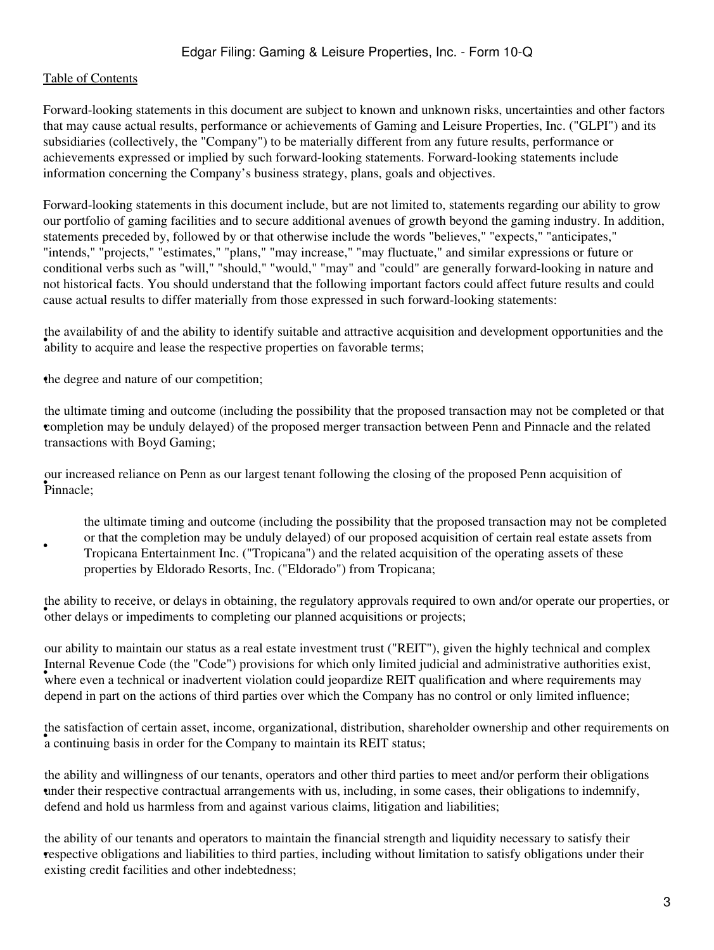•

Forward-looking statements in this document are subject to known and unknown risks, uncertainties and other factors that may cause actual results, performance or achievements of Gaming and Leisure Properties, Inc. ("GLPI") and its subsidiaries (collectively, the "Company") to be materially different from any future results, performance or achievements expressed or implied by such forward-looking statements. Forward-looking statements include information concerning the Company's business strategy, plans, goals and objectives.

Forward-looking statements in this document include, but are not limited to, statements regarding our ability to grow our portfolio of gaming facilities and to secure additional avenues of growth beyond the gaming industry. In addition, statements preceded by, followed by or that otherwise include the words "believes," "expects," "anticipates," "intends," "projects," "estimates," "plans," "may increase," "may fluctuate," and similar expressions or future or conditional verbs such as "will," "should," "would," "may" and "could" are generally forward-looking in nature and not historical facts. You should understand that the following important factors could affect future results and could cause actual results to differ materially from those expressed in such forward-looking statements:

ability to acquire and lease the respective properties on favorable terms; the availability of and the ability to identify suitable and attractive acquisition and development opportunities and the

•the degree and nature of our competition;

• completion may be unduly delayed) of the proposed merger transaction between Penn and Pinnacle and the related the ultimate timing and outcome (including the possibility that the proposed transaction may not be completed or that transactions with Boyd Gaming;

• Pinnacle; our increased reliance on Penn as our largest tenant following the closing of the proposed Penn acquisition of

the ultimate timing and outcome (including the possibility that the proposed transaction may not be completed or that the completion may be unduly delayed) of our proposed acquisition of certain real estate assets from Tropicana Entertainment Inc. ("Tropicana") and the related acquisition of the operating assets of these properties by Eldorado Resorts, Inc. ("Eldorado") from Tropicana;

of the ability to receive, or delays in obtaining, the regulatory approvals required to other delays or impediments to completing our planned acquisitions or projects; the ability to receive, or delays in obtaining, the regulatory approvals required to own and/or operate our properties, or

where even a technical or inadvertent violation could jeopardize REIT qualification and where requirements may<br>where even a technical or inadvertent violation could jeopardize REIT qualification and where requirements may our ability to maintain our status as a real estate investment trust ("REIT"), given the highly technical and complex Internal Revenue Code (the "Code") provisions for which only limited judicial and administrative authorities exist, depend in part on the actions of third parties over which the Company has no control or only limited influence;

a continuing basis in order for the Company to maintain its REIT status; the satisfaction of certain asset, income, organizational, distribution, shareholder ownership and other requirements on

• under their respective contractual arrangements with us, including, in some cases, their obligations to indemnify, the ability and willingness of our tenants, operators and other third parties to meet and/or perform their obligations defend and hold us harmless from and against various claims, litigation and liabilities;

• respective obligations and liabilities to third parties, including without limitation to satisfy obligations under their the ability of our tenants and operators to maintain the financial strength and liquidity necessary to satisfy their existing credit facilities and other indebtedness;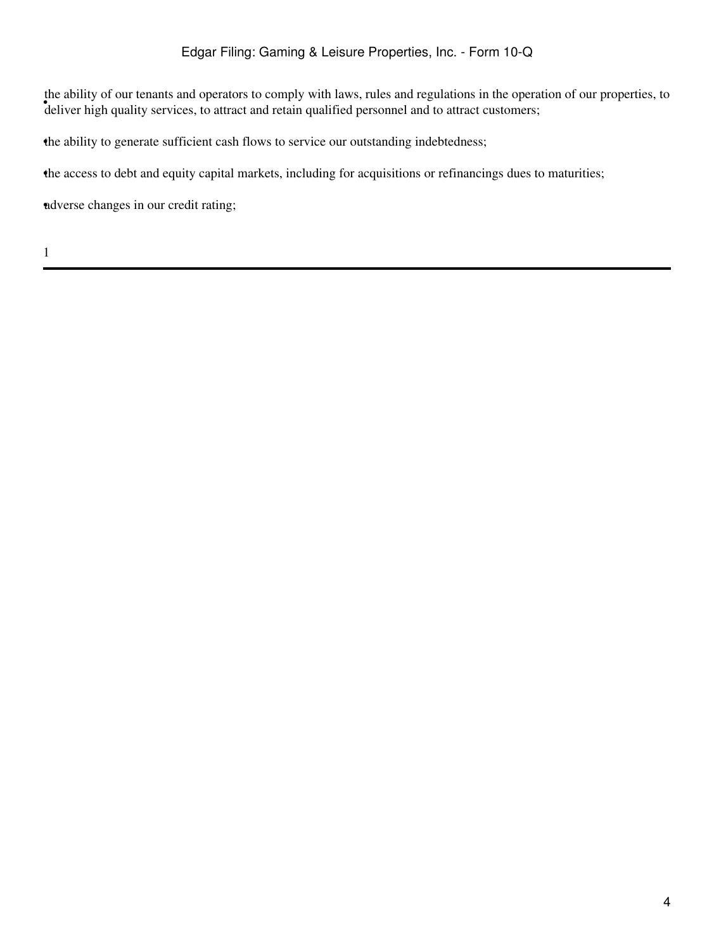deliver high quality services, to attract and retain qualified personnel and to attract customers; the ability of our tenants and operators to comply with laws, rules and regulations in the operation of our properties, to

•the ability to generate sufficient cash flows to service our outstanding indebtedness;

•the access to debt and equity capital markets, including for acquisitions or refinancings dues to maturities;

•adverse changes in our credit rating;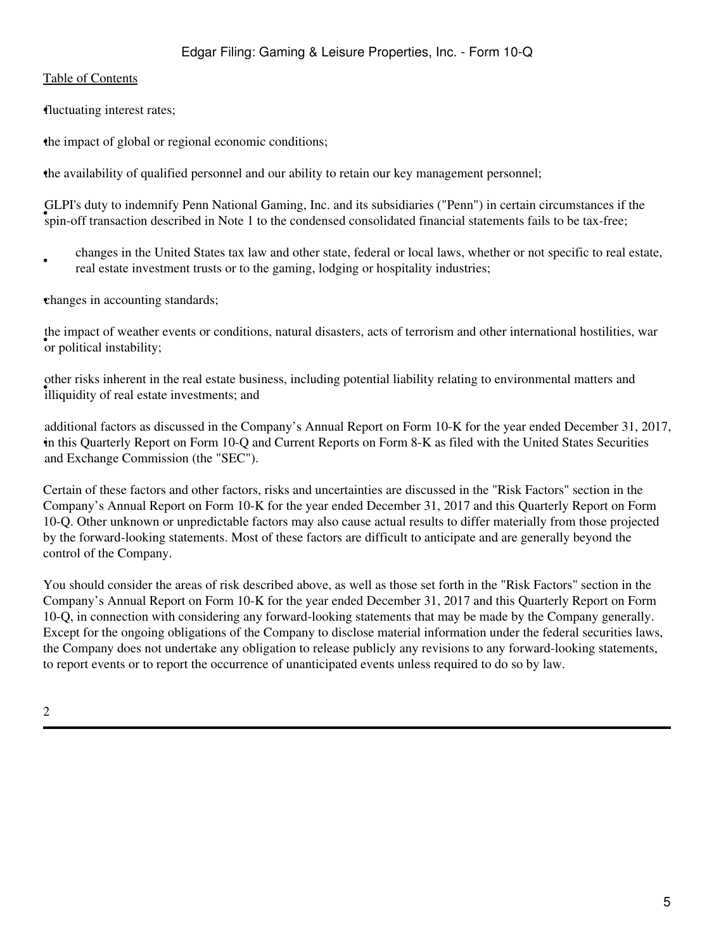•fluctuating interest rates;

•the impact of global or regional economic conditions;

•the availability of qualified personnel and our ability to retain our key management personnel;

with a state of transaction described in Note 1 to the condensed consolidated financial statements fails to be tax-free; GLPI's duty to indemnify Penn National Gaming, Inc. and its subsidiaries ("Penn") in certain circumstances if the

• changes in the United States tax law and other state, federal or local laws, whether or not specific to real estate, real estate investment trusts or to the gaming, lodging or hospitality industries;

•changes in accounting standards;

• the impact of weather<br>or political instability; the impact of weather events or conditions, natural disasters, acts of terrorism and other international hostilities, war

ether risks inherent in the real estate bush other risks inherent in the real estate business, including potential liability relating to environmental matters and

• in this Quarterly Report on Form 10-Q and Current Reports on Form 8-K as filed with the United States Securities additional factors as discussed in the Company's Annual Report on Form 10-K for the year ended December 31, 2017, and Exchange Commission (the "SEC").

Certain of these factors and other factors, risks and uncertainties are discussed in the "Risk Factors" section in the Company's Annual Report on Form 10-K for the year ended December 31, 2017 and this Quarterly Report on Form 10-Q. Other unknown or unpredictable factors may also cause actual results to differ materially from those projected by the forward-looking statements. Most of these factors are difficult to anticipate and are generally beyond the control of the Company.

You should consider the areas of risk described above, as well as those set forth in the "Risk Factors" section in the Company's Annual Report on Form 10-K for the year ended December 31, 2017 and this Quarterly Report on Form 10-Q, in connection with considering any forward-looking statements that may be made by the Company generally. Except for the ongoing obligations of the Company to disclose material information under the federal securities laws, the Company does not undertake any obligation to release publicly any revisions to any forward-looking statements, to report events or to report the occurrence of unanticipated events unless required to do so by law.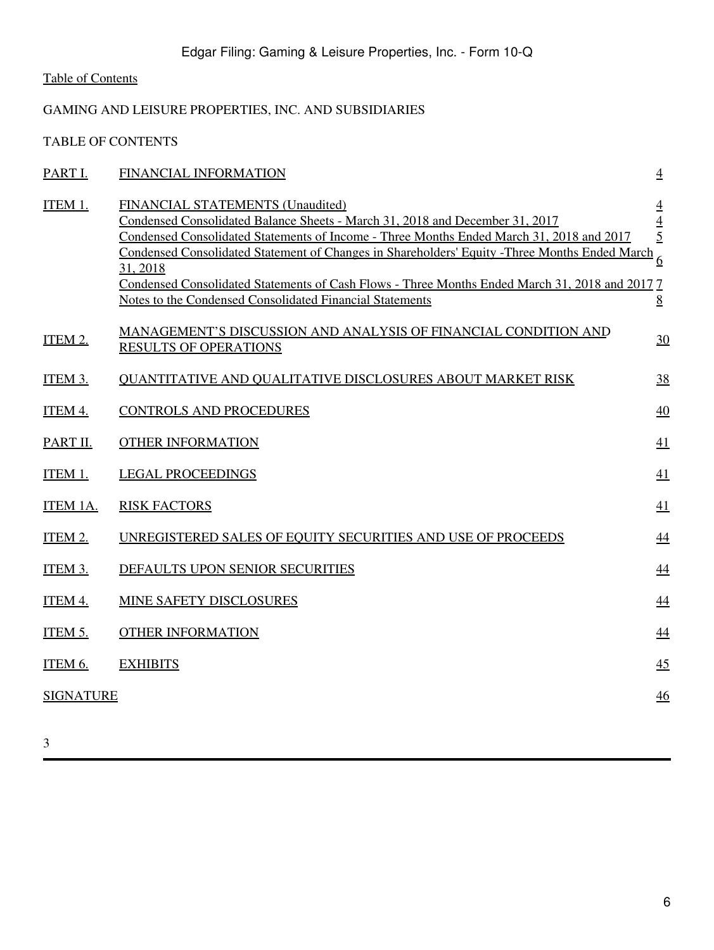# <span id="page-5-0"></span>GAMING AND LEISURE PROPERTIES, INC. AND SUBSIDIARIES

TABLE OF CONTENTS

| PART I.          | FINANCIAL INFORMATION                                                                                                                                                                                                                                                                                                                                                                                                                                                                    | $\overline{4}$                                        |
|------------------|------------------------------------------------------------------------------------------------------------------------------------------------------------------------------------------------------------------------------------------------------------------------------------------------------------------------------------------------------------------------------------------------------------------------------------------------------------------------------------------|-------------------------------------------------------|
| ITEM 1.          | FINANCIAL STATEMENTS (Unaudited)<br>Condensed Consolidated Balance Sheets - March 31, 2018 and December 31, 2017<br>Condensed Consolidated Statements of Income - Three Months Ended March 31, 2018 and 2017<br>Condensed Consolidated Statement of Changes in Shareholders' Equity - Three Months Ended March<br>31, 2018<br>Condensed Consolidated Statements of Cash Flows - Three Months Ended March 31, 2018 and 2017 7<br>Notes to the Condensed Consolidated Financial Statements | $\overline{4}$<br>$rac{4}{5}$<br>6<br>$8\overline{8}$ |
| ITEM 2.          | MANAGEMENT'S DISCUSSION AND ANALYSIS OF FINANCIAL CONDITION AND<br><b>RESULTS OF OPERATIONS</b>                                                                                                                                                                                                                                                                                                                                                                                          | 30                                                    |
| ITEM 3.          | <b>OUANTITATIVE AND OUALITATIVE DISCLOSURES ABOUT MARKET RISK</b>                                                                                                                                                                                                                                                                                                                                                                                                                        | 38                                                    |
| ITEM 4.          | <b>CONTROLS AND PROCEDURES</b>                                                                                                                                                                                                                                                                                                                                                                                                                                                           | 40                                                    |
| PART II.         | <b>OTHER INFORMATION</b>                                                                                                                                                                                                                                                                                                                                                                                                                                                                 | 41                                                    |
| ITEM 1.          | <b>LEGAL PROCEEDINGS</b>                                                                                                                                                                                                                                                                                                                                                                                                                                                                 | 41                                                    |
| ITEM 1A.         | <b>RISK FACTORS</b>                                                                                                                                                                                                                                                                                                                                                                                                                                                                      | 41                                                    |
| ITEM 2.          | UNREGISTERED SALES OF EQUITY SECURITIES AND USE OF PROCEEDS                                                                                                                                                                                                                                                                                                                                                                                                                              | 44                                                    |
| ITEM 3.          | DEFAULTS UPON SENIOR SECURITIES                                                                                                                                                                                                                                                                                                                                                                                                                                                          | $\overline{44}$                                       |
| ITEM 4.          | <b>MINE SAFETY DISCLOSURES</b>                                                                                                                                                                                                                                                                                                                                                                                                                                                           | 44                                                    |
| <b>ITEM 5.</b>   | <b>OTHER INFORMATION</b>                                                                                                                                                                                                                                                                                                                                                                                                                                                                 | 44                                                    |
| ITEM 6.          | <b>EXHIBITS</b>                                                                                                                                                                                                                                                                                                                                                                                                                                                                          | 45                                                    |
| <b>SIGNATURE</b> |                                                                                                                                                                                                                                                                                                                                                                                                                                                                                          | 46                                                    |
|                  |                                                                                                                                                                                                                                                                                                                                                                                                                                                                                          |                                                       |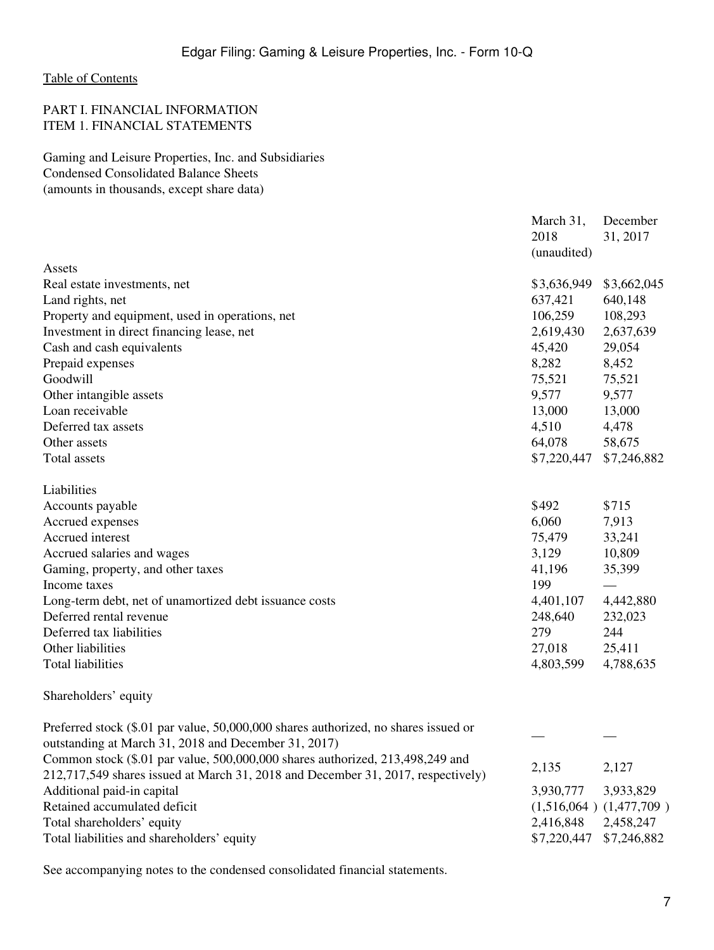## <span id="page-6-1"></span><span id="page-6-0"></span>PART I. FINANCIAL INFORMATION ITEM 1. FINANCIAL STATEMENTS

<span id="page-6-2"></span>Gaming and Leisure Properties, Inc. and Subsidiaries Condensed Consolidated Balance Sheets (amounts in thousands, except share data)

|                                                                                     | March 31,<br>2018<br>(unaudited) | December<br>31, 2017 |
|-------------------------------------------------------------------------------------|----------------------------------|----------------------|
| Assets<br>Real estate investments, net                                              | \$3,636,949                      | \$3,662,045          |
| Land rights, net                                                                    | 637,421                          | 640,148              |
| Property and equipment, used in operations, net                                     | 106,259                          | 108,293              |
| Investment in direct financing lease, net                                           | 2,619,430                        | 2,637,639            |
| Cash and cash equivalents                                                           | 45,420                           | 29,054               |
| Prepaid expenses                                                                    | 8,282                            | 8,452                |
| Goodwill                                                                            | 75,521                           | 75,521               |
| Other intangible assets                                                             | 9,577                            | 9,577                |
| Loan receivable                                                                     | 13,000                           | 13,000               |
| Deferred tax assets                                                                 | 4,510                            | 4,478                |
| Other assets                                                                        | 64,078                           | 58,675               |
| <b>Total assets</b>                                                                 | \$7,220,447                      | \$7,246,882          |
| Liabilities                                                                         |                                  |                      |
| Accounts payable                                                                    | \$492                            | \$715                |
| Accrued expenses                                                                    | 6,060                            | 7,913                |
| Accrued interest                                                                    | 75,479                           | 33,241               |
| Accrued salaries and wages                                                          | 3,129                            | 10,809               |
| Gaming, property, and other taxes                                                   | 41,196                           | 35,399               |
| Income taxes                                                                        | 199                              |                      |
| Long-term debt, net of unamortized debt issuance costs                              | 4,401,107                        | 4,442,880            |
| Deferred rental revenue                                                             | 248,640                          | 232,023              |
| Deferred tax liabilities                                                            | 279                              | 244                  |
| Other liabilities                                                                   | 27,018                           | 25,411               |
| <b>Total liabilities</b>                                                            | 4,803,599                        | 4,788,635            |
| Shareholders' equity                                                                |                                  |                      |
| Preferred stock (\$.01 par value, 50,000,000 shares authorized, no shares issued or |                                  |                      |
| outstanding at March 31, 2018 and December 31, 2017)                                |                                  |                      |
| Common stock (\$.01 par value, 500,000,000 shares authorized, 213,498,249 and       | 2,135                            | 2,127                |
| 212,717,549 shares issued at March 31, 2018 and December 31, 2017, respectively)    |                                  |                      |
| Additional paid-in capital                                                          | 3,930,777                        | 3,933,829            |
| Retained accumulated deficit                                                        | $(1,516,064)$ $(1,477,709)$      |                      |
| Total shareholders' equity                                                          | 2,416,848                        | 2,458,247            |
| Total liabilities and shareholders' equity                                          | \$7,220,447                      | \$7,246,882          |
|                                                                                     |                                  |                      |

See accompanying notes to the condensed consolidated financial statements.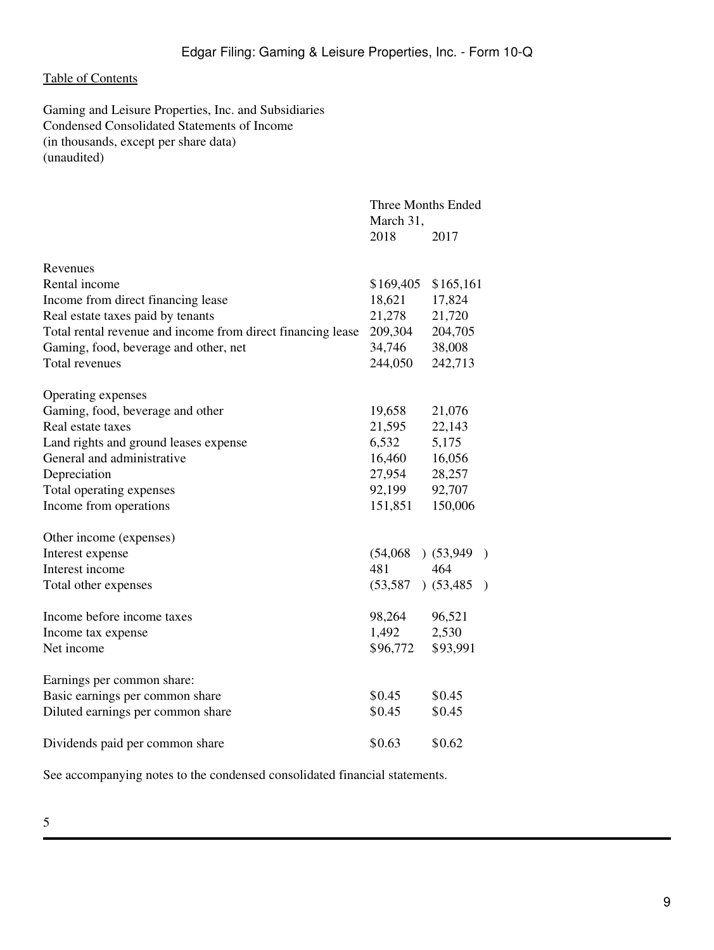<span id="page-8-0"></span>Gaming and Leisure Properties, Inc. and Subsidiaries Condensed Consolidated Statements of Income (in thousands, except per share data) (unaudited)

|                                                             | Three Months Ended<br>March 31, |           |         |
|-------------------------------------------------------------|---------------------------------|-----------|---------|
|                                                             | 2018                            | 2017      |         |
| Revenues                                                    |                                 |           |         |
| Rental income                                               | \$169,405                       | \$165,161 |         |
| Income from direct financing lease                          | 18,621                          | 17,824    |         |
| Real estate taxes paid by tenants                           | 21,278                          | 21,720    |         |
| Total rental revenue and income from direct financing lease | 209,304                         | 204,705   |         |
| Gaming, food, beverage and other, net                       | 34,746                          | 38,008    |         |
| <b>Total revenues</b>                                       | 244,050                         | 242,713   |         |
| Operating expenses                                          |                                 |           |         |
| Gaming, food, beverage and other                            | 19,658                          | 21,076    |         |
| Real estate taxes                                           | 21,595                          | 22,143    |         |
| Land rights and ground leases expense                       | 6,532                           | 5,175     |         |
| General and administrative                                  | 16,460                          | 16,056    |         |
| Depreciation                                                | 27,954                          | 28,257    |         |
| Total operating expenses                                    | 92,199                          | 92,707    |         |
| Income from operations                                      | 151,851                         | 150,006   |         |
| Other income (expenses)                                     |                                 |           |         |
| Interest expense                                            | (54,068)                        | (53,949)  |         |
| Interest income                                             | 481                             | 464       |         |
| Total other expenses                                        | (53, 587)                       | (53, 485) | $\big)$ |
| Income before income taxes                                  | 98,264                          | 96,521    |         |
| Income tax expense                                          | 1,492                           | 2,530     |         |
| Net income                                                  | \$96,772                        | \$93,991  |         |
| Earnings per common share:                                  |                                 |           |         |
| Basic earnings per common share                             | \$0.45                          | \$0.45    |         |
| Diluted earnings per common share                           | \$0.45                          | \$0.45    |         |
| Dividends paid per common share                             | \$0.63                          | \$0.62    |         |

See accompanying notes to the condensed consolidated financial statements.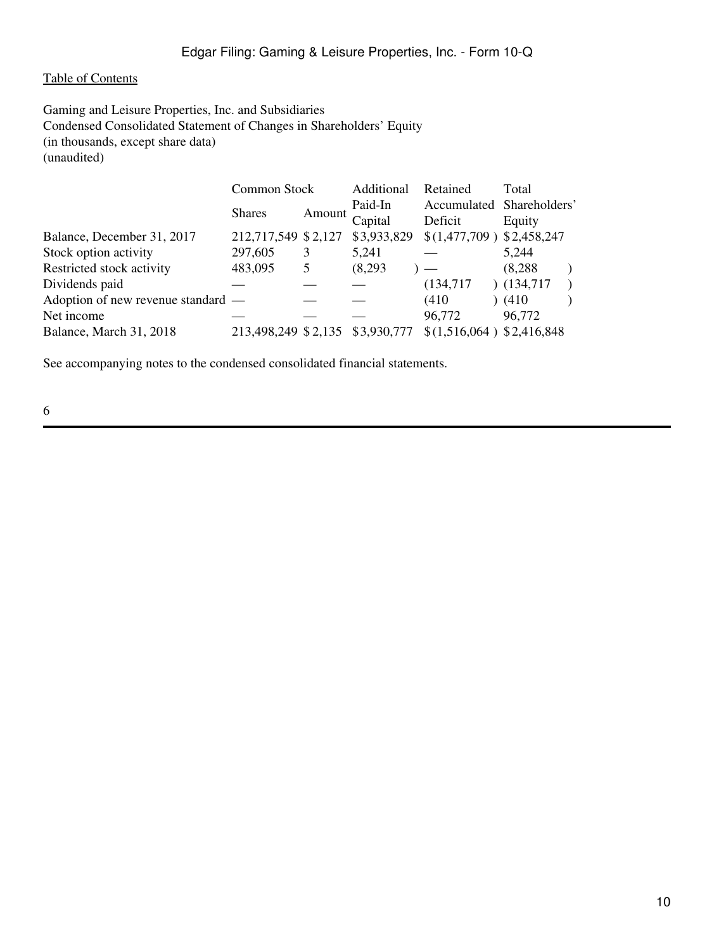<span id="page-9-0"></span>Gaming and Leisure Properties, Inc. and Subsidiaries Condensed Consolidated Statement of Changes in Shareholders' Equity (in thousands, except share data) (unaudited)

|                                    |               | Additional                                                           | Retained  | Total                                                                                             |
|------------------------------------|---------------|----------------------------------------------------------------------|-----------|---------------------------------------------------------------------------------------------------|
|                                    |               | Paid-In                                                              |           |                                                                                                   |
|                                    |               | Capital                                                              | Deficit   | Equity                                                                                            |
|                                    |               | \$3,933,829                                                          |           |                                                                                                   |
| 297,605                            |               | 5,241                                                                |           | 5,244                                                                                             |
| 483,095                            | 5             | (8,293)                                                              |           | (8,288)                                                                                           |
|                                    |               |                                                                      | (134,717) | (134,717)                                                                                         |
| Adoption of new revenue standard — |               |                                                                      | (410)     | (410)                                                                                             |
|                                    |               |                                                                      |           | 96,772                                                                                            |
|                                    |               | \$3,930,777                                                          |           |                                                                                                   |
|                                    | <b>Shares</b> | Common Stock<br>Amount<br>212,717,549 \$2,127<br>213,498,249 \$2,135 |           | Accumulated Shareholders'<br>$$(1,477,709)$ $$(2,458,247)$<br>96,772<br>\$(1,516,064) \$2,416,848 |

See accompanying notes to the condensed consolidated financial statements.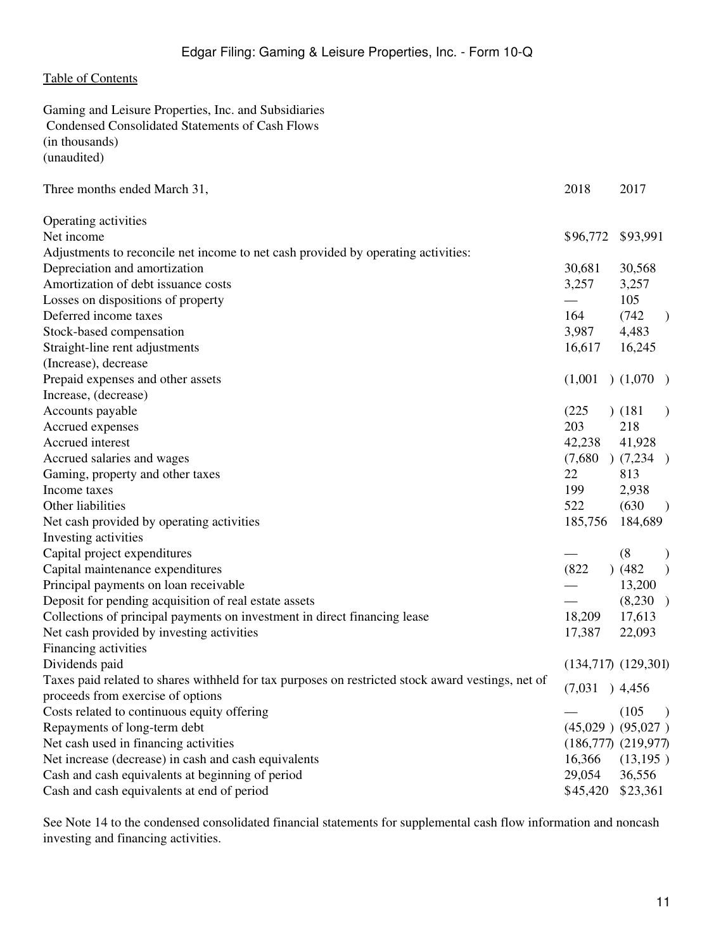<span id="page-10-0"></span>

| Gaming and Leisure Properties, Inc. and Subsidiaries                                              |          |                                   |
|---------------------------------------------------------------------------------------------------|----------|-----------------------------------|
| Condensed Consolidated Statements of Cash Flows                                                   |          |                                   |
| (in thousands)                                                                                    |          |                                   |
| (unaudited)                                                                                       |          |                                   |
| Three months ended March 31,                                                                      | 2018     | 2017                              |
| Operating activities                                                                              |          |                                   |
| Net income                                                                                        | \$96,772 | \$93,991                          |
| Adjustments to reconcile net income to net cash provided by operating activities:                 |          |                                   |
| Depreciation and amortization                                                                     | 30,681   | 30,568                            |
| Amortization of debt issuance costs                                                               | 3,257    | 3,257                             |
| Losses on dispositions of property                                                                |          | 105                               |
| Deferred income taxes                                                                             | 164      | (742)<br>$\big)$                  |
| Stock-based compensation                                                                          | 3,987    | 4,483                             |
| Straight-line rent adjustments                                                                    | 16,617   | 16,245                            |
| (Increase), decrease                                                                              |          |                                   |
| Prepaid expenses and other assets                                                                 | (1,001)  | (1,070)                           |
| Increase, (decrease)                                                                              |          |                                   |
| Accounts payable                                                                                  | (225)    | (181)<br>$\mathcal{E}$            |
| Accrued expenses                                                                                  | 203      | 218                               |
| Accrued interest                                                                                  | 42,238   | 41,928                            |
| Accrued salaries and wages                                                                        |          | $(7,680)$ $(7,234)$               |
| Gaming, property and other taxes                                                                  | 22       | 813                               |
| Income taxes                                                                                      | 199      | 2,938                             |
| Other liabilities                                                                                 | 522      | (630)<br>$\overline{\phantom{a}}$ |
| Net cash provided by operating activities                                                         | 185,756  | 184,689                           |
| Investing activities                                                                              |          |                                   |
| Capital project expenditures                                                                      |          | (8)<br>$\mathcal{E}$              |
| Capital maintenance expenditures                                                                  | (822)    | ) (482)<br>$\mathcal{E}$          |
| Principal payments on loan receivable                                                             |          | 13,200                            |
| Deposit for pending acquisition of real estate assets                                             |          | (8,230)                           |
| Collections of principal payments on investment in direct financing lease                         | 18,209   | 17,613                            |
| Net cash provided by investing activities                                                         | 17,387   | 22,093                            |
| Financing activities                                                                              |          |                                   |
| Dividends paid                                                                                    |          | $(134,717)$ $(129,301)$           |
| Taxes paid related to shares withheld for tax purposes on restricted stock award vestings, net of |          |                                   |
| proceeds from exercise of options                                                                 |          | $(7,031)$ 4,456                   |
| Costs related to continuous equity offering                                                       |          | (105)<br>$\big)$                  |
| Repayments of long-term debt                                                                      |          | $(45,029)$ $(95,027)$             |
| Net cash used in financing activities                                                             |          | $(186,777)$ $(219,977)$           |
| Net increase (decrease) in cash and cash equivalents                                              | 16,366   | (13, 195)                         |
| Cash and cash equivalents at beginning of period                                                  | 29,054   | 36,556                            |
| Cash and cash equivalents at end of period                                                        | \$45,420 | \$23,361                          |

See Note 14 to the condensed consolidated financial statements for supplemental cash flow information and noncash investing and financing activities.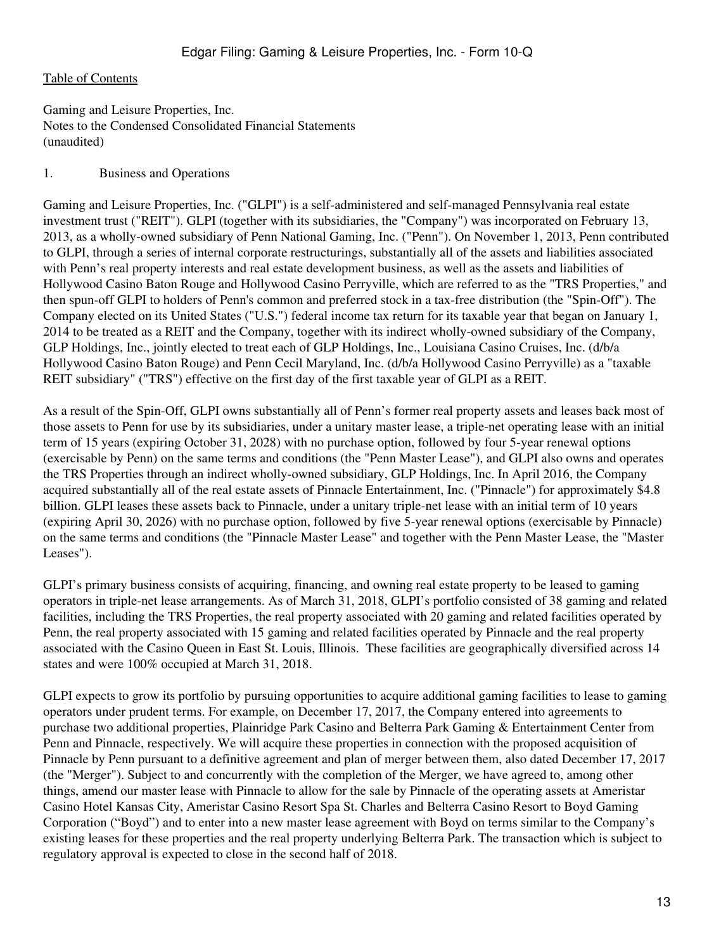<span id="page-12-0"></span>Gaming and Leisure Properties, Inc. Notes to the Condensed Consolidated Financial Statements (unaudited)

#### 1. Business and Operations

Gaming and Leisure Properties, Inc. ("GLPI") is a self-administered and self-managed Pennsylvania real estate investment trust ("REIT"). GLPI (together with its subsidiaries, the "Company") was incorporated on February 13, 2013, as a wholly-owned subsidiary of Penn National Gaming, Inc. ("Penn"). On November 1, 2013, Penn contributed to GLPI, through a series of internal corporate restructurings, substantially all of the assets and liabilities associated with Penn's real property interests and real estate development business, as well as the assets and liabilities of Hollywood Casino Baton Rouge and Hollywood Casino Perryville, which are referred to as the "TRS Properties," and then spun-off GLPI to holders of Penn's common and preferred stock in a tax-free distribution (the "Spin-Off"). The Company elected on its United States ("U.S.") federal income tax return for its taxable year that began on January 1, 2014 to be treated as a REIT and the Company, together with its indirect wholly-owned subsidiary of the Company, GLP Holdings, Inc., jointly elected to treat each of GLP Holdings, Inc., Louisiana Casino Cruises, Inc. (d/b/a Hollywood Casino Baton Rouge) and Penn Cecil Maryland, Inc. (d/b/a Hollywood Casino Perryville) as a "taxable REIT subsidiary" ("TRS") effective on the first day of the first taxable year of GLPI as a REIT.

As a result of the Spin-Off, GLPI owns substantially all of Penn's former real property assets and leases back most of those assets to Penn for use by its subsidiaries, under a unitary master lease, a triple-net operating lease with an initial term of 15 years (expiring October 31, 2028) with no purchase option, followed by four 5-year renewal options (exercisable by Penn) on the same terms and conditions (the "Penn Master Lease"), and GLPI also owns and operates the TRS Properties through an indirect wholly-owned subsidiary, GLP Holdings, Inc. In April 2016, the Company acquired substantially all of the real estate assets of Pinnacle Entertainment, Inc. ("Pinnacle") for approximately \$4.8 billion. GLPI leases these assets back to Pinnacle, under a unitary triple-net lease with an initial term of 10 years (expiring April 30, 2026) with no purchase option, followed by five 5-year renewal options (exercisable by Pinnacle) on the same terms and conditions (the "Pinnacle Master Lease" and together with the Penn Master Lease, the "Master Leases").

GLPI's primary business consists of acquiring, financing, and owning real estate property to be leased to gaming operators in triple-net lease arrangements. As of March 31, 2018, GLPI's portfolio consisted of 38 gaming and related facilities, including the TRS Properties, the real property associated with 20 gaming and related facilities operated by Penn, the real property associated with 15 gaming and related facilities operated by Pinnacle and the real property associated with the Casino Queen in East St. Louis, Illinois. These facilities are geographically diversified across 14 states and were 100% occupied at March 31, 2018.

GLPI expects to grow its portfolio by pursuing opportunities to acquire additional gaming facilities to lease to gaming operators under prudent terms. For example, on December 17, 2017, the Company entered into agreements to purchase two additional properties, Plainridge Park Casino and Belterra Park Gaming & Entertainment Center from Penn and Pinnacle, respectively. We will acquire these properties in connection with the proposed acquisition of Pinnacle by Penn pursuant to a definitive agreement and plan of merger between them, also dated December 17, 2017 (the "Merger"). Subject to and concurrently with the completion of the Merger, we have agreed to, among other things, amend our master lease with Pinnacle to allow for the sale by Pinnacle of the operating assets at Ameristar Casino Hotel Kansas City, Ameristar Casino Resort Spa St. Charles and Belterra Casino Resort to Boyd Gaming Corporation ("Boyd") and to enter into a new master lease agreement with Boyd on terms similar to the Company's existing leases for these properties and the real property underlying Belterra Park. The transaction which is subject to regulatory approval is expected to close in the second half of 2018.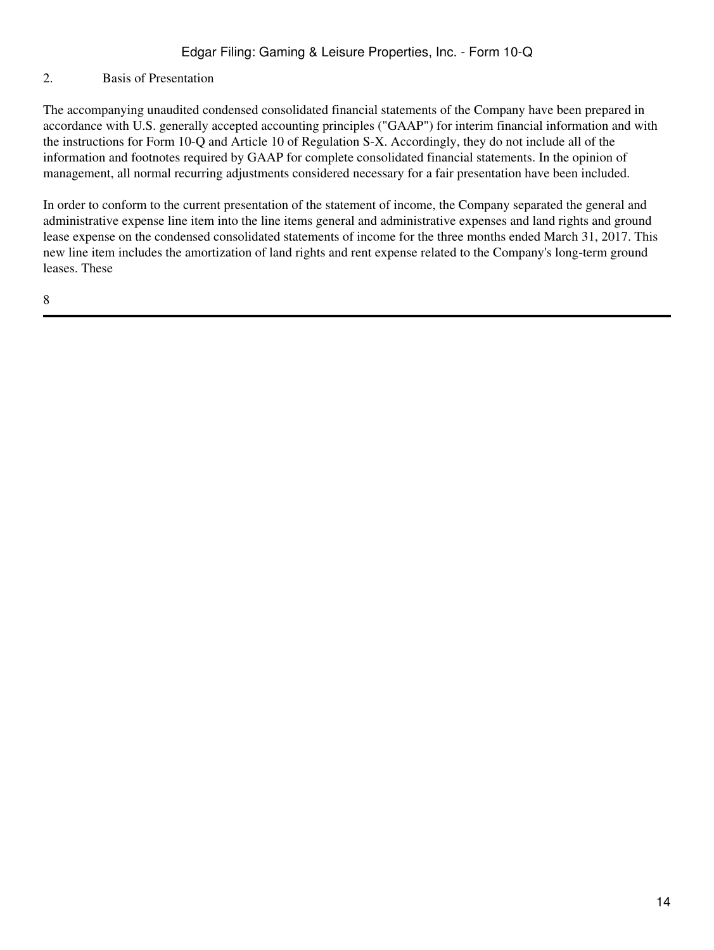#### 2. Basis of Presentation

The accompanying unaudited condensed consolidated financial statements of the Company have been prepared in accordance with U.S. generally accepted accounting principles ("GAAP") for interim financial information and with the instructions for Form 10-Q and Article 10 of Regulation S-X. Accordingly, they do not include all of the information and footnotes required by GAAP for complete consolidated financial statements. In the opinion of management, all normal recurring adjustments considered necessary for a fair presentation have been included.

In order to conform to the current presentation of the statement of income, the Company separated the general and administrative expense line item into the line items general and administrative expenses and land rights and ground lease expense on the condensed consolidated statements of income for the three months ended March 31, 2017. This new line item includes the amortization of land rights and rent expense related to the Company's long-term ground leases. These

8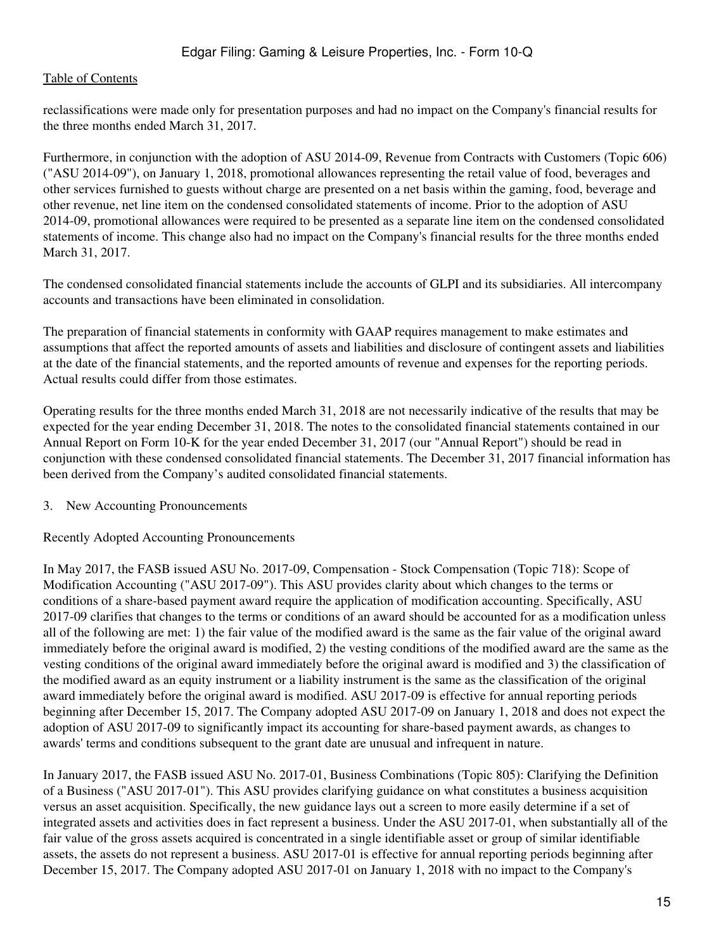reclassifications were made only for presentation purposes and had no impact on the Company's financial results for the three months ended March 31, 2017.

Furthermore, in conjunction with the adoption of ASU 2014-09, Revenue from Contracts with Customers (Topic 606) ("ASU 2014-09"), on January 1, 2018, promotional allowances representing the retail value of food, beverages and other services furnished to guests without charge are presented on a net basis within the gaming, food, beverage and other revenue, net line item on the condensed consolidated statements of income. Prior to the adoption of ASU 2014-09, promotional allowances were required to be presented as a separate line item on the condensed consolidated statements of income. This change also had no impact on the Company's financial results for the three months ended March 31, 2017.

The condensed consolidated financial statements include the accounts of GLPI and its subsidiaries. All intercompany accounts and transactions have been eliminated in consolidation.

The preparation of financial statements in conformity with GAAP requires management to make estimates and assumptions that affect the reported amounts of assets and liabilities and disclosure of contingent assets and liabilities at the date of the financial statements, and the reported amounts of revenue and expenses for the reporting periods. Actual results could differ from those estimates.

Operating results for the three months ended March 31, 2018 are not necessarily indicative of the results that may be expected for the year ending December 31, 2018. The notes to the consolidated financial statements contained in our Annual Report on Form 10-K for the year ended December 31, 2017 (our "Annual Report") should be read in conjunction with these condensed consolidated financial statements. The December 31, 2017 financial information has been derived from the Company's audited consolidated financial statements.

### 3. New Accounting Pronouncements

### Recently Adopted Accounting Pronouncements

In May 2017, the FASB issued ASU No. 2017-09, Compensation - Stock Compensation (Topic 718): Scope of Modification Accounting ("ASU 2017-09"). This ASU provides clarity about which changes to the terms or conditions of a share-based payment award require the application of modification accounting. Specifically, ASU 2017-09 clarifies that changes to the terms or conditions of an award should be accounted for as a modification unless all of the following are met: 1) the fair value of the modified award is the same as the fair value of the original award immediately before the original award is modified, 2) the vesting conditions of the modified award are the same as the vesting conditions of the original award immediately before the original award is modified and 3) the classification of the modified award as an equity instrument or a liability instrument is the same as the classification of the original award immediately before the original award is modified. ASU 2017-09 is effective for annual reporting periods beginning after December 15, 2017. The Company adopted ASU 2017-09 on January 1, 2018 and does not expect the adoption of ASU 2017-09 to significantly impact its accounting for share-based payment awards, as changes to awards' terms and conditions subsequent to the grant date are unusual and infrequent in nature.

In January 2017, the FASB issued ASU No. 2017-01, Business Combinations (Topic 805): Clarifying the Definition of a Business ("ASU 2017-01"). This ASU provides clarifying guidance on what constitutes a business acquisition versus an asset acquisition. Specifically, the new guidance lays out a screen to more easily determine if a set of integrated assets and activities does in fact represent a business. Under the ASU 2017-01, when substantially all of the fair value of the gross assets acquired is concentrated in a single identifiable asset or group of similar identifiable assets, the assets do not represent a business. ASU 2017-01 is effective for annual reporting periods beginning after December 15, 2017. The Company adopted ASU 2017-01 on January 1, 2018 with no impact to the Company's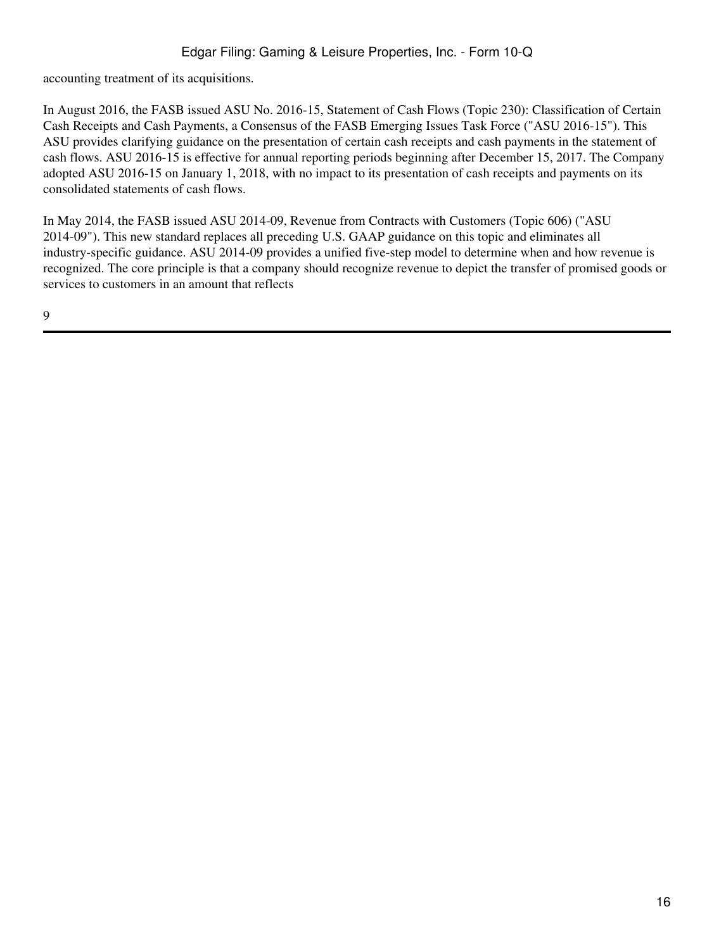accounting treatment of its acquisitions.

In August 2016, the FASB issued ASU No. 2016-15, Statement of Cash Flows (Topic 230): Classification of Certain Cash Receipts and Cash Payments, a Consensus of the FASB Emerging Issues Task Force ("ASU 2016-15"). This ASU provides clarifying guidance on the presentation of certain cash receipts and cash payments in the statement of cash flows. ASU 2016-15 is effective for annual reporting periods beginning after December 15, 2017. The Company adopted ASU 2016-15 on January 1, 2018, with no impact to its presentation of cash receipts and payments on its consolidated statements of cash flows.

In May 2014, the FASB issued ASU 2014-09, Revenue from Contracts with Customers (Topic 606) ("ASU 2014-09"). This new standard replaces all preceding U.S. GAAP guidance on this topic and eliminates all industry-specific guidance. ASU 2014-09 provides a unified five-step model to determine when and how revenue is recognized. The core principle is that a company should recognize revenue to depict the transfer of promised goods or services to customers in an amount that reflects

9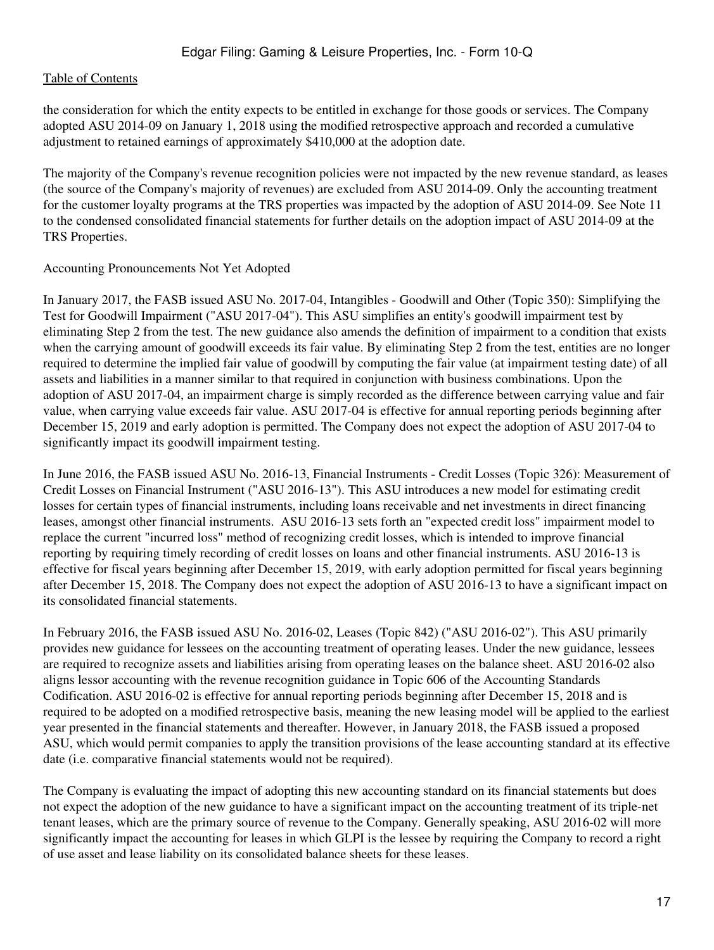the consideration for which the entity expects to be entitled in exchange for those goods or services. The Company adopted ASU 2014-09 on January 1, 2018 using the modified retrospective approach and recorded a cumulative adjustment to retained earnings of approximately \$410,000 at the adoption date.

The majority of the Company's revenue recognition policies were not impacted by the new revenue standard, as leases (the source of the Company's majority of revenues) are excluded from ASU 2014-09. Only the accounting treatment for the customer loyalty programs at the TRS properties was impacted by the adoption of ASU 2014-09. See Note 11 to the condensed consolidated financial statements for further details on the adoption impact of ASU 2014-09 at the TRS Properties.

### Accounting Pronouncements Not Yet Adopted

In January 2017, the FASB issued ASU No. 2017-04, Intangibles - Goodwill and Other (Topic 350): Simplifying the Test for Goodwill Impairment ("ASU 2017-04"). This ASU simplifies an entity's goodwill impairment test by eliminating Step 2 from the test. The new guidance also amends the definition of impairment to a condition that exists when the carrying amount of goodwill exceeds its fair value. By eliminating Step 2 from the test, entities are no longer required to determine the implied fair value of goodwill by computing the fair value (at impairment testing date) of all assets and liabilities in a manner similar to that required in conjunction with business combinations. Upon the adoption of ASU 2017-04, an impairment charge is simply recorded as the difference between carrying value and fair value, when carrying value exceeds fair value. ASU 2017-04 is effective for annual reporting periods beginning after December 15, 2019 and early adoption is permitted. The Company does not expect the adoption of ASU 2017-04 to significantly impact its goodwill impairment testing.

In June 2016, the FASB issued ASU No. 2016-13, Financial Instruments - Credit Losses (Topic 326): Measurement of Credit Losses on Financial Instrument ("ASU 2016-13"). This ASU introduces a new model for estimating credit losses for certain types of financial instruments, including loans receivable and net investments in direct financing leases, amongst other financial instruments. ASU 2016-13 sets forth an "expected credit loss" impairment model to replace the current "incurred loss" method of recognizing credit losses, which is intended to improve financial reporting by requiring timely recording of credit losses on loans and other financial instruments. ASU 2016-13 is effective for fiscal years beginning after December 15, 2019, with early adoption permitted for fiscal years beginning after December 15, 2018. The Company does not expect the adoption of ASU 2016-13 to have a significant impact on its consolidated financial statements.

In February 2016, the FASB issued ASU No. 2016-02, Leases (Topic 842) ("ASU 2016-02"). This ASU primarily provides new guidance for lessees on the accounting treatment of operating leases. Under the new guidance, lessees are required to recognize assets and liabilities arising from operating leases on the balance sheet. ASU 2016-02 also aligns lessor accounting with the revenue recognition guidance in Topic 606 of the Accounting Standards Codification. ASU 2016-02 is effective for annual reporting periods beginning after December 15, 2018 and is required to be adopted on a modified retrospective basis, meaning the new leasing model will be applied to the earliest year presented in the financial statements and thereafter. However, in January 2018, the FASB issued a proposed ASU, which would permit companies to apply the transition provisions of the lease accounting standard at its effective date (i.e. comparative financial statements would not be required).

The Company is evaluating the impact of adopting this new accounting standard on its financial statements but does not expect the adoption of the new guidance to have a significant impact on the accounting treatment of its triple-net tenant leases, which are the primary source of revenue to the Company. Generally speaking, ASU 2016-02 will more significantly impact the accounting for leases in which GLPI is the lessee by requiring the Company to record a right of use asset and lease liability on its consolidated balance sheets for these leases.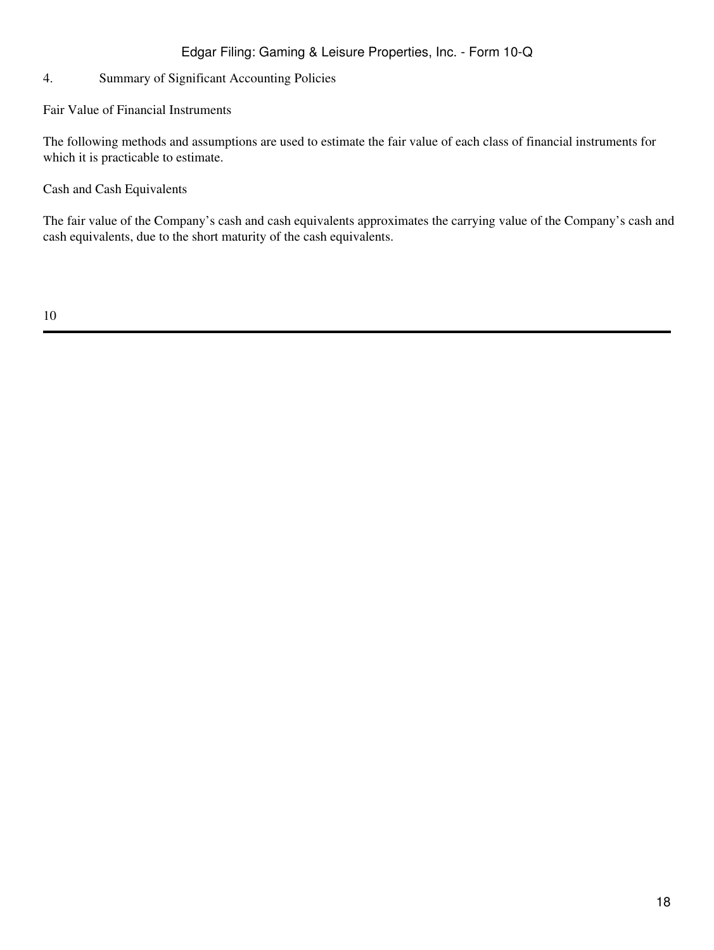### 4. Summary of Significant Accounting Policies

Fair Value of Financial Instruments

The following methods and assumptions are used to estimate the fair value of each class of financial instruments for which it is practicable to estimate.

Cash and Cash Equivalents

The fair value of the Company's cash and cash equivalents approximates the carrying value of the Company's cash and cash equivalents, due to the short maturity of the cash equivalents.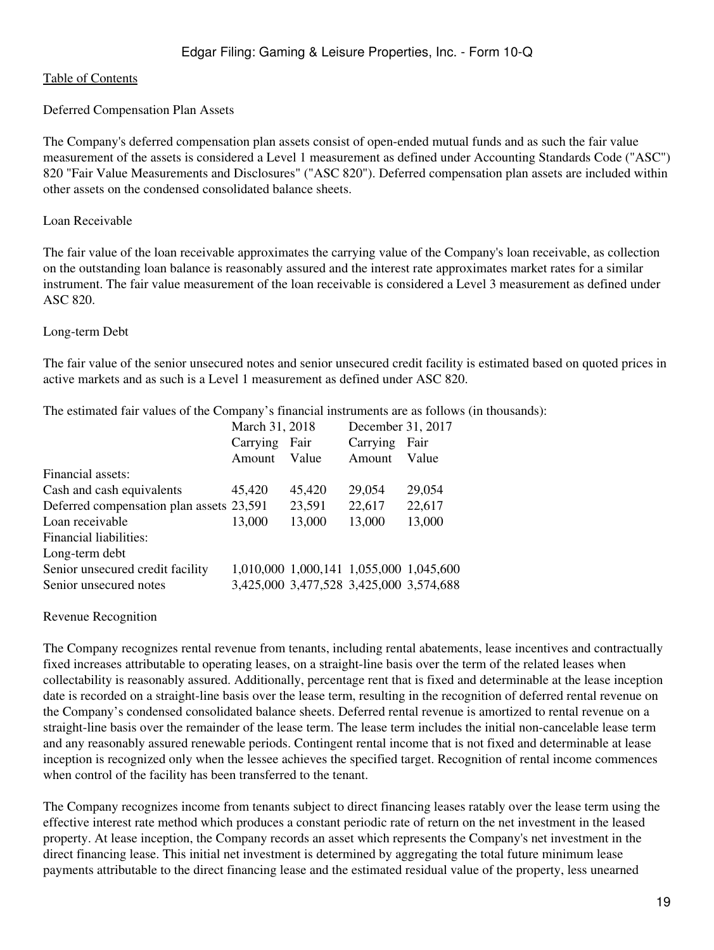#### Deferred Compensation Plan Assets

The Company's deferred compensation plan assets consist of open-ended mutual funds and as such the fair value measurement of the assets is considered a Level 1 measurement as defined under Accounting Standards Code ("ASC") 820 "Fair Value Measurements and Disclosures" ("ASC 820"). Deferred compensation plan assets are included within other assets on the condensed consolidated balance sheets.

#### Loan Receivable

The fair value of the loan receivable approximates the carrying value of the Company's loan receivable, as collection on the outstanding loan balance is reasonably assured and the interest rate approximates market rates for a similar instrument. The fair value measurement of the loan receivable is considered a Level 3 measurement as defined under ASC 820.

#### Long-term Debt

The fair value of the senior unsecured notes and senior unsecured credit facility is estimated based on quoted prices in active markets and as such is a Level 1 measurement as defined under ASC 820.

The estimated fair values of the Company's financial instruments are as follows (in thousands):

|                                          | March 31, 2018 |                                         | December 31, 2017 |        |  |
|------------------------------------------|----------------|-----------------------------------------|-------------------|--------|--|
|                                          | Carrying       | Fair                                    | Carrying          | Fair   |  |
|                                          | Amount         | Value                                   | Amount            | Value  |  |
| Financial assets:                        |                |                                         |                   |        |  |
| Cash and cash equivalents                | 45,420         | 45,420                                  | 29,054            | 29,054 |  |
| Deferred compensation plan assets 23,591 |                | 23,591                                  | 22,617            | 22,617 |  |
| Loan receivable                          | 13,000         | 13,000                                  | 13,000            | 13,000 |  |
| Financial liabilities:                   |                |                                         |                   |        |  |
| Long-term debt                           |                |                                         |                   |        |  |
| Senior unsecured credit facility         |                | 1,010,000 1,000,141 1,055,000 1,045,600 |                   |        |  |
| Senior unsecured notes                   |                | 3,425,000 3,477,528 3,425,000 3,574,688 |                   |        |  |

Revenue Recognition

The Company recognizes rental revenue from tenants, including rental abatements, lease incentives and contractually fixed increases attributable to operating leases, on a straight-line basis over the term of the related leases when collectability is reasonably assured. Additionally, percentage rent that is fixed and determinable at the lease inception date is recorded on a straight-line basis over the lease term, resulting in the recognition of deferred rental revenue on the Company's condensed consolidated balance sheets. Deferred rental revenue is amortized to rental revenue on a straight-line basis over the remainder of the lease term. The lease term includes the initial non-cancelable lease term and any reasonably assured renewable periods. Contingent rental income that is not fixed and determinable at lease inception is recognized only when the lessee achieves the specified target. Recognition of rental income commences when control of the facility has been transferred to the tenant.

The Company recognizes income from tenants subject to direct financing leases ratably over the lease term using the effective interest rate method which produces a constant periodic rate of return on the net investment in the leased property. At lease inception, the Company records an asset which represents the Company's net investment in the direct financing lease. This initial net investment is determined by aggregating the total future minimum lease payments attributable to the direct financing lease and the estimated residual value of the property, less unearned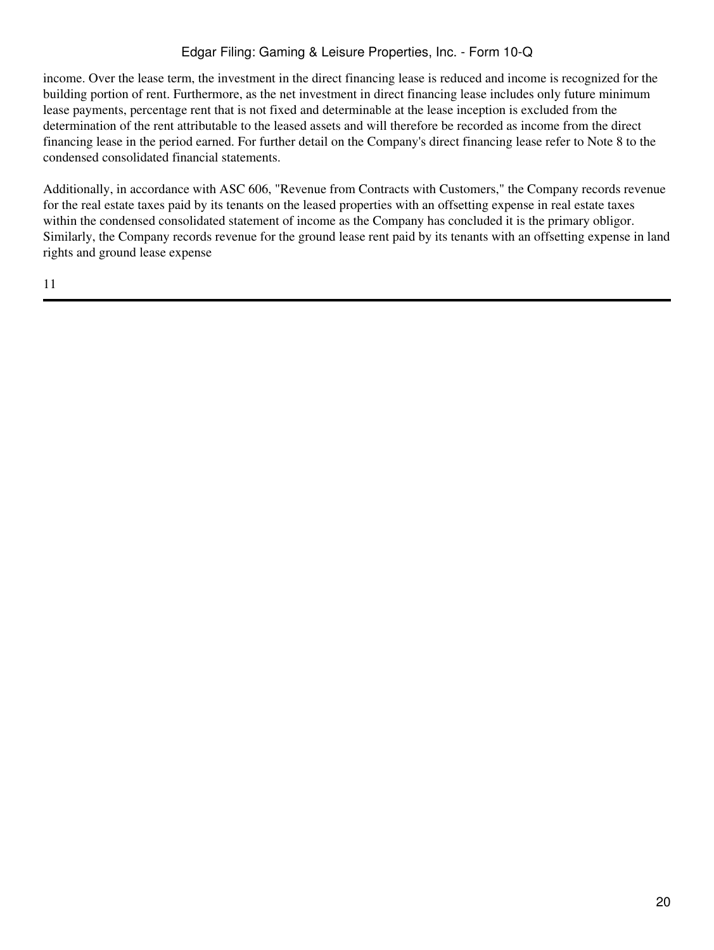income. Over the lease term, the investment in the direct financing lease is reduced and income is recognized for the building portion of rent. Furthermore, as the net investment in direct financing lease includes only future minimum lease payments, percentage rent that is not fixed and determinable at the lease inception is excluded from the determination of the rent attributable to the leased assets and will therefore be recorded as income from the direct financing lease in the period earned. For further detail on the Company's direct financing lease refer to Note 8 to the condensed consolidated financial statements.

Additionally, in accordance with ASC 606, "Revenue from Contracts with Customers," the Company records revenue for the real estate taxes paid by its tenants on the leased properties with an offsetting expense in real estate taxes within the condensed consolidated statement of income as the Company has concluded it is the primary obligor. Similarly, the Company records revenue for the ground lease rent paid by its tenants with an offsetting expense in land rights and ground lease expense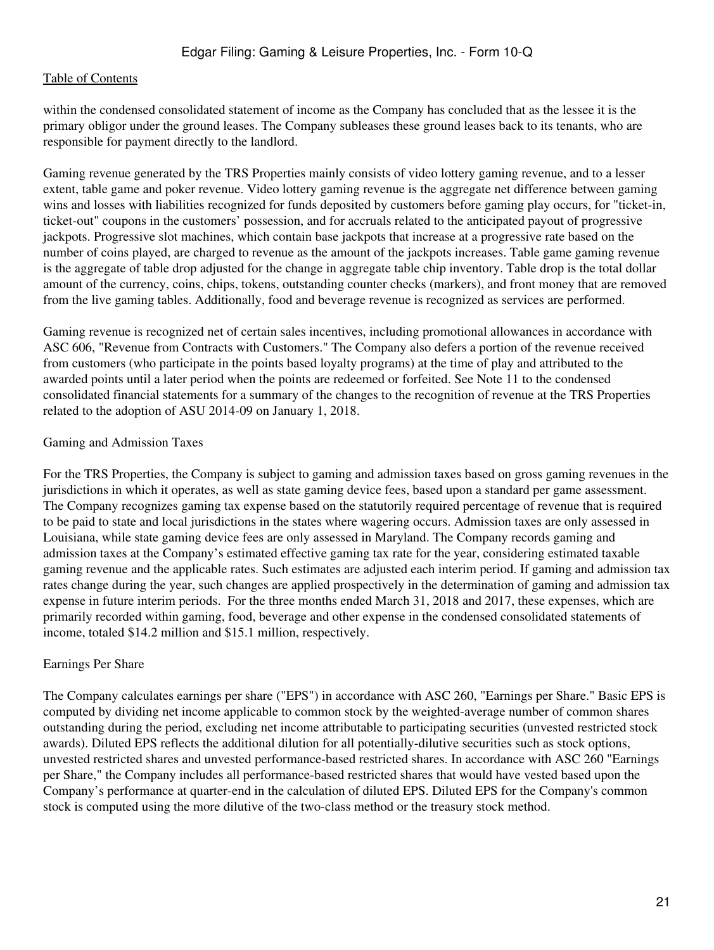within the condensed consolidated statement of income as the Company has concluded that as the lessee it is the primary obligor under the ground leases. The Company subleases these ground leases back to its tenants, who are responsible for payment directly to the landlord.

Gaming revenue generated by the TRS Properties mainly consists of video lottery gaming revenue, and to a lesser extent, table game and poker revenue. Video lottery gaming revenue is the aggregate net difference between gaming wins and losses with liabilities recognized for funds deposited by customers before gaming play occurs, for "ticket-in, ticket-out" coupons in the customers' possession, and for accruals related to the anticipated payout of progressive jackpots. Progressive slot machines, which contain base jackpots that increase at a progressive rate based on the number of coins played, are charged to revenue as the amount of the jackpots increases. Table game gaming revenue is the aggregate of table drop adjusted for the change in aggregate table chip inventory. Table drop is the total dollar amount of the currency, coins, chips, tokens, outstanding counter checks (markers), and front money that are removed from the live gaming tables. Additionally, food and beverage revenue is recognized as services are performed.

Gaming revenue is recognized net of certain sales incentives, including promotional allowances in accordance with ASC 606, "Revenue from Contracts with Customers." The Company also defers a portion of the revenue received from customers (who participate in the points based loyalty programs) at the time of play and attributed to the awarded points until a later period when the points are redeemed or forfeited. See Note 11 to the condensed consolidated financial statements for a summary of the changes to the recognition of revenue at the TRS Properties related to the adoption of ASU 2014-09 on January 1, 2018.

### Gaming and Admission Taxes

For the TRS Properties, the Company is subject to gaming and admission taxes based on gross gaming revenues in the jurisdictions in which it operates, as well as state gaming device fees, based upon a standard per game assessment. The Company recognizes gaming tax expense based on the statutorily required percentage of revenue that is required to be paid to state and local jurisdictions in the states where wagering occurs. Admission taxes are only assessed in Louisiana, while state gaming device fees are only assessed in Maryland. The Company records gaming and admission taxes at the Company's estimated effective gaming tax rate for the year, considering estimated taxable gaming revenue and the applicable rates. Such estimates are adjusted each interim period. If gaming and admission tax rates change during the year, such changes are applied prospectively in the determination of gaming and admission tax expense in future interim periods. For the three months ended March 31, 2018 and 2017, these expenses, which are primarily recorded within gaming, food, beverage and other expense in the condensed consolidated statements of income, totaled \$14.2 million and \$15.1 million, respectively.

### Earnings Per Share

The Company calculates earnings per share ("EPS") in accordance with ASC 260, "Earnings per Share." Basic EPS is computed by dividing net income applicable to common stock by the weighted-average number of common shares outstanding during the period, excluding net income attributable to participating securities (unvested restricted stock awards). Diluted EPS reflects the additional dilution for all potentially-dilutive securities such as stock options, unvested restricted shares and unvested performance-based restricted shares. In accordance with ASC 260 "Earnings per Share," the Company includes all performance-based restricted shares that would have vested based upon the Company's performance at quarter-end in the calculation of diluted EPS. Diluted EPS for the Company's common stock is computed using the more dilutive of the two-class method or the treasury stock method.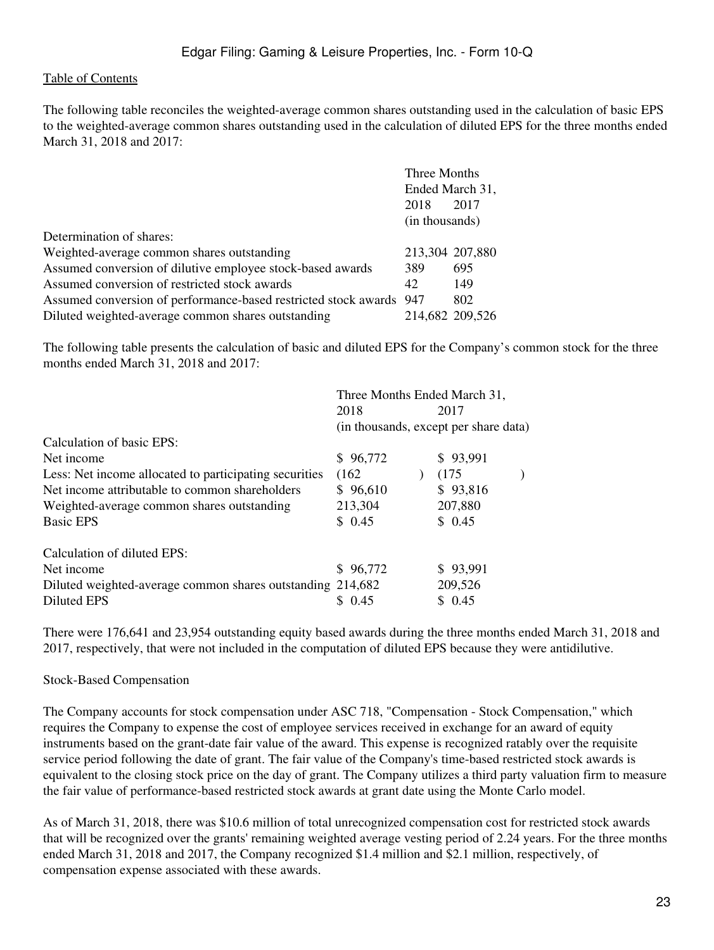The following table reconciles the weighted-average common shares outstanding used in the calculation of basic EPS to the weighted-average common shares outstanding used in the calculation of diluted EPS for the three months ended March 31, 2018 and 2017:

|                                                                     | Three Months    |                 |
|---------------------------------------------------------------------|-----------------|-----------------|
|                                                                     | Ended March 31, |                 |
|                                                                     | 2018            | 2017            |
|                                                                     | (in thousands)  |                 |
| Determination of shares:                                            |                 |                 |
| Weighted-average common shares outstanding                          | 213,304 207,880 |                 |
| Assumed conversion of dilutive employee stock-based awards          | 389             | 695             |
| Assumed conversion of restricted stock awards                       | 42              | 149             |
| Assumed conversion of performance-based restricted stock awards 947 |                 | 802             |
| Diluted weighted-average common shares outstanding                  |                 | 214,682 209,526 |

The following table presents the calculation of basic and diluted EPS for the Company's common stock for the three months ended March 31, 2018 and 2017:

| Three Months Ended March 31,                               |  |          |                                       |
|------------------------------------------------------------|--|----------|---------------------------------------|
| 2018                                                       |  | 2017     |                                       |
|                                                            |  |          |                                       |
|                                                            |  |          |                                       |
| \$96,772                                                   |  | \$93,991 |                                       |
| (162)                                                      |  | (175)    |                                       |
| \$96,610                                                   |  | \$93,816 |                                       |
| 213,304                                                    |  | 207,880  |                                       |
| \$0.45                                                     |  | \$0.45   |                                       |
|                                                            |  |          |                                       |
| \$96,772                                                   |  | \$93,991 |                                       |
| Diluted weighted-average common shares outstanding 214,682 |  | 209,526  |                                       |
| \$0.45                                                     |  | \$0.45   |                                       |
|                                                            |  |          | (in thousands, except per share data) |

There were 176,641 and 23,954 outstanding equity based awards during the three months ended March 31, 2018 and 2017, respectively, that were not included in the computation of diluted EPS because they were antidilutive.

### Stock-Based Compensation

The Company accounts for stock compensation under ASC 718, "Compensation - Stock Compensation," which requires the Company to expense the cost of employee services received in exchange for an award of equity instruments based on the grant-date fair value of the award. This expense is recognized ratably over the requisite service period following the date of grant. The fair value of the Company's time-based restricted stock awards is equivalent to the closing stock price on the day of grant. The Company utilizes a third party valuation firm to measure the fair value of performance-based restricted stock awards at grant date using the Monte Carlo model.

As of March 31, 2018, there was \$10.6 million of total unrecognized compensation cost for restricted stock awards that will be recognized over the grants' remaining weighted average vesting period of 2.24 years. For the three months ended March 31, 2018 and 2017, the Company recognized \$1.4 million and \$2.1 million, respectively, of compensation expense associated with these awards.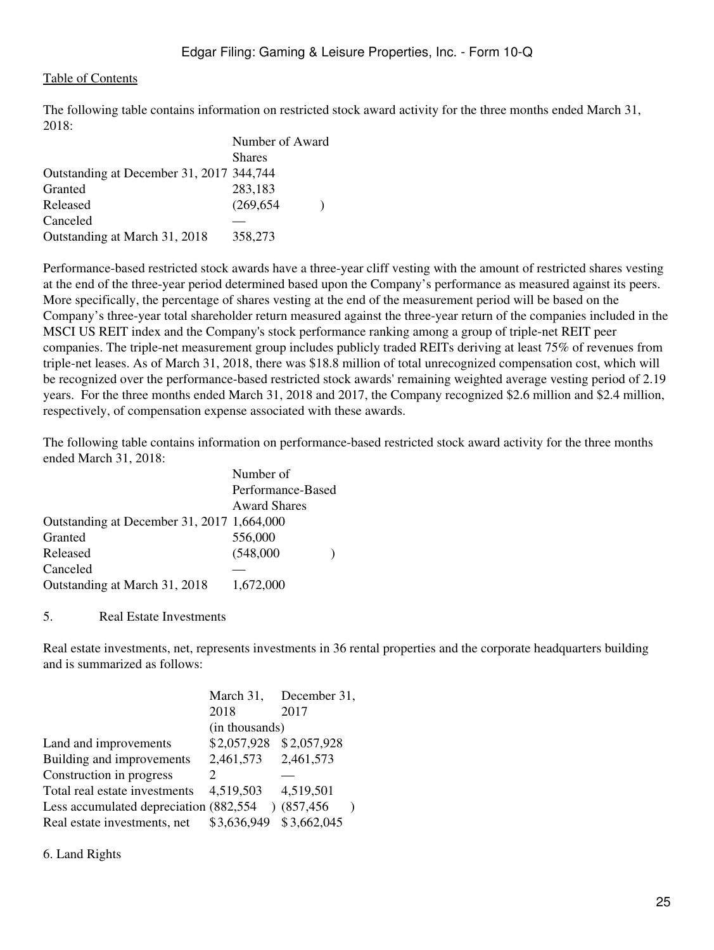The following table contains information on restricted stock award activity for the three months ended March 31, 2018:

|                                          | Number of Award |  |  |
|------------------------------------------|-----------------|--|--|
|                                          | <b>Shares</b>   |  |  |
| Outstanding at December 31, 2017 344,744 |                 |  |  |
| Granted                                  | 283,183         |  |  |
| Released                                 | (269, 654)      |  |  |
| Canceled                                 |                 |  |  |
| Outstanding at March 31, 2018            | 358,273         |  |  |

Performance-based restricted stock awards have a three-year cliff vesting with the amount of restricted shares vesting at the end of the three-year period determined based upon the Company's performance as measured against its peers. More specifically, the percentage of shares vesting at the end of the measurement period will be based on the Company's three-year total shareholder return measured against the three-year return of the companies included in the MSCI US REIT index and the Company's stock performance ranking among a group of triple-net REIT peer companies. The triple-net measurement group includes publicly traded REITs deriving at least 75% of revenues from triple-net leases. As of March 31, 2018, there was \$18.8 million of total unrecognized compensation cost, which will be recognized over the performance-based restricted stock awards' remaining weighted average vesting period of 2.19 years. For the three months ended March 31, 2018 and 2017, the Company recognized \$2.6 million and \$2.4 million, respectively, of compensation expense associated with these awards.

The following table contains information on performance-based restricted stock award activity for the three months ended March 31, 2018:

|                                            | Number of           |  |
|--------------------------------------------|---------------------|--|
|                                            | Performance-Based   |  |
|                                            | <b>Award Shares</b> |  |
| Outstanding at December 31, 2017 1,664,000 |                     |  |
| Granted                                    | 556,000             |  |
| Released                                   | (548,000)           |  |
| Canceled                                   |                     |  |
| Outstanding at March 31, 2018              | 1,672,000           |  |
|                                            |                     |  |

5. Real Estate Investments

Real estate investments, net, represents investments in 36 rental properties and the corporate headquarters building and is summarized as follows:

|                                         | March 31,                   | December 31, |
|-----------------------------------------|-----------------------------|--------------|
|                                         | 2018                        | 2017         |
|                                         | (in thousands)              |              |
| Land and improvements                   | \$2,057,928                 | \$2,057,928  |
| Building and improvements               | 2,461,573                   | 2,461,573    |
| Construction in progress                | $\mathcal{D}_{\mathcal{L}}$ |              |
| Total real estate investments           | 4,519,503                   | 4,519,501    |
| Less accumulated depreciation (882,554) | $\lambda$                   | (857, 456)   |
| Real estate investments, net            | \$3,636,949                 | \$3,662,045  |

6. Land Rights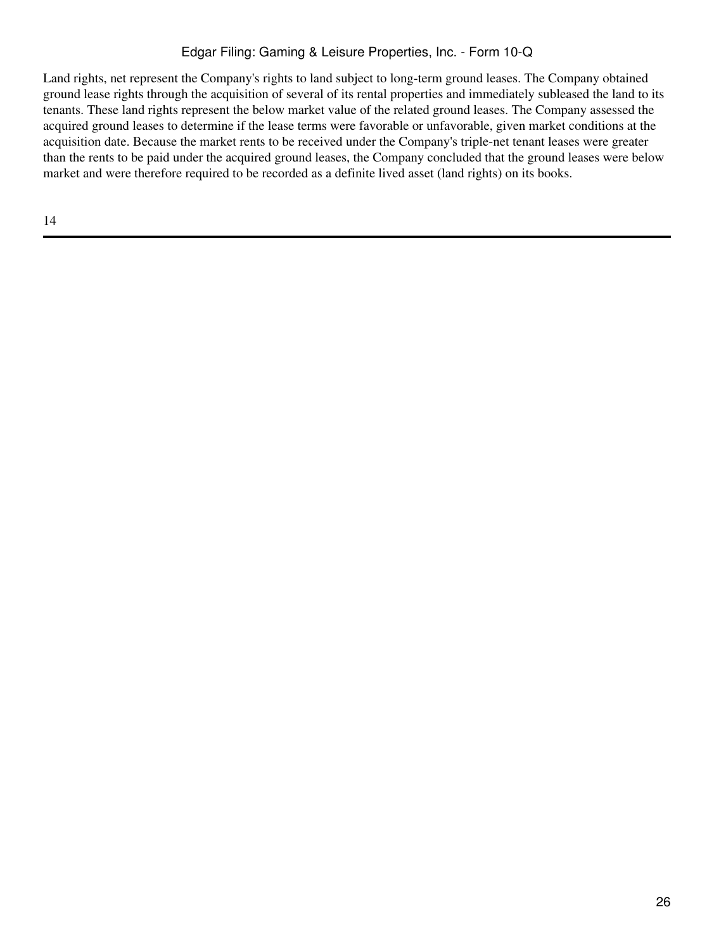Land rights, net represent the Company's rights to land subject to long-term ground leases. The Company obtained ground lease rights through the acquisition of several of its rental properties and immediately subleased the land to its tenants. These land rights represent the below market value of the related ground leases. The Company assessed the acquired ground leases to determine if the lease terms were favorable or unfavorable, given market conditions at the acquisition date. Because the market rents to be received under the Company's triple-net tenant leases were greater than the rents to be paid under the acquired ground leases, the Company concluded that the ground leases were below market and were therefore required to be recorded as a definite lived asset (land rights) on its books.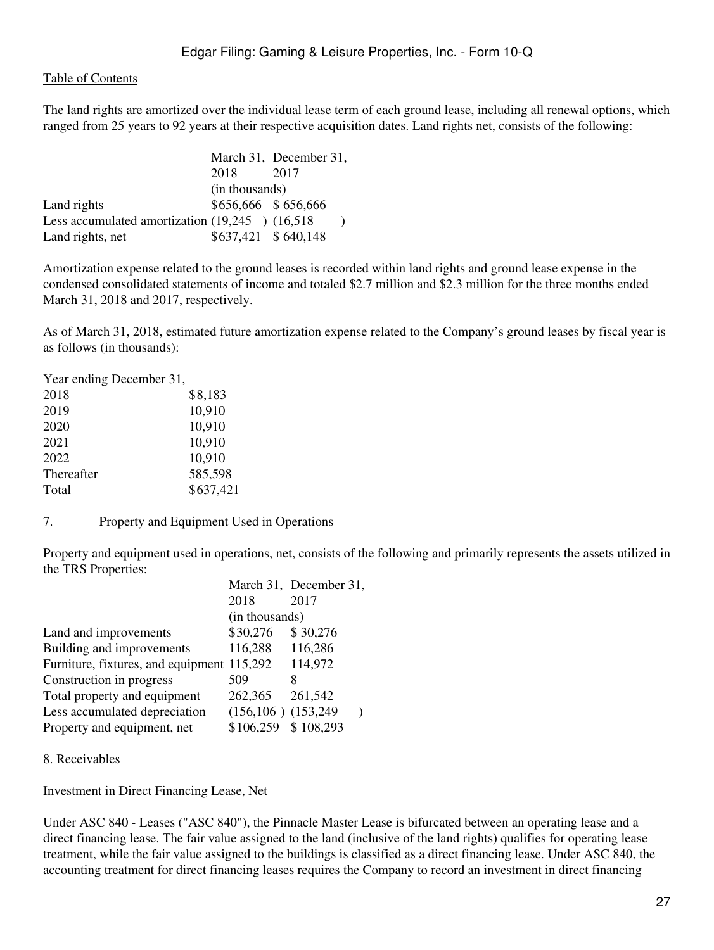The land rights are amortized over the individual lease term of each ground lease, including all renewal options, which ranged from 25 years to 92 years at their respective acquisition dates. Land rights net, consists of the following:

|                                                     |                     | March 31, December 31, |  |
|-----------------------------------------------------|---------------------|------------------------|--|
|                                                     | 2018                | 2017                   |  |
|                                                     | (in thousands)      |                        |  |
| Land rights                                         | \$656,666 \$656,666 |                        |  |
| Less accumulated amortization $(19,245)$ $(16,518)$ |                     |                        |  |
| Land rights, net                                    | \$637,421 \$640,148 |                        |  |

Amortization expense related to the ground leases is recorded within land rights and ground lease expense in the condensed consolidated statements of income and totaled \$2.7 million and \$2.3 million for the three months ended March 31, 2018 and 2017, respectively.

As of March 31, 2018, estimated future amortization expense related to the Company's ground leases by fiscal year is as follows (in thousands):

| Year ending December 31, |           |
|--------------------------|-----------|
| 2018                     | \$8,183   |
| 2019                     | 10,910    |
| 2020                     | 10,910    |
| 2021                     | 10,910    |
| 2022                     | 10,910    |
| Thereafter               | 585,598   |
| Total                    | \$637,421 |

7. Property and Equipment Used in Operations

Property and equipment used in operations, net, consists of the following and primarily represents the assets utilized in the TRS Properties:

|                                            |                           | March 31, December 31, |  |
|--------------------------------------------|---------------------------|------------------------|--|
|                                            | 2018                      | 2017                   |  |
|                                            | (in thousands)            |                        |  |
| Land and improvements                      | \$30,276                  | \$30,276               |  |
| Building and improvements                  | 116,288                   | 116,286                |  |
| Furniture, fixtures, and equipment 115,292 |                           | 114,972                |  |
| Construction in progress                   | 509                       | x                      |  |
| Total property and equipment               | 262,365                   | 261,542                |  |
| Less accumulated depreciation              | $(156, 106)$ $(153, 249)$ |                        |  |
| Property and equipment, net                | \$106,259                 | \$108,293              |  |
|                                            |                           |                        |  |

8. Receivables

Investment in Direct Financing Lease, Net

Under ASC 840 - Leases ("ASC 840"), the Pinnacle Master Lease is bifurcated between an operating lease and a direct financing lease. The fair value assigned to the land (inclusive of the land rights) qualifies for operating lease treatment, while the fair value assigned to the buildings is classified as a direct financing lease. Under ASC 840, the accounting treatment for direct financing leases requires the Company to record an investment in direct financing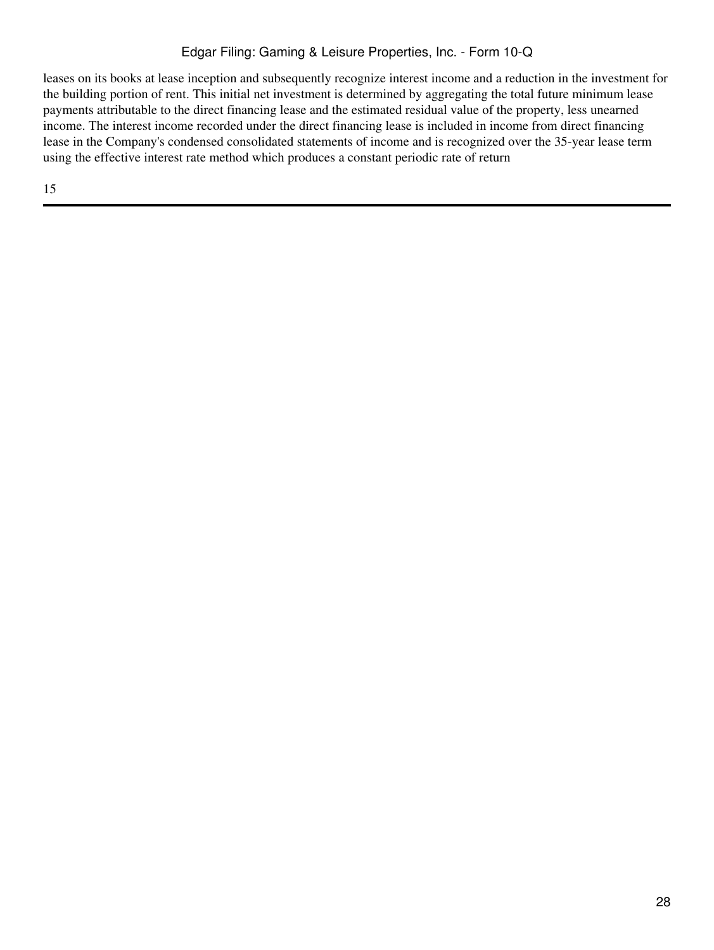leases on its books at lease inception and subsequently recognize interest income and a reduction in the investment for the building portion of rent. This initial net investment is determined by aggregating the total future minimum lease payments attributable to the direct financing lease and the estimated residual value of the property, less unearned income. The interest income recorded under the direct financing lease is included in income from direct financing lease in the Company's condensed consolidated statements of income and is recognized over the 35-year lease term using the effective interest rate method which produces a constant periodic rate of return

15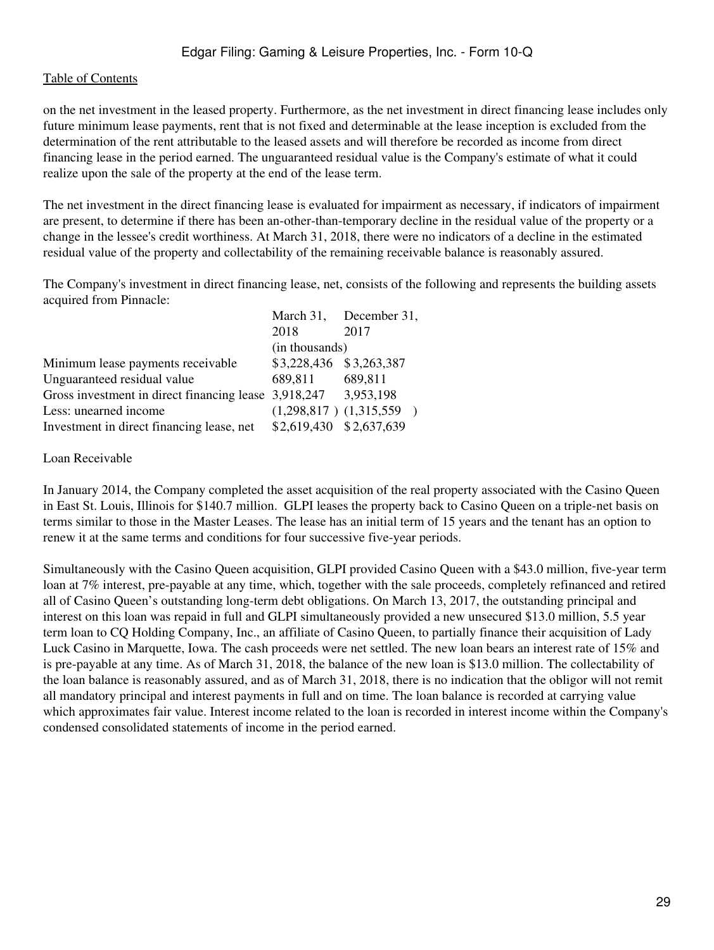on the net investment in the leased property. Furthermore, as the net investment in direct financing lease includes only future minimum lease payments, rent that is not fixed and determinable at the lease inception is excluded from the determination of the rent attributable to the leased assets and will therefore be recorded as income from direct financing lease in the period earned. The unguaranteed residual value is the Company's estimate of what it could realize upon the sale of the property at the end of the lease term.

The net investment in the direct financing lease is evaluated for impairment as necessary, if indicators of impairment are present, to determine if there has been an-other-than-temporary decline in the residual value of the property or a change in the lessee's credit worthiness. At March 31, 2018, there were no indicators of a decline in the estimated residual value of the property and collectability of the remaining receivable balance is reasonably assured.

The Company's investment in direct financing lease, net, consists of the following and represents the building assets acquired from Pinnacle:  $\overline{1}$ 

|                                                                |                         | March 31, December 31,      |  |
|----------------------------------------------------------------|-------------------------|-----------------------------|--|
|                                                                | 2018                    | 2017                        |  |
|                                                                | (in thousands)          |                             |  |
| Minimum lease payments receivable                              | \$3,228,436 \$3,263,387 |                             |  |
| Unguaranteed residual value                                    | 689.811                 | 689,811                     |  |
| Gross investment in direct financing lease 3,918,247 3,953,198 |                         |                             |  |
| Less: unearned income                                          |                         | $(1,298,817)$ $(1,315,559)$ |  |
| Investment in direct financing lease, net                      | \$2,619,430 \$2,637,639 |                             |  |

#### Loan Receivable

In January 2014, the Company completed the asset acquisition of the real property associated with the Casino Queen in East St. Louis, Illinois for \$140.7 million. GLPI leases the property back to Casino Queen on a triple-net basis on terms similar to those in the Master Leases. The lease has an initial term of 15 years and the tenant has an option to renew it at the same terms and conditions for four successive five-year periods.

Simultaneously with the Casino Queen acquisition, GLPI provided Casino Queen with a \$43.0 million, five-year term loan at 7% interest, pre-payable at any time, which, together with the sale proceeds, completely refinanced and retired all of Casino Queen's outstanding long-term debt obligations. On March 13, 2017, the outstanding principal and interest on this loan was repaid in full and GLPI simultaneously provided a new unsecured \$13.0 million, 5.5 year term loan to CQ Holding Company, Inc., an affiliate of Casino Queen, to partially finance their acquisition of Lady Luck Casino in Marquette, Iowa. The cash proceeds were net settled. The new loan bears an interest rate of 15% and is pre-payable at any time. As of March 31, 2018, the balance of the new loan is \$13.0 million. The collectability of the loan balance is reasonably assured, and as of March 31, 2018, there is no indication that the obligor will not remit all mandatory principal and interest payments in full and on time. The loan balance is recorded at carrying value which approximates fair value. Interest income related to the loan is recorded in interest income within the Company's condensed consolidated statements of income in the period earned.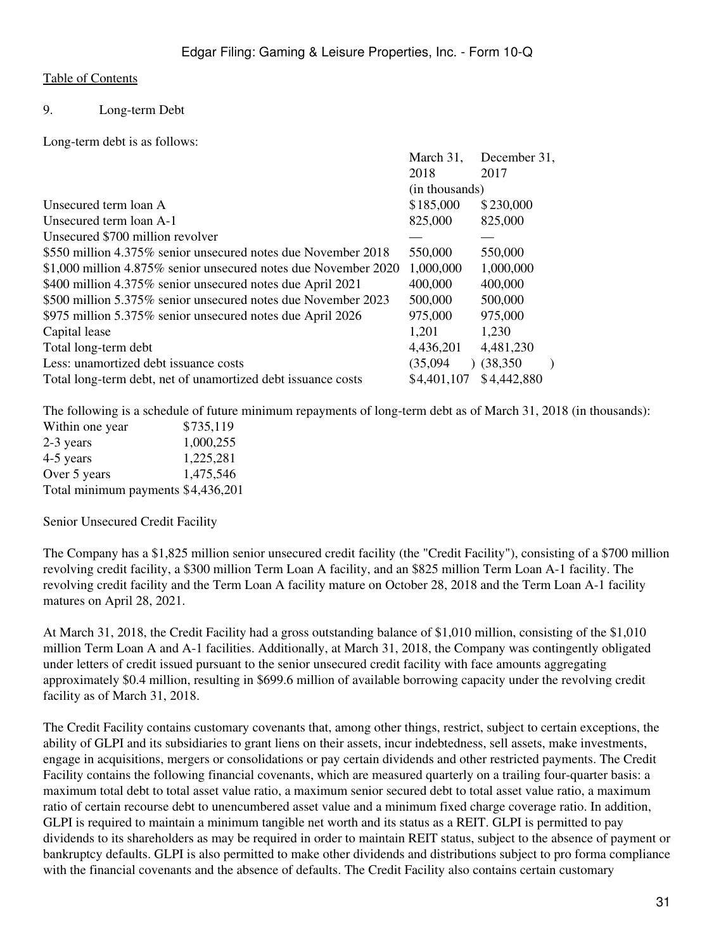### 9. Long-term Debt

Long-term debt is as follows:

|                                                                 | March 31,      | December 31, |
|-----------------------------------------------------------------|----------------|--------------|
|                                                                 | 2018           | 2017         |
|                                                                 | (in thousands) |              |
| Unsecured term loan A                                           | \$185,000      | \$230,000    |
| Unsecured term loan A-1                                         | 825,000        | 825,000      |
| Unsecured \$700 million revolver                                |                |              |
| \$550 million 4.375% senior unsecured notes due November 2018   | 550,000        | 550,000      |
| \$1,000 million 4.875% senior unsecured notes due November 2020 | 1,000,000      | 1,000,000    |
| \$400 million 4.375% senior unsecured notes due April 2021      | 400,000        | 400,000      |
| \$500 million 5.375% senior unsecured notes due November 2023   | 500,000        | 500,000      |
| \$975 million 5.375% senior unsecured notes due April 2026      | 975,000        | 975,000      |
| Capital lease                                                   | 1,201          | 1,230        |
| Total long-term debt                                            | 4,436,201      | 4,481,230    |
| Less: unamortized debt issuance costs                           | (35,094)       | (38,350)     |
| Total long-term debt, net of unamortized debt issuance costs    | \$4,401,107    | \$4,442,880  |

The following is a schedule of future minimum repayments of long-term debt as of March 31, 2018 (in thousands):

| Within one year                    | \$735,119 |
|------------------------------------|-----------|
| 2-3 years                          | 1,000,255 |
| 4-5 years                          | 1,225,281 |
| Over 5 years                       | 1,475,546 |
| Total minimum payments \$4,436,201 |           |

#### Senior Unsecured Credit Facility

The Company has a \$1,825 million senior unsecured credit facility (the "Credit Facility"), consisting of a \$700 million revolving credit facility, a \$300 million Term Loan A facility, and an \$825 million Term Loan A-1 facility. The revolving credit facility and the Term Loan A facility mature on October 28, 2018 and the Term Loan A-1 facility matures on April 28, 2021.

At March 31, 2018, the Credit Facility had a gross outstanding balance of \$1,010 million, consisting of the \$1,010 million Term Loan A and A-1 facilities. Additionally, at March 31, 2018, the Company was contingently obligated under letters of credit issued pursuant to the senior unsecured credit facility with face amounts aggregating approximately \$0.4 million, resulting in \$699.6 million of available borrowing capacity under the revolving credit facility as of March 31, 2018.

The Credit Facility contains customary covenants that, among other things, restrict, subject to certain exceptions, the ability of GLPI and its subsidiaries to grant liens on their assets, incur indebtedness, sell assets, make investments, engage in acquisitions, mergers or consolidations or pay certain dividends and other restricted payments. The Credit Facility contains the following financial covenants, which are measured quarterly on a trailing four-quarter basis: a maximum total debt to total asset value ratio, a maximum senior secured debt to total asset value ratio, a maximum ratio of certain recourse debt to unencumbered asset value and a minimum fixed charge coverage ratio. In addition, GLPI is required to maintain a minimum tangible net worth and its status as a REIT. GLPI is permitted to pay dividends to its shareholders as may be required in order to maintain REIT status, subject to the absence of payment or bankruptcy defaults. GLPI is also permitted to make other dividends and distributions subject to pro forma compliance with the financial covenants and the absence of defaults. The Credit Facility also contains certain customary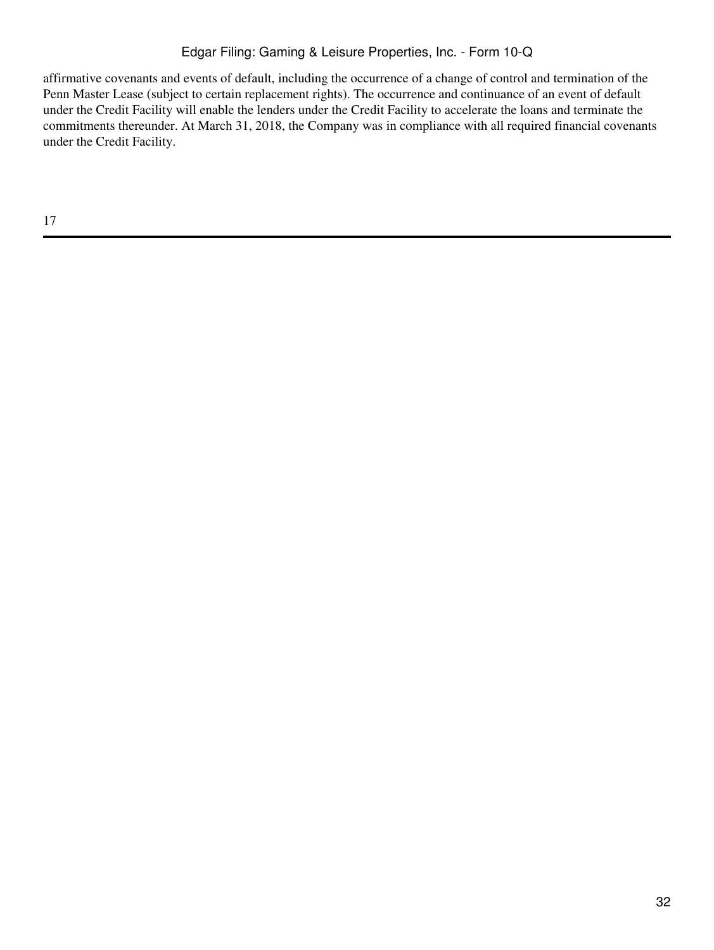affirmative covenants and events of default, including the occurrence of a change of control and termination of the Penn Master Lease (subject to certain replacement rights). The occurrence and continuance of an event of default under the Credit Facility will enable the lenders under the Credit Facility to accelerate the loans and terminate the commitments thereunder. At March 31, 2018, the Company was in compliance with all required financial covenants under the Credit Facility.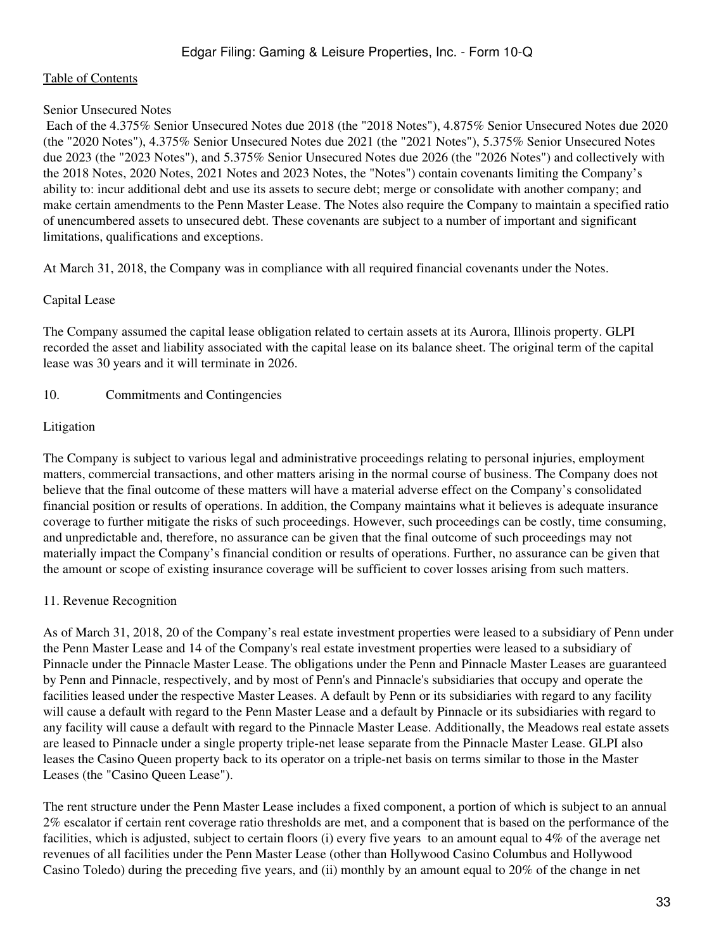### Senior Unsecured Notes

 Each of the 4.375% Senior Unsecured Notes due 2018 (the "2018 Notes"), 4.875% Senior Unsecured Notes due 2020 (the "2020 Notes"), 4.375% Senior Unsecured Notes due 2021 (the "2021 Notes"), 5.375% Senior Unsecured Notes due 2023 (the "2023 Notes"), and 5.375% Senior Unsecured Notes due 2026 (the "2026 Notes") and collectively with the 2018 Notes, 2020 Notes, 2021 Notes and 2023 Notes, the "Notes") contain covenants limiting the Company's ability to: incur additional debt and use its assets to secure debt; merge or consolidate with another company; and make certain amendments to the Penn Master Lease. The Notes also require the Company to maintain a specified ratio of unencumbered assets to unsecured debt. These covenants are subject to a number of important and significant limitations, qualifications and exceptions.

At March 31, 2018, the Company was in compliance with all required financial covenants under the Notes.

### Capital Lease

The Company assumed the capital lease obligation related to certain assets at its Aurora, Illinois property. GLPI recorded the asset and liability associated with the capital lease on its balance sheet. The original term of the capital lease was 30 years and it will terminate in 2026.

### 10. Commitments and Contingencies

### Litigation

The Company is subject to various legal and administrative proceedings relating to personal injuries, employment matters, commercial transactions, and other matters arising in the normal course of business. The Company does not believe that the final outcome of these matters will have a material adverse effect on the Company's consolidated financial position or results of operations. In addition, the Company maintains what it believes is adequate insurance coverage to further mitigate the risks of such proceedings. However, such proceedings can be costly, time consuming, and unpredictable and, therefore, no assurance can be given that the final outcome of such proceedings may not materially impact the Company's financial condition or results of operations. Further, no assurance can be given that the amount or scope of existing insurance coverage will be sufficient to cover losses arising from such matters.

### 11. Revenue Recognition

As of March 31, 2018, 20 of the Company's real estate investment properties were leased to a subsidiary of Penn under the Penn Master Lease and 14 of the Company's real estate investment properties were leased to a subsidiary of Pinnacle under the Pinnacle Master Lease. The obligations under the Penn and Pinnacle Master Leases are guaranteed by Penn and Pinnacle, respectively, and by most of Penn's and Pinnacle's subsidiaries that occupy and operate the facilities leased under the respective Master Leases. A default by Penn or its subsidiaries with regard to any facility will cause a default with regard to the Penn Master Lease and a default by Pinnacle or its subsidiaries with regard to any facility will cause a default with regard to the Pinnacle Master Lease. Additionally, the Meadows real estate assets are leased to Pinnacle under a single property triple-net lease separate from the Pinnacle Master Lease. GLPI also leases the Casino Queen property back to its operator on a triple-net basis on terms similar to those in the Master Leases (the "Casino Queen Lease").

The rent structure under the Penn Master Lease includes a fixed component, a portion of which is subject to an annual 2% escalator if certain rent coverage ratio thresholds are met, and a component that is based on the performance of the facilities, which is adjusted, subject to certain floors (i) every five years to an amount equal to 4% of the average net revenues of all facilities under the Penn Master Lease (other than Hollywood Casino Columbus and Hollywood Casino Toledo) during the preceding five years, and (ii) monthly by an amount equal to 20% of the change in net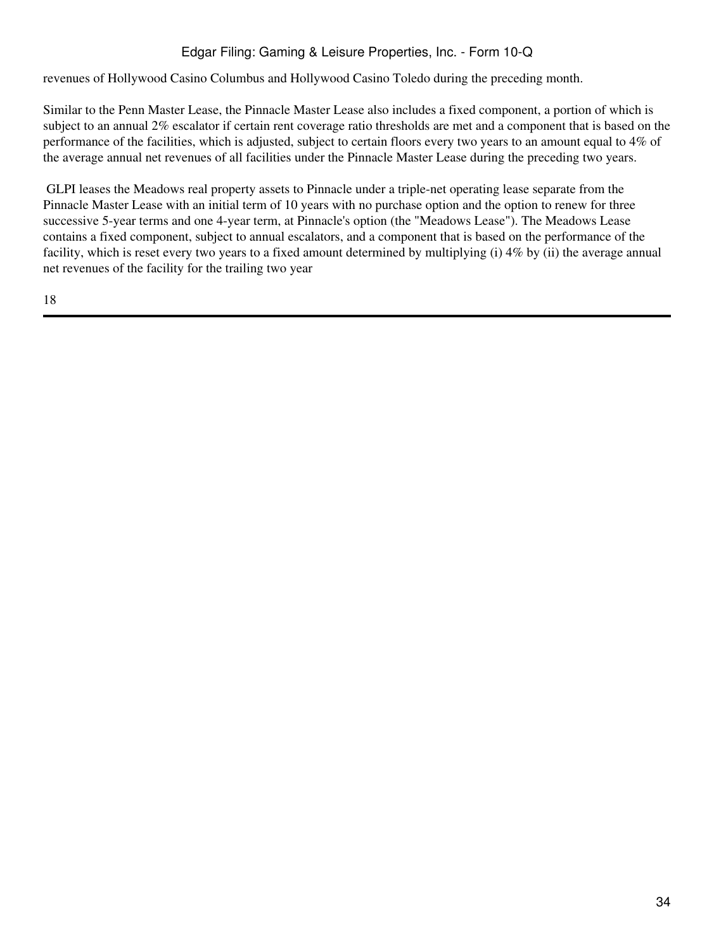revenues of Hollywood Casino Columbus and Hollywood Casino Toledo during the preceding month.

Similar to the Penn Master Lease, the Pinnacle Master Lease also includes a fixed component, a portion of which is subject to an annual 2% escalator if certain rent coverage ratio thresholds are met and a component that is based on the performance of the facilities, which is adjusted, subject to certain floors every two years to an amount equal to 4% of the average annual net revenues of all facilities under the Pinnacle Master Lease during the preceding two years.

 GLPI leases the Meadows real property assets to Pinnacle under a triple-net operating lease separate from the Pinnacle Master Lease with an initial term of 10 years with no purchase option and the option to renew for three successive 5-year terms and one 4-year term, at Pinnacle's option (the "Meadows Lease"). The Meadows Lease contains a fixed component, subject to annual escalators, and a component that is based on the performance of the facility, which is reset every two years to a fixed amount determined by multiplying (i) 4% by (ii) the average annual net revenues of the facility for the trailing two year

18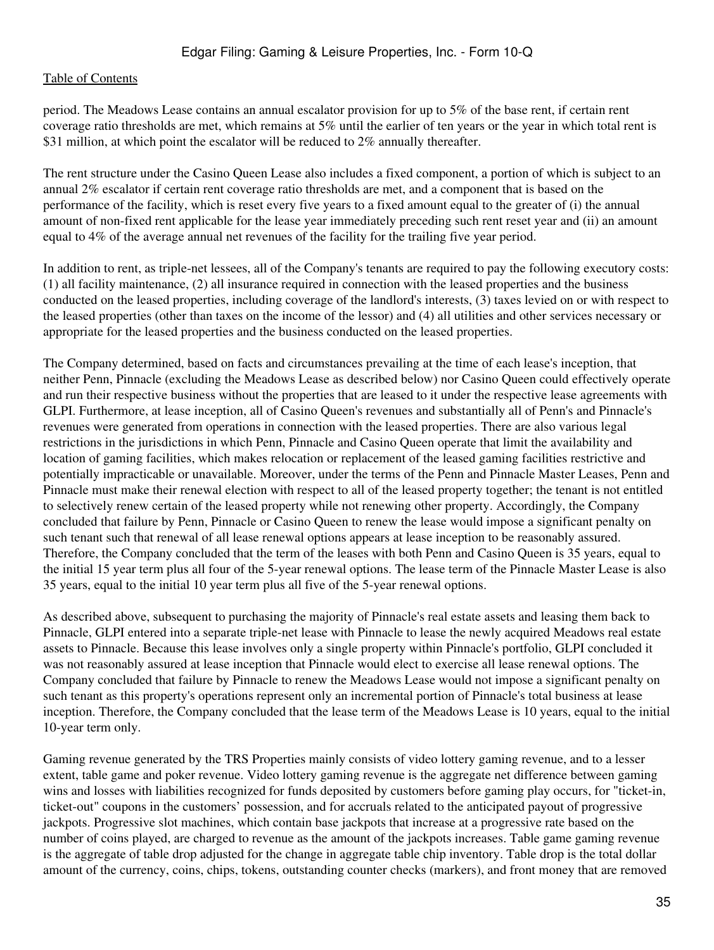period. The Meadows Lease contains an annual escalator provision for up to 5% of the base rent, if certain rent coverage ratio thresholds are met, which remains at 5% until the earlier of ten years or the year in which total rent is \$31 million, at which point the escalator will be reduced to 2% annually thereafter.

The rent structure under the Casino Queen Lease also includes a fixed component, a portion of which is subject to an annual 2% escalator if certain rent coverage ratio thresholds are met, and a component that is based on the performance of the facility, which is reset every five years to a fixed amount equal to the greater of (i) the annual amount of non-fixed rent applicable for the lease year immediately preceding such rent reset year and (ii) an amount equal to 4% of the average annual net revenues of the facility for the trailing five year period.

In addition to rent, as triple-net lessees, all of the Company's tenants are required to pay the following executory costs: (1) all facility maintenance, (2) all insurance required in connection with the leased properties and the business conducted on the leased properties, including coverage of the landlord's interests, (3) taxes levied on or with respect to the leased properties (other than taxes on the income of the lessor) and (4) all utilities and other services necessary or appropriate for the leased properties and the business conducted on the leased properties.

The Company determined, based on facts and circumstances prevailing at the time of each lease's inception, that neither Penn, Pinnacle (excluding the Meadows Lease as described below) nor Casino Queen could effectively operate and run their respective business without the properties that are leased to it under the respective lease agreements with GLPI. Furthermore, at lease inception, all of Casino Queen's revenues and substantially all of Penn's and Pinnacle's revenues were generated from operations in connection with the leased properties. There are also various legal restrictions in the jurisdictions in which Penn, Pinnacle and Casino Queen operate that limit the availability and location of gaming facilities, which makes relocation or replacement of the leased gaming facilities restrictive and potentially impracticable or unavailable. Moreover, under the terms of the Penn and Pinnacle Master Leases, Penn and Pinnacle must make their renewal election with respect to all of the leased property together; the tenant is not entitled to selectively renew certain of the leased property while not renewing other property. Accordingly, the Company concluded that failure by Penn, Pinnacle or Casino Queen to renew the lease would impose a significant penalty on such tenant such that renewal of all lease renewal options appears at lease inception to be reasonably assured. Therefore, the Company concluded that the term of the leases with both Penn and Casino Queen is 35 years, equal to the initial 15 year term plus all four of the 5-year renewal options. The lease term of the Pinnacle Master Lease is also 35 years, equal to the initial 10 year term plus all five of the 5-year renewal options.

As described above, subsequent to purchasing the majority of Pinnacle's real estate assets and leasing them back to Pinnacle, GLPI entered into a separate triple-net lease with Pinnacle to lease the newly acquired Meadows real estate assets to Pinnacle. Because this lease involves only a single property within Pinnacle's portfolio, GLPI concluded it was not reasonably assured at lease inception that Pinnacle would elect to exercise all lease renewal options. The Company concluded that failure by Pinnacle to renew the Meadows Lease would not impose a significant penalty on such tenant as this property's operations represent only an incremental portion of Pinnacle's total business at lease inception. Therefore, the Company concluded that the lease term of the Meadows Lease is 10 years, equal to the initial 10-year term only.

Gaming revenue generated by the TRS Properties mainly consists of video lottery gaming revenue, and to a lesser extent, table game and poker revenue. Video lottery gaming revenue is the aggregate net difference between gaming wins and losses with liabilities recognized for funds deposited by customers before gaming play occurs, for "ticket-in, ticket-out" coupons in the customers' possession, and for accruals related to the anticipated payout of progressive jackpots. Progressive slot machines, which contain base jackpots that increase at a progressive rate based on the number of coins played, are charged to revenue as the amount of the jackpots increases. Table game gaming revenue is the aggregate of table drop adjusted for the change in aggregate table chip inventory. Table drop is the total dollar amount of the currency, coins, chips, tokens, outstanding counter checks (markers), and front money that are removed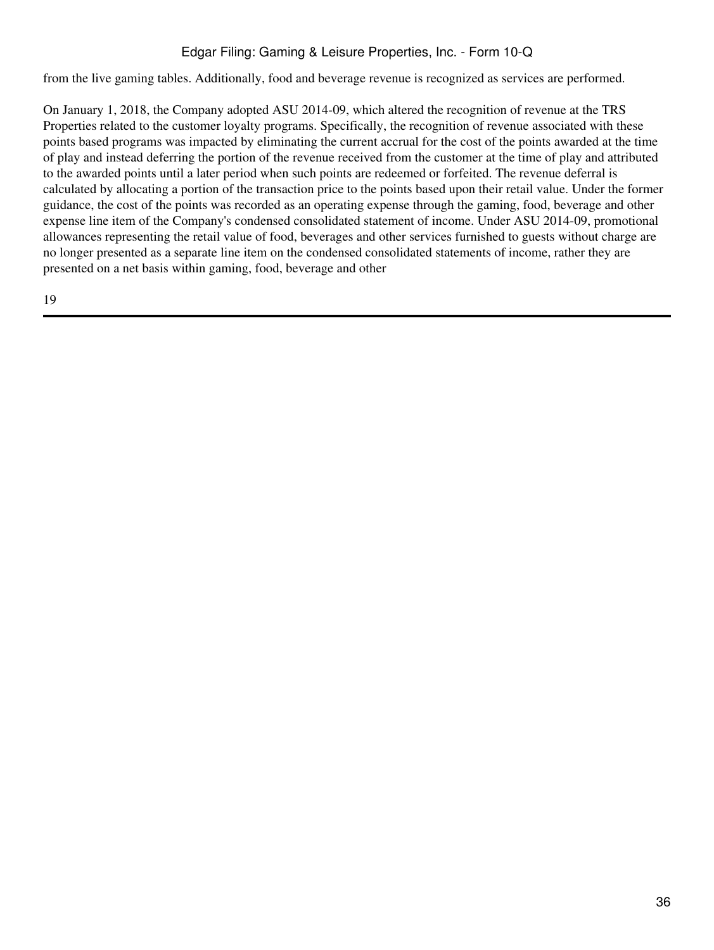from the live gaming tables. Additionally, food and beverage revenue is recognized as services are performed.

On January 1, 2018, the Company adopted ASU 2014-09, which altered the recognition of revenue at the TRS Properties related to the customer loyalty programs. Specifically, the recognition of revenue associated with these points based programs was impacted by eliminating the current accrual for the cost of the points awarded at the time of play and instead deferring the portion of the revenue received from the customer at the time of play and attributed to the awarded points until a later period when such points are redeemed or forfeited. The revenue deferral is calculated by allocating a portion of the transaction price to the points based upon their retail value. Under the former guidance, the cost of the points was recorded as an operating expense through the gaming, food, beverage and other expense line item of the Company's condensed consolidated statement of income. Under ASU 2014-09, promotional allowances representing the retail value of food, beverages and other services furnished to guests without charge are no longer presented as a separate line item on the condensed consolidated statements of income, rather they are presented on a net basis within gaming, food, beverage and other

19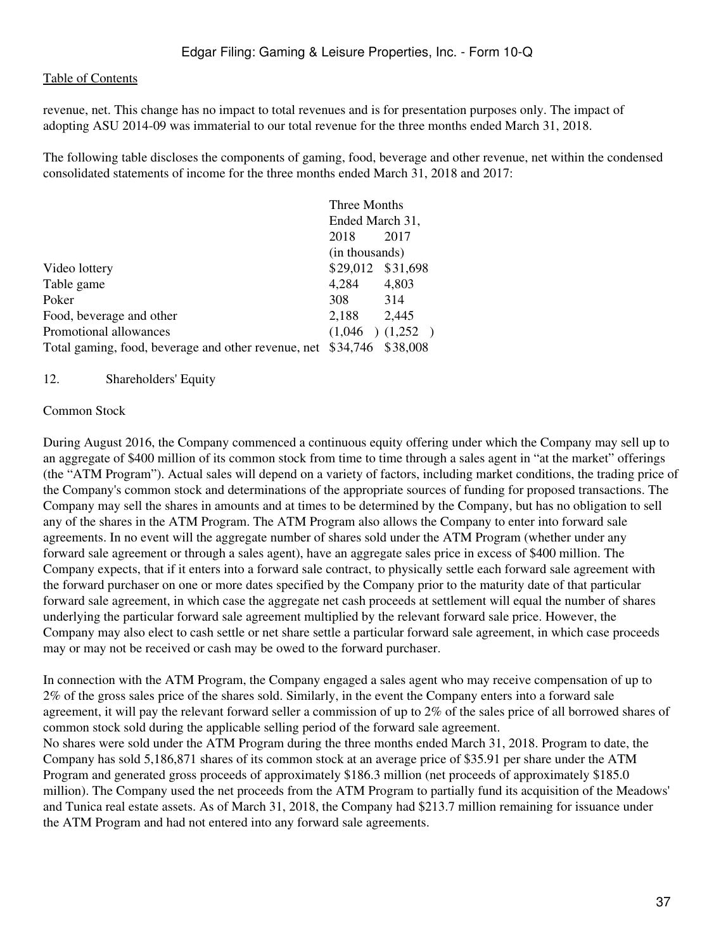revenue, net. This change has no impact to total revenues and is for presentation purposes only. The impact of adopting ASU 2014-09 was immaterial to our total revenue for the three months ended March 31, 2018.

The following table discloses the components of gaming, food, beverage and other revenue, net within the condensed consolidated statements of income for the three months ended March 31, 2018 and 2017:

|                                                              | Three Months      |                     |  |
|--------------------------------------------------------------|-------------------|---------------------|--|
|                                                              | Ended March 31,   |                     |  |
|                                                              | 2018              | 2017                |  |
|                                                              | (in thousands)    |                     |  |
| Video lottery                                                | \$29,012 \$31,698 |                     |  |
| Table game                                                   | 4,284             | 4,803               |  |
| Poker                                                        | 308               | 314                 |  |
| Food, beverage and other                                     | 2,188             | 2,445               |  |
| Promotional allowances                                       |                   | $(1,046)$ $(1,252)$ |  |
| Total gaming, food, beverage and other revenue, net \$34,746 |                   | \$38,008            |  |

#### 12. Shareholders' Equity

#### Common Stock

During August 2016, the Company commenced a continuous equity offering under which the Company may sell up to an aggregate of \$400 million of its common stock from time to time through a sales agent in "at the market" offerings (the "ATM Program"). Actual sales will depend on a variety of factors, including market conditions, the trading price of the Company's common stock and determinations of the appropriate sources of funding for proposed transactions. The Company may sell the shares in amounts and at times to be determined by the Company, but has no obligation to sell any of the shares in the ATM Program. The ATM Program also allows the Company to enter into forward sale agreements. In no event will the aggregate number of shares sold under the ATM Program (whether under any forward sale agreement or through a sales agent), have an aggregate sales price in excess of \$400 million. The Company expects, that if it enters into a forward sale contract, to physically settle each forward sale agreement with the forward purchaser on one or more dates specified by the Company prior to the maturity date of that particular forward sale agreement, in which case the aggregate net cash proceeds at settlement will equal the number of shares underlying the particular forward sale agreement multiplied by the relevant forward sale price. However, the Company may also elect to cash settle or net share settle a particular forward sale agreement, in which case proceeds may or may not be received or cash may be owed to the forward purchaser.

In connection with the ATM Program, the Company engaged a sales agent who may receive compensation of up to 2% of the gross sales price of the shares sold. Similarly, in the event the Company enters into a forward sale agreement, it will pay the relevant forward seller a commission of up to 2% of the sales price of all borrowed shares of common stock sold during the applicable selling period of the forward sale agreement. No shares were sold under the ATM Program during the three months ended March 31, 2018. Program to date, the Company has sold 5,186,871 shares of its common stock at an average price of \$35.91 per share under the ATM Program and generated gross proceeds of approximately \$186.3 million (net proceeds of approximately \$185.0 million). The Company used the net proceeds from the ATM Program to partially fund its acquisition of the Meadows' and Tunica real estate assets. As of March 31, 2018, the Company had \$213.7 million remaining for issuance under the ATM Program and had not entered into any forward sale agreements.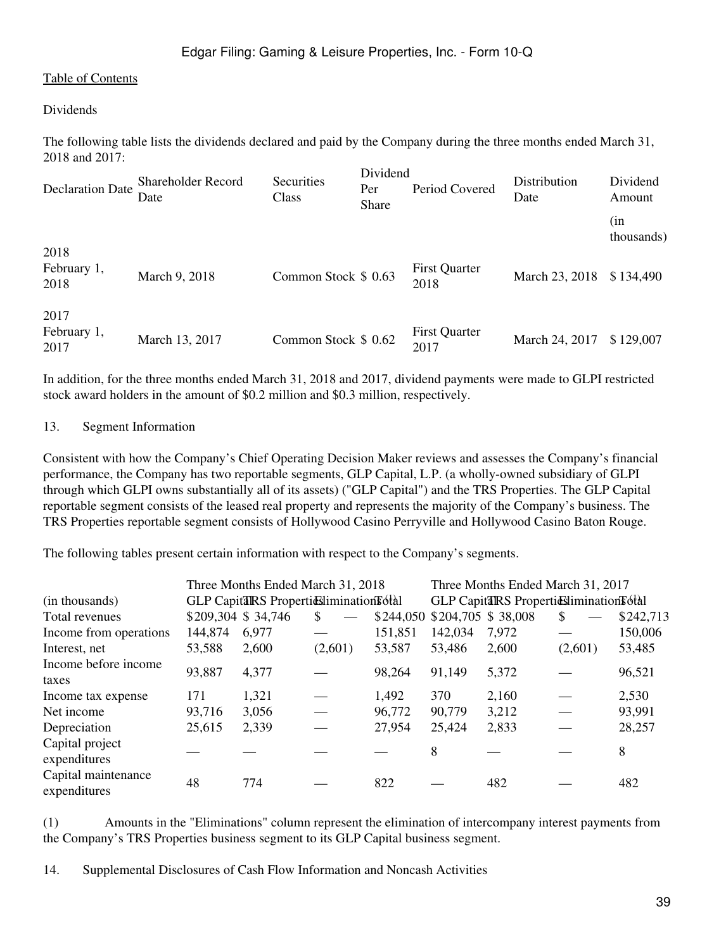#### Dividends

The following table lists the dividends declared and paid by the Company during the three months ended March 31, 2018 and 2017:

| <b>Declaration Date</b>     | Shareholder Record<br>Date | Securities<br>Class  | Dividend<br>Per<br><b>Share</b> | Period Covered               | Distribution<br>Date | Dividend<br>Amount |
|-----------------------------|----------------------------|----------------------|---------------------------------|------------------------------|----------------------|--------------------|
|                             |                            |                      |                                 |                              |                      | (in<br>thousands)  |
| 2018<br>February 1,<br>2018 | March 9, 2018              | Common Stock \$ 0.63 |                                 | <b>First Quarter</b><br>2018 | March 23, 2018       | \$134,490          |
| 2017<br>February 1,<br>2017 | March 13, 2017             | Common Stock \$ 0.62 |                                 | <b>First Quarter</b><br>2017 | March 24, 2017       | \$129,007          |

In addition, for the three months ended March 31, 2018 and 2017, dividend payments were made to GLPI restricted stock award holders in the amount of \$0.2 million and \$0.3 million, respectively.

#### 13. Segment Information

Consistent with how the Company's Chief Operating Decision Maker reviews and assesses the Company's financial performance, the Company has two reportable segments, GLP Capital, L.P. (a wholly-owned subsidiary of GLPI through which GLPI owns substantially all of its assets) ("GLP Capital") and the TRS Properties. The GLP Capital reportable segment consists of the leased real property and represents the majority of the Company's business. The TRS Properties reportable segment consists of Hollywood Casino Perryville and Hollywood Casino Baton Rouge.

The following tables present certain information with respect to the Company's segments.

|                                     |                    | Three Months Ended March 31, 2018       |         |         |                              | Three Months Ended March 31, 2017          |         |           |
|-------------------------------------|--------------------|-----------------------------------------|---------|---------|------------------------------|--------------------------------------------|---------|-----------|
| (in thousands)                      |                    | GLP CapitalRS ProperticsilminationFotal |         |         |                              | GLP CapitalRS Properticuliminations of all |         |           |
| Total revenues                      | \$209,304 \$34,746 |                                         | S.      |         | \$244,050 \$204,705 \$38,008 |                                            | S.      | \$242,713 |
| Income from operations              | 144,874            | 6,977                                   |         | 151,851 | 142,034                      | 7,972                                      |         | 150,006   |
| Interest, net                       | 53,588             | 2,600                                   | (2,601) | 53,587  | 53,486                       | 2,600                                      | (2,601) | 53,485    |
| Income before income<br>taxes       | 93,887             | 4,377                                   |         | 98,264  | 91,149                       | 5,372                                      |         | 96,521    |
| Income tax expense                  | 171                | 1,321                                   |         | 1,492   | 370                          | 2,160                                      |         | 2,530     |
| Net income                          | 93,716             | 3,056                                   |         | 96,772  | 90,779                       | 3,212                                      |         | 93,991    |
| Depreciation                        | 25,615             | 2,339                                   |         | 27,954  | 25,424                       | 2,833                                      |         | 28,257    |
| Capital project<br>expenditures     |                    |                                         |         |         | 8                            |                                            |         | 8         |
| Capital maintenance<br>expenditures | 48                 | 774                                     |         | 822     |                              | 482                                        |         | 482       |

(1) Amounts in the "Eliminations" column represent the elimination of intercompany interest payments from the Company's TRS Properties business segment to its GLP Capital business segment.

14. Supplemental Disclosures of Cash Flow Information and Noncash Activities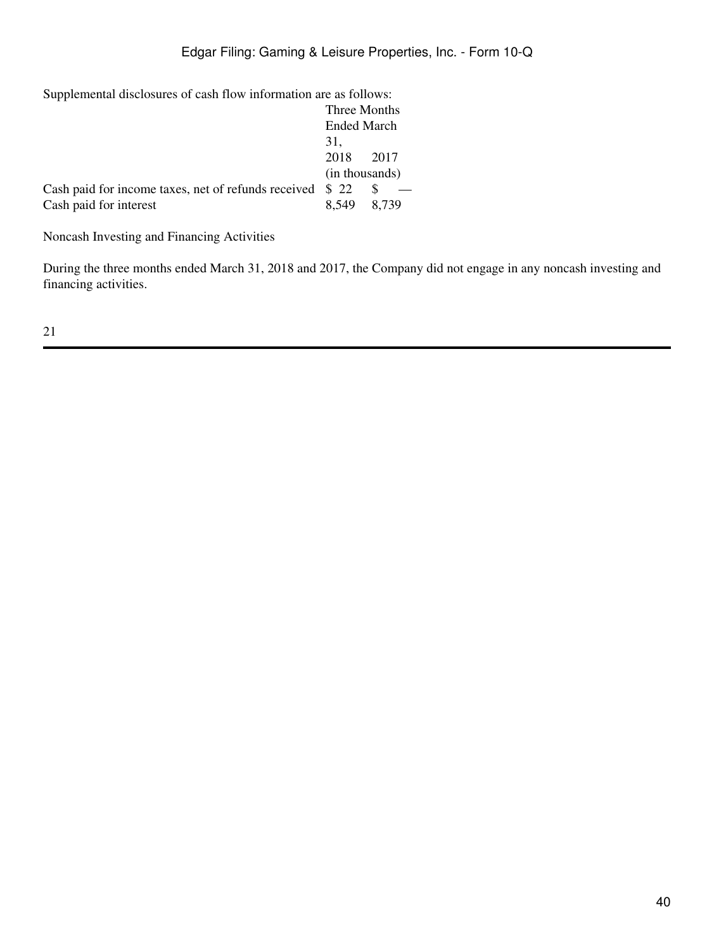Supplemental disclosures of cash flow information are as follows:

|                                                           | Three Months       |       |  |
|-----------------------------------------------------------|--------------------|-------|--|
|                                                           | <b>Ended March</b> |       |  |
|                                                           | 31.                |       |  |
|                                                           | 2018               | 2017  |  |
|                                                           | (in thousands)     |       |  |
| Cash paid for income taxes, net of refunds received $$22$ |                    |       |  |
| Cash paid for interest                                    | 8.549              | 8.739 |  |

Noncash Investing and Financing Activities

During the three months ended March 31, 2018 and 2017, the Company did not engage in any noncash investing and financing activities.

21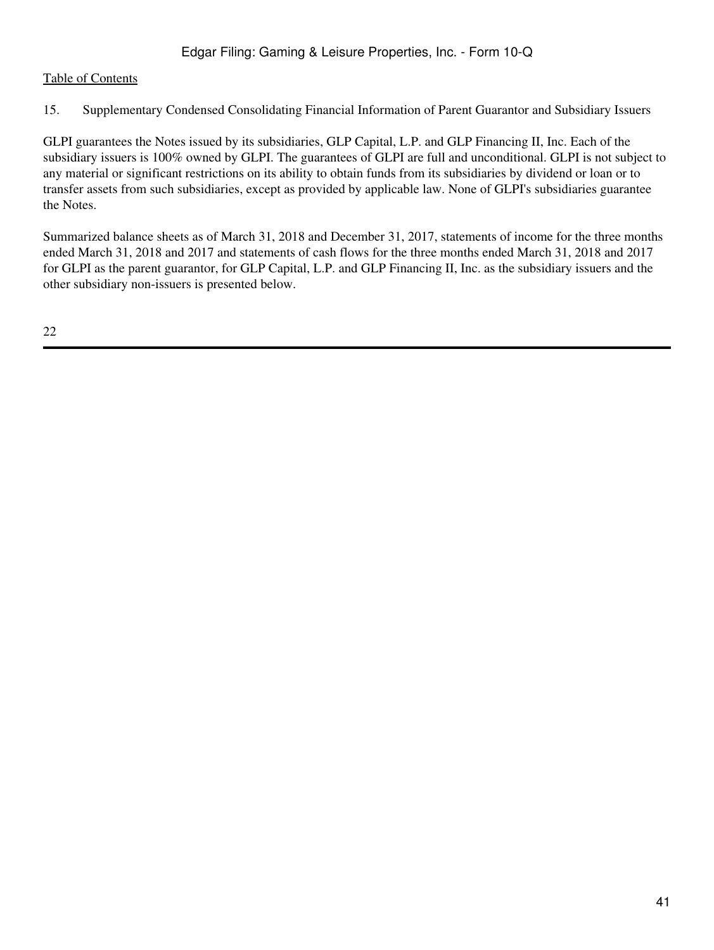15. Supplementary Condensed Consolidating Financial Information of Parent Guarantor and Subsidiary Issuers

GLPI guarantees the Notes issued by its subsidiaries, GLP Capital, L.P. and GLP Financing II, Inc. Each of the subsidiary issuers is 100% owned by GLPI. The guarantees of GLPI are full and unconditional. GLPI is not subject to any material or significant restrictions on its ability to obtain funds from its subsidiaries by dividend or loan or to transfer assets from such subsidiaries, except as provided by applicable law. None of GLPI's subsidiaries guarantee the Notes.

Summarized balance sheets as of March 31, 2018 and December 31, 2017, statements of income for the three months ended March 31, 2018 and 2017 and statements of cash flows for the three months ended March 31, 2018 and 2017 for GLPI as the parent guarantor, for GLP Capital, L.P. and GLP Financing II, Inc. as the subsidiary issuers and the other subsidiary non-issuers is presented below.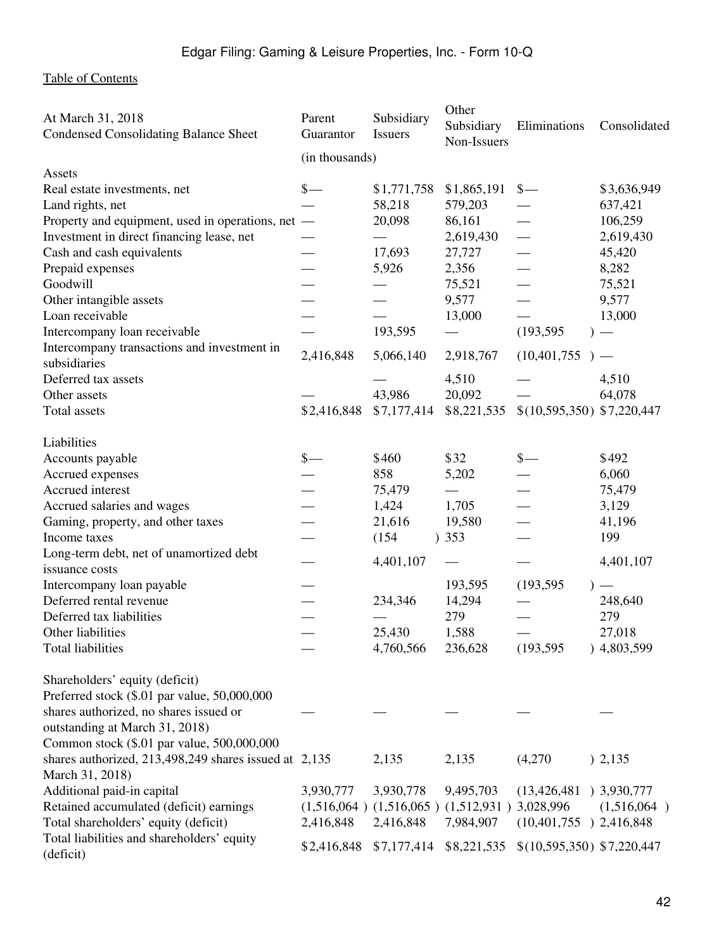| At March 31, 2018<br><b>Condensed Consolidating Balance Sheet</b> | Parent<br>Guarantor | Subsidiary<br><b>Issuers</b>                          | Other<br>Subsidiary<br>Non-Issuers | Eliminations                | Consolidated |
|-------------------------------------------------------------------|---------------------|-------------------------------------------------------|------------------------------------|-----------------------------|--------------|
|                                                                   | (in thousands)      |                                                       |                                    |                             |              |
| Assets                                                            |                     |                                                       |                                    |                             |              |
| Real estate investments, net                                      | $\frac{1}{2}$       | \$1,771,758                                           | \$1,865,191                        | $\frac{\S}{\S}$             | \$3,636,949  |
| Land rights, net                                                  |                     | 58,218                                                | 579,203                            |                             | 637,421      |
| Property and equipment, used in operations, net —                 |                     | 20,098                                                | 86,161                             |                             | 106,259      |
| Investment in direct financing lease, net                         |                     |                                                       | 2,619,430                          |                             | 2,619,430    |
| Cash and cash equivalents                                         |                     | 17,693                                                | 27,727                             |                             | 45,420       |
| Prepaid expenses                                                  |                     | 5,926                                                 | 2,356                              |                             | 8,282        |
| Goodwill                                                          |                     |                                                       | 75,521                             |                             | 75,521       |
| Other intangible assets                                           |                     |                                                       | 9,577                              |                             | 9,577        |
| Loan receivable                                                   |                     |                                                       | 13,000                             |                             | 13,000       |
| Intercompany loan receivable                                      |                     | 193,595                                               |                                    | (193, 595)                  |              |
| Intercompany transactions and investment in                       |                     |                                                       |                                    |                             |              |
| subsidiaries                                                      | 2,416,848           | 5,066,140                                             | 2,918,767                          | $(10,401,755)$ –            |              |
| Deferred tax assets                                               |                     |                                                       | 4,510                              |                             | 4,510        |
| Other assets                                                      |                     | 43,986                                                | 20,092                             |                             | 64,078       |
| Total assets                                                      | \$2,416,848         | \$7,177,414                                           | \$8,221,535                        | $$(10,595,350)$ \$7,220,447 |              |
|                                                                   |                     |                                                       |                                    |                             |              |
| Liabilities                                                       |                     |                                                       |                                    |                             |              |
| Accounts payable                                                  | $\frac{\S}{\S}$     | \$460                                                 | \$32                               | $\frac{\S}{\S}$             | \$492        |
| Accrued expenses                                                  |                     | 858                                                   | 5,202                              |                             | 6,060        |
| Accrued interest                                                  |                     | 75,479                                                |                                    |                             | 75,479       |
| Accrued salaries and wages                                        |                     | 1,424                                                 | 1,705                              |                             | 3,129        |
| Gaming, property, and other taxes                                 |                     | 21,616                                                | 19,580                             |                             | 41,196       |
| Income taxes                                                      |                     | (154)                                                 | )353                               |                             | 199          |
| Long-term debt, net of unamortized debt                           |                     |                                                       |                                    |                             |              |
| issuance costs                                                    |                     | 4,401,107                                             |                                    |                             | 4,401,107    |
| Intercompany loan payable                                         |                     |                                                       | 193,595                            | (193, 595)                  |              |
| Deferred rental revenue                                           |                     | 234,346                                               | 14,294                             |                             | 248,640      |
| Deferred tax liabilities                                          |                     |                                                       | 279                                |                             | 279          |
| Other liabilities                                                 |                     | 25,430                                                | 1,588                              |                             | 27,018       |
| Total liabilities                                                 |                     | 4,760,566                                             | 236,628                            | (193, 595)                  | )4,803,599   |
|                                                                   |                     |                                                       |                                    |                             |              |
| Shareholders' equity (deficit)                                    |                     |                                                       |                                    |                             |              |
| Preferred stock (\$.01 par value, 50,000,000                      |                     |                                                       |                                    |                             |              |
| shares authorized, no shares issued or                            |                     |                                                       |                                    |                             |              |
| outstanding at March 31, 2018)                                    |                     |                                                       |                                    |                             |              |
| Common stock (\$.01 par value, 500,000,000                        |                     |                                                       |                                    |                             |              |
| shares authorized, 213,498,249 shares issued at 2,135             |                     | 2,135                                                 | 2,135                              | (4,270)                     | ) 2,135      |
| March 31, 2018)                                                   |                     |                                                       |                                    |                             |              |
| Additional paid-in capital                                        | 3,930,777           | 3,930,778                                             | 9,495,703                          | $(13,426,481)$ 3,930,777    |              |
| Retained accumulated (deficit) earnings                           |                     | $(1,516,064)$ $(1,516,065)$ $(1,512,931)$ $3,028,996$ |                                    |                             | (1,516,064)  |
| Total shareholders' equity (deficit)                              | 2,416,848           | 2,416,848                                             | 7,984,907                          | $(10,401,755)$ 2,416,848    |              |
| Total liabilities and shareholders' equity                        |                     |                                                       |                                    |                             |              |
| (deficit)                                                         | \$2,416,848         | \$7,177,414                                           | \$8,221,535                        | $$(10,595,350)$ \$7,220,447 |              |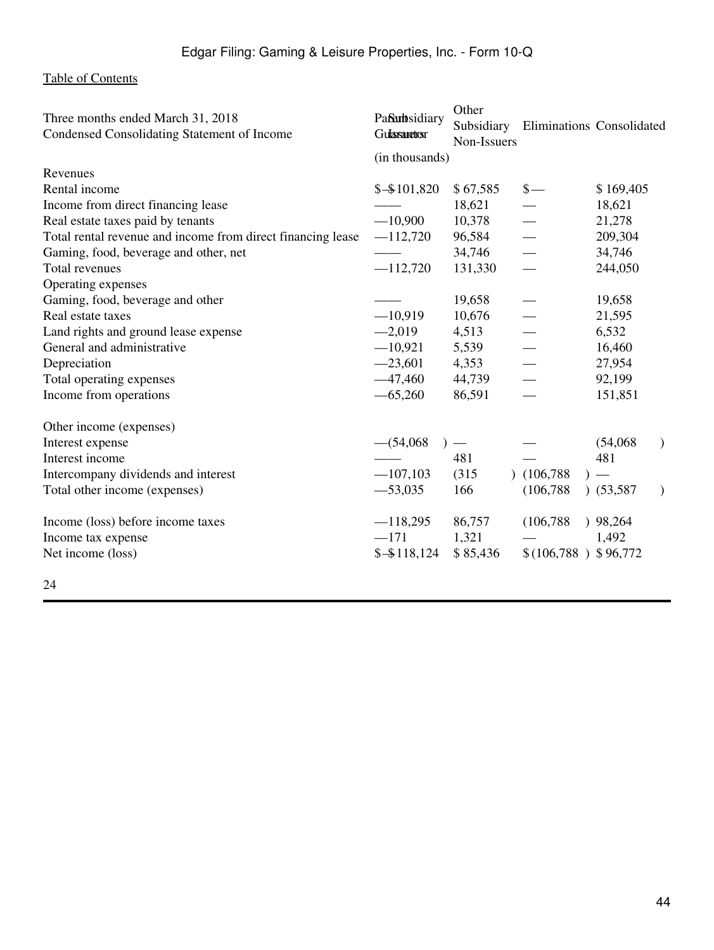| Three months ended March 31, 2018<br>Condensed Consolidating Statement of Income | Pafarbsidiary<br><b>Gulasaretosr</b> | Other<br>Subsidiary<br>Non-Issuers |                       | Eliminations Consolidated |
|----------------------------------------------------------------------------------|--------------------------------------|------------------------------------|-----------------------|---------------------------|
|                                                                                  | (in thousands)                       |                                    |                       |                           |
| Revenues                                                                         |                                      |                                    |                       |                           |
| Rental income                                                                    | $$ - $101,820$                       | \$67,585                           | $\frac{\S}{\S}$       | \$169,405                 |
| Income from direct financing lease                                               |                                      | 18,621                             |                       | 18,621                    |
| Real estate taxes paid by tenants                                                | $-10,900$                            | 10,378                             |                       | 21,278                    |
| Total rental revenue and income from direct financing lease                      | $-112,720$                           | 96,584                             |                       | 209,304                   |
| Gaming, food, beverage and other, net                                            |                                      | 34,746                             |                       | 34,746                    |
| Total revenues                                                                   | $-112,720$                           | 131,330                            |                       | 244,050                   |
| Operating expenses                                                               |                                      |                                    |                       |                           |
| Gaming, food, beverage and other                                                 |                                      | 19,658                             |                       | 19,658                    |
| Real estate taxes                                                                | $-10,919$                            | 10,676                             |                       | 21,595                    |
| Land rights and ground lease expense                                             | $-2,019$                             | 4,513                              |                       | 6,532                     |
| General and administrative                                                       | $-10,921$                            | 5,539                              |                       | 16,460                    |
| Depreciation                                                                     | $-23,601$                            | 4,353                              |                       | 27,954                    |
| Total operating expenses                                                         | $-47,460$                            | 44,739                             |                       | 92,199                    |
| Income from operations                                                           | $-65,260$                            | 86,591                             |                       | 151,851                   |
| Other income (expenses)                                                          |                                      |                                    |                       |                           |
| Interest expense                                                                 | $-$ (54,068)                         | $\overline{\phantom{0}}$           |                       | (54,068)<br>$\mathcal{F}$ |
| Interest income                                                                  |                                      | 481                                |                       | 481                       |
| Intercompany dividends and interest                                              | $-107,103$                           | (315)                              | (106, 788)            |                           |
| Total other income (expenses)                                                    | $-53,035$                            | 166                                | (106, 788)            | $)$ (53,587)<br>$\lambda$ |
| Income (loss) before income taxes                                                | $-118,295$                           | 86,757                             | (106, 788)            | 98,264                    |
| Income tax expense                                                               | $-171$                               | 1,321                              |                       | 1,492                     |
| Net income (loss)                                                                | $$ - $118,124$                       | \$85,436                           | $$(106,788)$ \$96,772 |                           |

24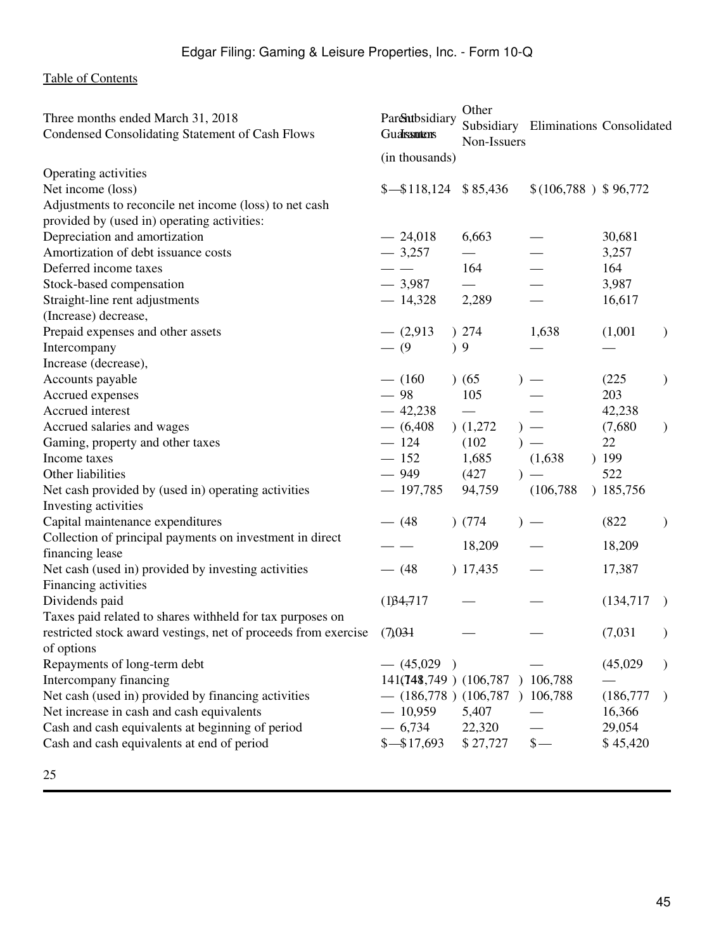| Three months ended March 31, 2018<br>Condensed Consolidating Statement of Cash Flows                                                               | Parentbsidiary<br>Gualssutens  | Other<br>Non-Issuers     | Subsidiary Eliminations Consolidated |                             |               |
|----------------------------------------------------------------------------------------------------------------------------------------------------|--------------------------------|--------------------------|--------------------------------------|-----------------------------|---------------|
|                                                                                                                                                    | (in thousands)                 |                          |                                      |                             |               |
| Operating activities<br>Net income (loss)<br>Adjustments to reconcile net income (loss) to net cash<br>provided by (used in) operating activities: | $\frac{$-\$118,124}{\$85,436}$ |                          | $$(106,788)$ \$96,772                |                             |               |
| Depreciation and amortization                                                                                                                      | $-24,018$                      | 6,663                    |                                      | 30,681                      |               |
| Amortization of debt issuance costs                                                                                                                | $-3,257$                       | $\overline{\phantom{0}}$ |                                      | 3,257                       |               |
| Deferred income taxes                                                                                                                              |                                | 164                      |                                      | 164                         |               |
| Stock-based compensation                                                                                                                           | $-3,987$                       |                          |                                      | 3,987                       |               |
| Straight-line rent adjustments                                                                                                                     | $-14,328$                      | 2,289                    |                                      | 16,617                      |               |
| (Increase) decrease,                                                                                                                               |                                |                          |                                      |                             |               |
| Prepaid expenses and other assets                                                                                                                  | $-$ (2,913)                    | ) 274                    | 1,638                                | (1,001)                     | $\mathcal{F}$ |
| Intercompany                                                                                                                                       | $- (9)$                        | )9                       |                                      |                             |               |
| Increase (decrease),                                                                                                                               |                                |                          |                                      |                             |               |
| Accounts payable                                                                                                                                   | $-$ (160)                      | (65)                     |                                      | (225)                       | $\mathcal{E}$ |
| Accrued expenses                                                                                                                                   | $-98$                          | 105                      |                                      | 203                         |               |
| Accrued interest                                                                                                                                   | $-42,238$                      |                          |                                      | 42,238                      |               |
| Accrued salaries and wages                                                                                                                         | $-$ (6,408)                    | (1,272)                  |                                      | (7,680)                     | $\mathcal{L}$ |
| Gaming, property and other taxes                                                                                                                   | $-124$                         | (102)                    |                                      | 22                          |               |
| Income taxes                                                                                                                                       | $-152$                         | 1,685                    | (1,638)                              | 199                         |               |
| Other liabilities                                                                                                                                  | $-949$                         | (427)                    |                                      | 522                         |               |
| Net cash provided by (used in) operating activities                                                                                                | $-197,785$                     | 94,759                   | (106, 788)                           | ) 185,756                   |               |
| Investing activities                                                                                                                               |                                |                          |                                      |                             |               |
| Capital maintenance expenditures                                                                                                                   | $- (48$                        | ) (774)                  |                                      | (822)                       | $\lambda$     |
| Collection of principal payments on investment in direct                                                                                           |                                |                          |                                      |                             |               |
| financing lease                                                                                                                                    |                                | 18,209                   |                                      | 18,209                      |               |
| Net cash (used in) provided by investing activities<br>Financing activities                                                                        | $- (48$                        | ) 17,435                 |                                      | 17,387                      |               |
| Dividends paid                                                                                                                                     | (1)34,717                      |                          |                                      | (134, 717)<br>$\rightarrow$ |               |
| Taxes paid related to shares withheld for tax purposes on                                                                                          |                                |                          |                                      |                             |               |
| restricted stock award vestings, net of proceeds from exercise                                                                                     | (7)031                         |                          |                                      | (7,031)                     | $\mathcal{Y}$ |
| of options                                                                                                                                         |                                |                          |                                      |                             |               |
| Repayments of long-term debt                                                                                                                       | $-$ (45,029)                   |                          |                                      | (45,029)                    |               |
| Intercompany financing                                                                                                                             | 141(748,749) (106,787) 106,788 |                          |                                      |                             |               |
| Net cash (used in) provided by financing activities                                                                                                | $-$ (186,778) (106,787)        |                          | 106,788                              | (186,777)                   |               |
| Net increase in cash and cash equivalents                                                                                                          | $-10,959$                      | 5,407                    |                                      | 16,366                      |               |
| Cash and cash equivalents at beginning of period                                                                                                   | $-6,734$                       | 22,320                   |                                      | 29,054                      |               |
| Cash and cash equivalents at end of period                                                                                                         | $$ - $17,693$                  | \$27,727                 | $\frac{\ }{s-}$                      | \$45,420                    |               |
|                                                                                                                                                    |                                |                          |                                      |                             |               |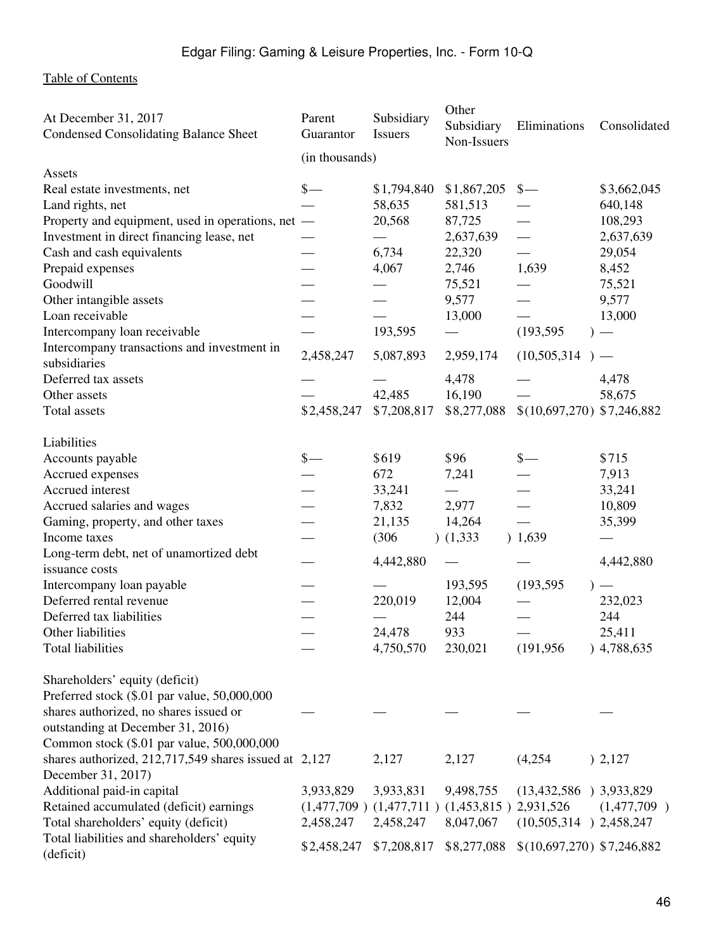| At December 31, 2017<br><b>Condensed Consolidating Balance Sheet</b> | Parent<br>Guarantor | Subsidiary<br><b>Issuers</b>                          | Other<br>Subsidiary<br>Non-Issuers | Eliminations                | Consolidated |
|----------------------------------------------------------------------|---------------------|-------------------------------------------------------|------------------------------------|-----------------------------|--------------|
|                                                                      | (in thousands)      |                                                       |                                    |                             |              |
| Assets                                                               |                     |                                                       |                                    |                             |              |
| Real estate investments, net                                         | $\frac{\ }{\ }$     | \$1,794,840                                           | \$1,867,205                        | $\frac{\S}{\S}$             | \$3,662,045  |
| Land rights, net                                                     |                     | 58,635                                                | 581,513                            |                             | 640,148      |
| Property and equipment, used in operations, net —                    |                     | 20,568                                                | 87,725                             |                             | 108,293      |
| Investment in direct financing lease, net                            |                     |                                                       | 2,637,639                          |                             | 2,637,639    |
| Cash and cash equivalents                                            |                     | 6,734                                                 | 22,320                             |                             | 29,054       |
| Prepaid expenses                                                     |                     | 4,067                                                 | 2,746                              | 1,639                       | 8,452        |
| Goodwill                                                             |                     |                                                       | 75,521                             |                             | 75,521       |
| Other intangible assets                                              |                     |                                                       | 9,577                              |                             | 9,577        |
| Loan receivable                                                      |                     |                                                       | 13,000                             |                             | 13,000       |
| Intercompany loan receivable                                         |                     | 193,595                                               |                                    | (193, 595)                  |              |
| Intercompany transactions and investment in                          |                     |                                                       |                                    |                             |              |
| subsidiaries                                                         | 2,458,247           | 5,087,893                                             | 2,959,174                          | (10,505,314)                |              |
| Deferred tax assets                                                  |                     |                                                       | 4,478                              |                             | 4,478        |
| Other assets                                                         |                     | 42,485                                                | 16,190                             |                             | 58,675       |
| Total assets                                                         |                     |                                                       |                                    |                             |              |
|                                                                      | \$2,458,247         | \$7,208,817                                           | \$8,277,088                        | $$(10,697,270)$ \$7,246,882 |              |
| Liabilities                                                          |                     |                                                       |                                    |                             |              |
| Accounts payable                                                     | $\frac{\S}{\S}$     | \$619                                                 | \$96                               | $\frac{\S}{\S}$             | \$715        |
| Accrued expenses                                                     |                     | 672                                                   | 7,241                              |                             | 7,913        |
| Accrued interest                                                     |                     | 33,241                                                |                                    |                             | 33,241       |
| Accrued salaries and wages                                           |                     | 7,832                                                 | 2,977                              |                             | 10,809       |
| Gaming, property, and other taxes                                    |                     | 21,135                                                | 14,264                             |                             | 35,399       |
| Income taxes                                                         |                     | (306)                                                 | (1, 333)                           | ) 1,639                     |              |
| Long-term debt, net of unamortized debt                              |                     |                                                       |                                    |                             |              |
| issuance costs                                                       |                     | 4,442,880                                             |                                    |                             | 4,442,880    |
| Intercompany loan payable                                            |                     |                                                       | 193,595                            | (193, 595)                  |              |
| Deferred rental revenue                                              |                     | 220,019                                               | 12,004                             |                             | 232,023      |
| Deferred tax liabilities                                             |                     |                                                       | 244                                |                             | 244          |
| Other liabilities                                                    |                     | 24,478                                                | 933                                |                             | 25,411       |
| Total liabilities                                                    |                     | 4,750,570                                             | 230,021                            | (191, 956)                  | )4,788,635   |
|                                                                      |                     |                                                       |                                    |                             |              |
| Shareholders' equity (deficit)                                       |                     |                                                       |                                    |                             |              |
| Preferred stock (\$.01 par value, 50,000,000                         |                     |                                                       |                                    |                             |              |
| shares authorized, no shares issued or                               |                     |                                                       |                                    |                             |              |
| outstanding at December 31, 2016)                                    |                     |                                                       |                                    |                             |              |
| Common stock (\$.01 par value, 500,000,000                           |                     |                                                       |                                    |                             |              |
| shares authorized, 212,717,549 shares issued at 2,127                |                     | 2,127                                                 | 2,127                              | (4,254)                     | ) 2,127      |
| December 31, 2017)                                                   |                     |                                                       |                                    |                             |              |
| Additional paid-in capital                                           | 3,933,829           | 3,933,831                                             | 9,498,755                          | $(13,432,586)$ 3,933,829    |              |
| Retained accumulated (deficit) earnings                              |                     | $(1,477,709)$ $(1,477,711)$ $(1,453,815)$ $2,931,526$ |                                    |                             | (1,477,709)  |
| Total shareholders' equity (deficit)                                 | 2,458,247           | 2,458,247                                             | 8,047,067                          | $(10,505,314)$ 2,458,247    |              |
| Total liabilities and shareholders' equity                           |                     |                                                       |                                    |                             |              |
| (deficit)                                                            | \$2,458,247         | \$7,208,817                                           | \$8,277,088                        | $$(10,697,270)$ \$7,246,882 |              |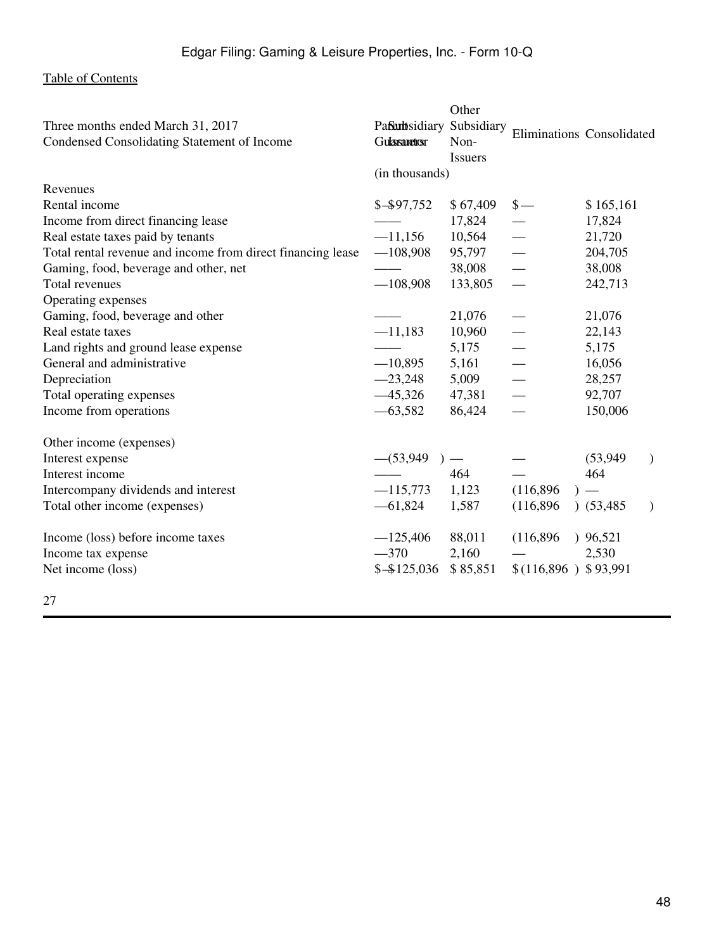|                                                             |                     | Other                           |                           |           |               |
|-------------------------------------------------------------|---------------------|---------------------------------|---------------------------|-----------|---------------|
| Three months ended March 31, 2017                           | Pafarbsidiary       | Subsidiary                      | Eliminations Consolidated |           |               |
| Condensed Consolidating Statement of Income                 | <b>Gulasaretosr</b> | Non-                            |                           |           |               |
|                                                             |                     | <b>Issuers</b>                  |                           |           |               |
|                                                             | (in thousands)      |                                 |                           |           |               |
| Revenues                                                    |                     |                                 |                           |           |               |
| Rental income                                               | $$ - $97,752$       | \$67,409                        | $\frac{1}{2}$             | \$165,161 |               |
| Income from direct financing lease                          |                     | 17,824                          |                           | 17,824    |               |
| Real estate taxes paid by tenants                           | $-11,156$           | 10,564                          |                           | 21,720    |               |
| Total rental revenue and income from direct financing lease | $-108,908$          | 95,797                          |                           | 204,705   |               |
| Gaming, food, beverage and other, net                       |                     | 38,008                          |                           | 38,008    |               |
| Total revenues                                              | $-108,908$          | 133,805                         |                           | 242,713   |               |
| Operating expenses                                          |                     |                                 |                           |           |               |
| Gaming, food, beverage and other                            |                     | 21,076                          |                           | 21,076    |               |
| Real estate taxes                                           | $-11,183$           | 10,960                          |                           | 22,143    |               |
| Land rights and ground lease expense                        |                     | 5,175                           |                           | 5,175     |               |
| General and administrative                                  | $-10,895$           | 5,161                           |                           | 16,056    |               |
| Depreciation                                                | $-23,248$           | 5,009                           |                           | 28,257    |               |
| Total operating expenses                                    | $-45,326$           | 47,381                          |                           | 92,707    |               |
| Income from operations                                      | $-63,582$           | 86,424                          |                           | 150,006   |               |
| Other income (expenses)                                     |                     |                                 |                           |           |               |
| Interest expense                                            | $-(53,949)$         | $\hspace{0.1mm}-\hspace{0.1mm}$ |                           | (53, 949) | $\mathcal{L}$ |
| Interest income                                             |                     | 464                             |                           | 464       |               |
| Intercompany dividends and interest                         | $-115,773$          | 1,123                           | (116,896)                 | $)$ —     |               |
| Total other income (expenses)                               | $-61,824$           | 1,587                           | (116,896)                 | (53, 485) | $\mathcal{L}$ |
| Income (loss) before income taxes                           | $-125,406$          | 88,011                          | (116, 896)                | 96,521    |               |
| Income tax expense                                          | $-370$              | 2,160                           |                           | 2,530     |               |
| Net income (loss)                                           | $$ - $125,036$      | \$85,851                        | $$(116,896)$ \$93,991     |           |               |
|                                                             |                     |                                 |                           |           |               |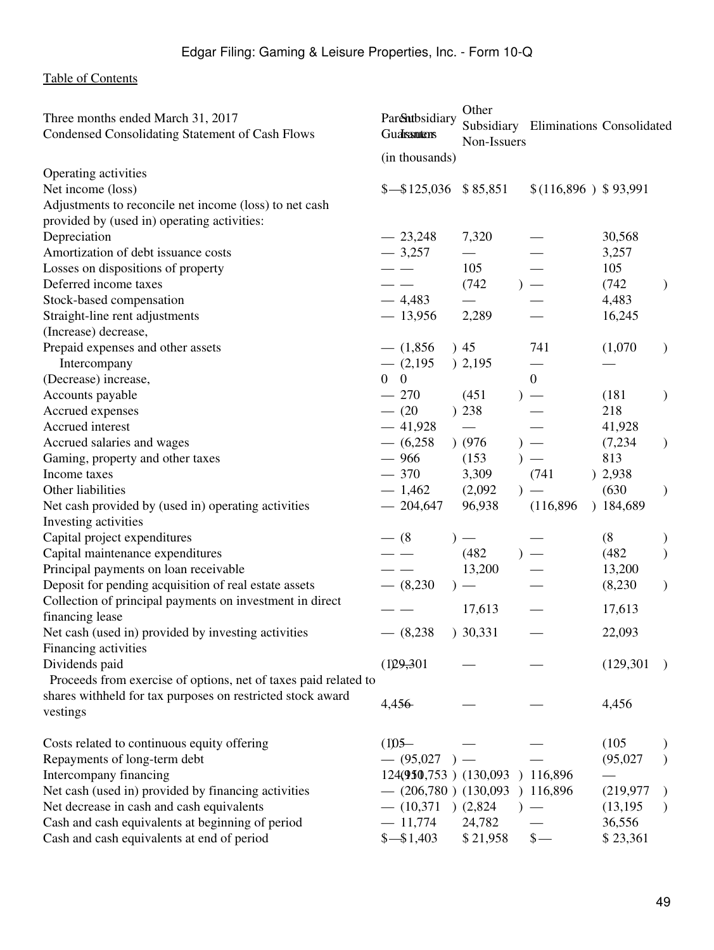| Three months ended March 31, 2017<br>Condensed Consolidating Statement of Cash Flows | Parentbsidiary<br>Gualsantens    | Other                    |       | Subsidiary Eliminations Consolidated |            |               |
|--------------------------------------------------------------------------------------|----------------------------------|--------------------------|-------|--------------------------------------|------------|---------------|
|                                                                                      |                                  | Non-Issuers              |       |                                      |            |               |
| Operating activities                                                                 | (in thousands)                   |                          |       |                                      |            |               |
| Net income (loss)                                                                    | $\frac{$-\$125,036}{\$85,851}$   |                          |       | $$(116,896)$ \$93,991                |            |               |
| Adjustments to reconcile net income (loss) to net cash                               |                                  |                          |       |                                      |            |               |
| provided by (used in) operating activities:                                          |                                  |                          |       |                                      |            |               |
| Depreciation                                                                         | $-23,248$                        | 7,320                    |       |                                      | 30,568     |               |
| Amortization of debt issuance costs                                                  | $-3,257$                         | $\overline{\phantom{0}}$ |       |                                      | 3,257      |               |
| Losses on dispositions of property                                                   | $ -$                             | 105                      |       |                                      | 105        |               |
| Deferred income taxes                                                                |                                  | (742)                    |       |                                      | (742)      | $\mathcal{L}$ |
| Stock-based compensation                                                             | $-4,483$                         |                          |       |                                      | 4,483      |               |
| Straight-line rent adjustments                                                       | $-13,956$                        | 2,289                    |       |                                      | 16,245     |               |
| (Increase) decrease,                                                                 |                                  |                          |       |                                      |            |               |
| Prepaid expenses and other assets                                                    | $-$ (1,856)                      | )45                      |       | 741                                  | (1,070)    | $\mathcal{L}$ |
| Intercompany                                                                         | $-$ (2,195)                      | ) 2,195                  |       |                                      |            |               |
| (Decrease) increase,                                                                 | $\overline{0}$<br>$\overline{0}$ |                          |       | $\overline{0}$                       |            |               |
| Accounts payable                                                                     | $-270$                           | (451)                    |       |                                      | (181)      | $\mathcal{E}$ |
| Accrued expenses                                                                     | $- (20)$                         | ) 238                    |       |                                      | 218        |               |
| Accrued interest                                                                     | $-41,928$                        |                          |       |                                      | 41,928     |               |
| Accrued salaries and wages                                                           | $-$ (6,258)                      | ) (976)                  |       |                                      | (7,234)    | $\mathcal{L}$ |
| Gaming, property and other taxes                                                     | $-966$                           | (153)                    |       |                                      | 813        |               |
| Income taxes                                                                         | $-370$                           | 3,309                    |       | (741)                                | ) 2,938    |               |
| Other liabilities                                                                    | $-1,462$                         | (2,092)                  | $)$ — |                                      | (630)      | $\mathcal{L}$ |
| Net cash provided by (used in) operating activities                                  | $-204,647$                       | 96,938                   |       | (116,896)                            | )184,689   |               |
| Investing activities                                                                 |                                  |                          |       |                                      |            |               |
| Capital project expenditures                                                         | $- (8$                           | $)$ —                    |       |                                      | (8)        |               |
| Capital maintenance expenditures                                                     |                                  | (482)                    |       |                                      | (482)      | $\mathcal{E}$ |
| Principal payments on loan receivable                                                |                                  | 13,200                   |       |                                      | 13,200     |               |
| Deposit for pending acquisition of real estate assets                                | $-$ (8,230)                      | $)$ —                    |       |                                      | (8,230)    | $\mathcal{L}$ |
| Collection of principal payments on investment in direct                             |                                  | 17,613                   |       |                                      | 17,613     |               |
| financing lease                                                                      |                                  |                          |       |                                      |            |               |
| Net cash (used in) provided by investing activities                                  | $-$ (8,238)                      | ) 30,331                 |       |                                      | 22,093     |               |
| Financing activities                                                                 |                                  |                          |       |                                      |            |               |
| Dividends paid                                                                       | (129,301)                        |                          |       |                                      | (129, 301) |               |
| Proceeds from exercise of options, net of taxes paid related to                      |                                  |                          |       |                                      |            |               |
| shares withheld for tax purposes on restricted stock award                           | 4,456                            |                          |       |                                      | 4,456      |               |
| vestings                                                                             |                                  |                          |       |                                      |            |               |
| Costs related to continuous equity offering                                          | $(1)05-$                         |                          |       |                                      | (105)      |               |
| Repayments of long-term debt                                                         | $-$ (95,027)                     |                          |       |                                      | (95,027)   |               |
| Intercompany financing                                                               | 124(950,753) (130,093            |                          |       | 116,896                              |            |               |
| Net cash (used in) provided by financing activities                                  | $-$ (206,780) (130,093           |                          |       | ) 116,896                            | (219, 977) |               |
| Net decrease in cash and cash equivalents                                            | $- (10,371)$                     | (2,824)                  |       |                                      | (13, 195)  | $\lambda$     |
| Cash and cash equivalents at beginning of period                                     | $-11,774$                        | 24,782                   |       |                                      | 36,556     |               |
| Cash and cash equivalents at end of period                                           | $$ - $1,403$                     | \$21,958                 |       | $\mathbb{S}-$                        | \$23,361   |               |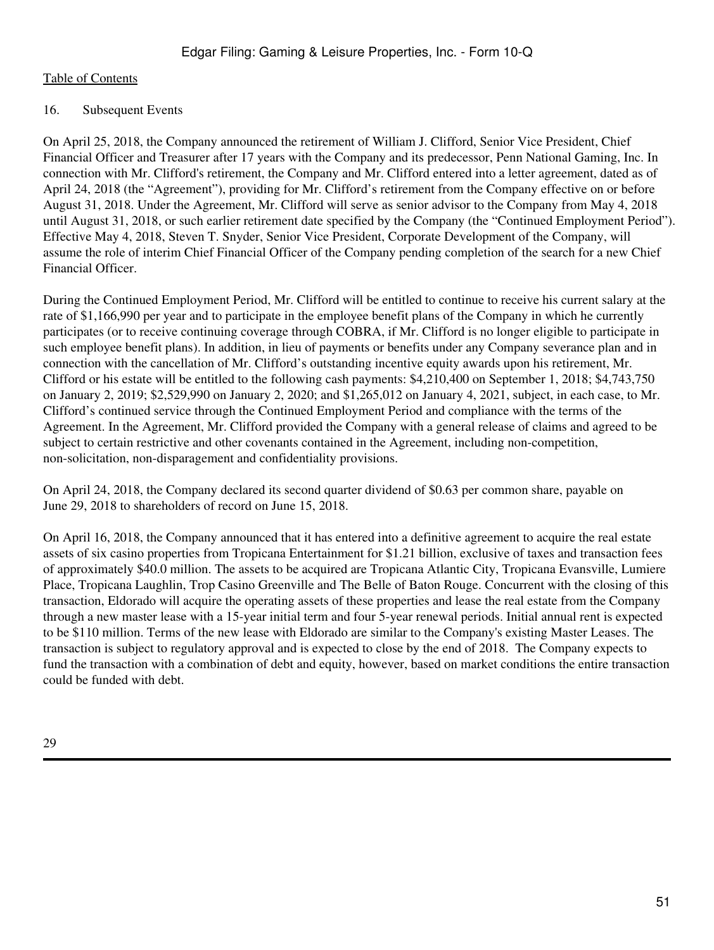#### 16. Subsequent Events

On April 25, 2018, the Company announced the retirement of William J. Clifford, Senior Vice President, Chief Financial Officer and Treasurer after 17 years with the Company and its predecessor, Penn National Gaming, Inc. In connection with Mr. Clifford's retirement, the Company and Mr. Clifford entered into a letter agreement, dated as of April 24, 2018 (the "Agreement"), providing for Mr. Clifford's retirement from the Company effective on or before August 31, 2018. Under the Agreement, Mr. Clifford will serve as senior advisor to the Company from May 4, 2018 until August 31, 2018, or such earlier retirement date specified by the Company (the "Continued Employment Period"). Effective May 4, 2018, Steven T. Snyder, Senior Vice President, Corporate Development of the Company, will assume the role of interim Chief Financial Officer of the Company pending completion of the search for a new Chief Financial Officer.

During the Continued Employment Period, Mr. Clifford will be entitled to continue to receive his current salary at the rate of \$1,166,990 per year and to participate in the employee benefit plans of the Company in which he currently participates (or to receive continuing coverage through COBRA, if Mr. Clifford is no longer eligible to participate in such employee benefit plans). In addition, in lieu of payments or benefits under any Company severance plan and in connection with the cancellation of Mr. Clifford's outstanding incentive equity awards upon his retirement, Mr. Clifford or his estate will be entitled to the following cash payments: \$4,210,400 on September 1, 2018; \$4,743,750 on January 2, 2019; \$2,529,990 on January 2, 2020; and \$1,265,012 on January 4, 2021, subject, in each case, to Mr. Clifford's continued service through the Continued Employment Period and compliance with the terms of the Agreement. In the Agreement, Mr. Clifford provided the Company with a general release of claims and agreed to be subject to certain restrictive and other covenants contained in the Agreement, including non-competition, non-solicitation, non-disparagement and confidentiality provisions.

On April 24, 2018, the Company declared its second quarter dividend of \$0.63 per common share, payable on June 29, 2018 to shareholders of record on June 15, 2018.

On April 16, 2018, the Company announced that it has entered into a definitive agreement to acquire the real estate assets of six casino properties from Tropicana Entertainment for \$1.21 billion, exclusive of taxes and transaction fees of approximately \$40.0 million. The assets to be acquired are Tropicana Atlantic City, Tropicana Evansville, Lumiere Place, Tropicana Laughlin, Trop Casino Greenville and The Belle of Baton Rouge. Concurrent with the closing of this transaction, Eldorado will acquire the operating assets of these properties and lease the real estate from the Company through a new master lease with a 15-year initial term and four 5-year renewal periods. Initial annual rent is expected to be \$110 million. Terms of the new lease with Eldorado are similar to the Company's existing Master Leases. The transaction is subject to regulatory approval and is expected to close by the end of 2018. The Company expects to fund the transaction with a combination of debt and equity, however, based on market conditions the entire transaction could be funded with debt.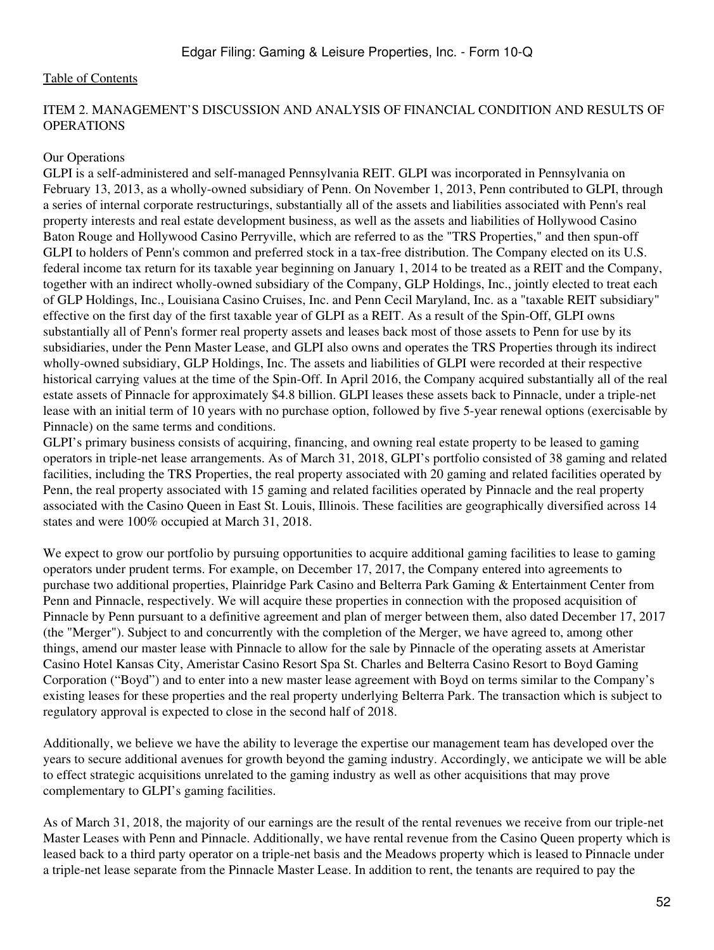#### ITEM 2. MANAGEMENT'S DISCUSSION AND ANALYSIS OF FINANCIAL CONDITION AND RESULTS OF OPERATIONS

#### Our Operations

GLPI is a self-administered and self-managed Pennsylvania REIT. GLPI was incorporated in Pennsylvania on February 13, 2013, as a wholly-owned subsidiary of Penn. On November 1, 2013, Penn contributed to GLPI, through a series of internal corporate restructurings, substantially all of the assets and liabilities associated with Penn's real property interests and real estate development business, as well as the assets and liabilities of Hollywood Casino Baton Rouge and Hollywood Casino Perryville, which are referred to as the "TRS Properties," and then spun-off GLPI to holders of Penn's common and preferred stock in a tax-free distribution. The Company elected on its U.S. federal income tax return for its taxable year beginning on January 1, 2014 to be treated as a REIT and the Company, together with an indirect wholly-owned subsidiary of the Company, GLP Holdings, Inc., jointly elected to treat each of GLP Holdings, Inc., Louisiana Casino Cruises, Inc. and Penn Cecil Maryland, Inc. as a "taxable REIT subsidiary" effective on the first day of the first taxable year of GLPI as a REIT. As a result of the Spin-Off, GLPI owns substantially all of Penn's former real property assets and leases back most of those assets to Penn for use by its subsidiaries, under the Penn Master Lease, and GLPI also owns and operates the TRS Properties through its indirect wholly-owned subsidiary, GLP Holdings, Inc. The assets and liabilities of GLPI were recorded at their respective historical carrying values at the time of the Spin-Off. In April 2016, the Company acquired substantially all of the real estate assets of Pinnacle for approximately \$4.8 billion. GLPI leases these assets back to Pinnacle, under a triple-net lease with an initial term of 10 years with no purchase option, followed by five 5-year renewal options (exercisable by Pinnacle) on the same terms and conditions.

GLPI's primary business consists of acquiring, financing, and owning real estate property to be leased to gaming operators in triple-net lease arrangements. As of March 31, 2018, GLPI's portfolio consisted of 38 gaming and related facilities, including the TRS Properties, the real property associated with 20 gaming and related facilities operated by Penn, the real property associated with 15 gaming and related facilities operated by Pinnacle and the real property associated with the Casino Queen in East St. Louis, Illinois. These facilities are geographically diversified across 14 states and were 100% occupied at March 31, 2018.

We expect to grow our portfolio by pursuing opportunities to acquire additional gaming facilities to lease to gaming operators under prudent terms. For example, on December 17, 2017, the Company entered into agreements to purchase two additional properties, Plainridge Park Casino and Belterra Park Gaming & Entertainment Center from Penn and Pinnacle, respectively. We will acquire these properties in connection with the proposed acquisition of Pinnacle by Penn pursuant to a definitive agreement and plan of merger between them, also dated December 17, 2017 (the "Merger"). Subject to and concurrently with the completion of the Merger, we have agreed to, among other things, amend our master lease with Pinnacle to allow for the sale by Pinnacle of the operating assets at Ameristar Casino Hotel Kansas City, Ameristar Casino Resort Spa St. Charles and Belterra Casino Resort to Boyd Gaming Corporation ("Boyd") and to enter into a new master lease agreement with Boyd on terms similar to the Company's existing leases for these properties and the real property underlying Belterra Park. The transaction which is subject to regulatory approval is expected to close in the second half of 2018.

Additionally, we believe we have the ability to leverage the expertise our management team has developed over the years to secure additional avenues for growth beyond the gaming industry. Accordingly, we anticipate we will be able to effect strategic acquisitions unrelated to the gaming industry as well as other acquisitions that may prove complementary to GLPI's gaming facilities.

As of March 31, 2018, the majority of our earnings are the result of the rental revenues we receive from our triple-net Master Leases with Penn and Pinnacle. Additionally, we have rental revenue from the Casino Queen property which is leased back to a third party operator on a triple-net basis and the Meadows property which is leased to Pinnacle under a triple-net lease separate from the Pinnacle Master Lease. In addition to rent, the tenants are required to pay the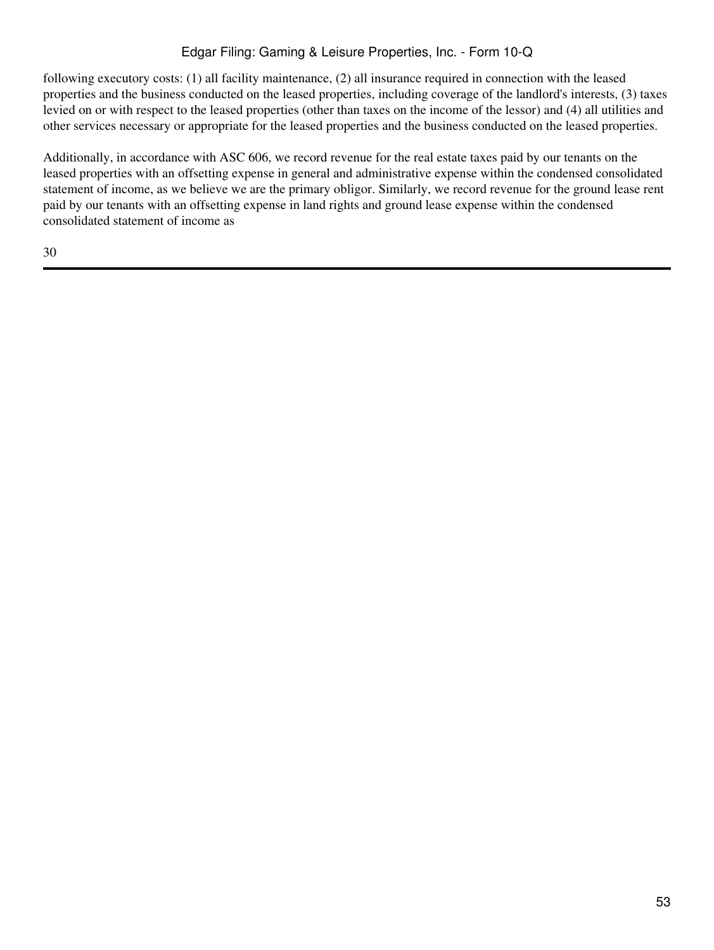## Edgar Filing: Gaming & Leisure Properties, Inc. - Form 10-Q

following executory costs: (1) all facility maintenance, (2) all insurance required in connection with the leased properties and the business conducted on the leased properties, including coverage of the landlord's interests, (3) taxes levied on or with respect to the leased properties (other than taxes on the income of the lessor) and (4) all utilities and other services necessary or appropriate for the leased properties and the business conducted on the leased properties.

Additionally, in accordance with ASC 606, we record revenue for the real estate taxes paid by our tenants on the leased properties with an offsetting expense in general and administrative expense within the condensed consolidated statement of income, as we believe we are the primary obligor. Similarly, we record revenue for the ground lease rent paid by our tenants with an offsetting expense in land rights and ground lease expense within the condensed consolidated statement of income as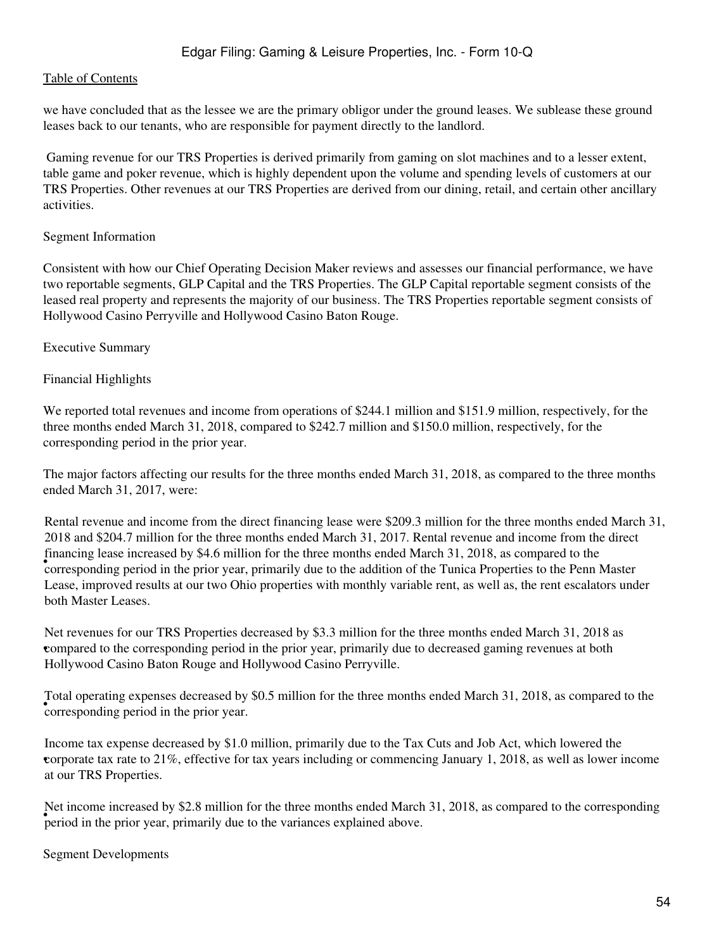we have concluded that as the lessee we are the primary obligor under the ground leases. We sublease these ground leases back to our tenants, who are responsible for payment directly to the landlord.

 Gaming revenue for our TRS Properties is derived primarily from gaming on slot machines and to a lesser extent, table game and poker revenue, which is highly dependent upon the volume and spending levels of customers at our TRS Properties. Other revenues at our TRS Properties are derived from our dining, retail, and certain other ancillary activities.

#### Segment Information

Consistent with how our Chief Operating Decision Maker reviews and assesses our financial performance, we have two reportable segments, GLP Capital and the TRS Properties. The GLP Capital reportable segment consists of the leased real property and represents the majority of our business. The TRS Properties reportable segment consists of Hollywood Casino Perryville and Hollywood Casino Baton Rouge.

#### Executive Summary

#### Financial Highlights

We reported total revenues and income from operations of \$244.1 million and \$151.9 million, respectively, for the three months ended March 31, 2018, compared to \$242.7 million and \$150.0 million, respectively, for the corresponding period in the prior year.

The major factors affecting our results for the three months ended March 31, 2018, as compared to the three months ended March 31, 2017, were:

Financing lease increased by  $\phi$ -rio infinition for the time months ended March 51, 2010, as compared to the Penn Master Rental revenue and income from the direct financing lease were \$209.3 million for the three months ended March 31, 2018 and \$204.7 million for the three months ended March 31, 2017. Rental revenue and income from the direct financing lease increased by \$4.6 million for the three months ended March 31, 2018, as compared to the Lease, improved results at our two Ohio properties with monthly variable rent, as well as, the rent escalators under both Master Leases.

• compared to the corresponding period in the prior year, primarily due to decreased gaming revenues at both Net revenues for our TRS Properties decreased by \$3.3 million for the three months ended March 31, 2018 as Hollywood Casino Baton Rouge and Hollywood Casino Perryville.

• corresponding period in the prior year. Total operating expenses decreased by \$0.5 million for the three months ended March 31, 2018, as compared to the

• corporate tax rate to 21%, effective for tax years including or commencing January 1, 2018, as well as lower income Income tax expense decreased by \$1.0 million, primarily due to the Tax Cuts and Job Act, which lowered the at our TRS Properties.

period in the prior year, primarily due to the variances explained above. Net income increased by \$2.8 million for the three months ended March 31, 2018, as compared to the corresponding

Segment Developments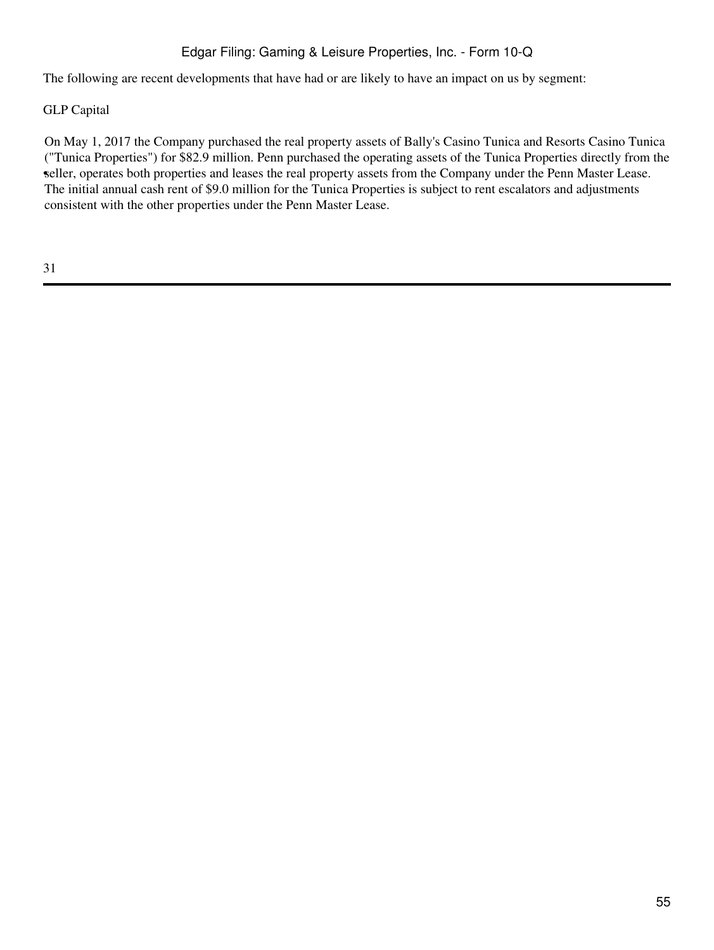## Edgar Filing: Gaming & Leisure Properties, Inc. - Form 10-Q

The following are recent developments that have had or are likely to have an impact on us by segment:

#### GLP Capital

• seller, operates both properties and leases the real property assets from the Company under the Penn Master Lease. On May 1, 2017 the Company purchased the real property assets of Bally's Casino Tunica and Resorts Casino Tunica ("Tunica Properties") for \$82.9 million. Penn purchased the operating assets of the Tunica Properties directly from the The initial annual cash rent of \$9.0 million for the Tunica Properties is subject to rent escalators and adjustments consistent with the other properties under the Penn Master Lease.

31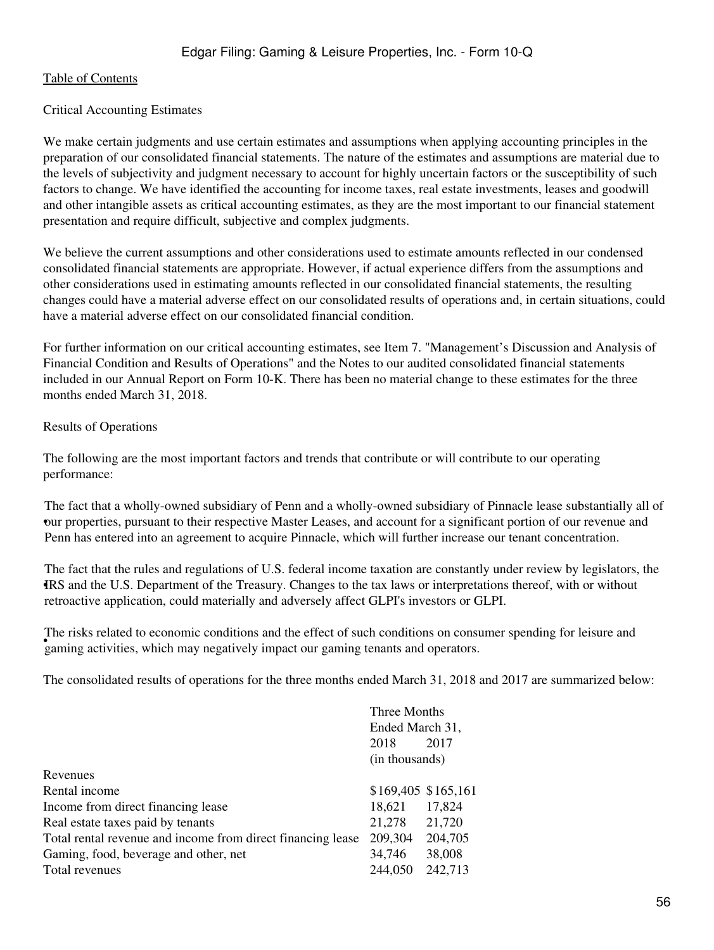#### Critical Accounting Estimates

We make certain judgments and use certain estimates and assumptions when applying accounting principles in the preparation of our consolidated financial statements. The nature of the estimates and assumptions are material due to the levels of subjectivity and judgment necessary to account for highly uncertain factors or the susceptibility of such factors to change. We have identified the accounting for income taxes, real estate investments, leases and goodwill and other intangible assets as critical accounting estimates, as they are the most important to our financial statement presentation and require difficult, subjective and complex judgments.

We believe the current assumptions and other considerations used to estimate amounts reflected in our condensed consolidated financial statements are appropriate. However, if actual experience differs from the assumptions and other considerations used in estimating amounts reflected in our consolidated financial statements, the resulting changes could have a material adverse effect on our consolidated results of operations and, in certain situations, could have a material adverse effect on our consolidated financial condition.

For further information on our critical accounting estimates, see Item 7. "Management's Discussion and Analysis of Financial Condition and Results of Operations" and the Notes to our audited consolidated financial statements included in our Annual Report on Form 10-K. There has been no material change to these estimates for the three months ended March 31, 2018.

#### Results of Operations

The following are the most important factors and trends that contribute or will contribute to our operating performance:

our properties, pursuant to their respective Master Leases, and account for a significant portion of our revenue and The fact that a wholly-owned subsidiary of Penn and a wholly-owned subsidiary of Pinnacle lease substantially all of Penn has entered into an agreement to acquire Pinnacle, which will further increase our tenant concentration.

IRS and the U.S. Department of the Treasury. Changes to the tax laws or interpretations thereof, with or without The fact that the rules and regulations of U.S. federal income taxation are constantly under review by legislators, the retroactive application, could materially and adversely affect GLPI's investors or GLPI.

and the risks related to economic conditions and the errect or such conditions on constanting gaming activities, which may negatively impact our gaming tenants and operators. The risks related to economic conditions and the effect of such conditions on consumer spending for leisure and

The consolidated results of operations for the three months ended March 31, 2018 and 2017 are summarized below:

|                                                             | Three Months    |                     |  |
|-------------------------------------------------------------|-----------------|---------------------|--|
|                                                             | Ended March 31, |                     |  |
|                                                             | 2018            | 2017                |  |
|                                                             | (in thousands)  |                     |  |
| Revenues                                                    |                 |                     |  |
| Rental income                                               |                 | \$169,405 \$165,161 |  |
| Income from direct financing lease                          | 18,621          | 17,824              |  |
| Real estate taxes paid by tenants                           | 21,278          | 21,720              |  |
| Total rental revenue and income from direct financing lease | 209,304         | 204,705             |  |
| Gaming, food, beverage and other, net                       | 34,746          | 38,008              |  |
| Total revenues                                              | 244,050         | 242,713             |  |
|                                                             |                 |                     |  |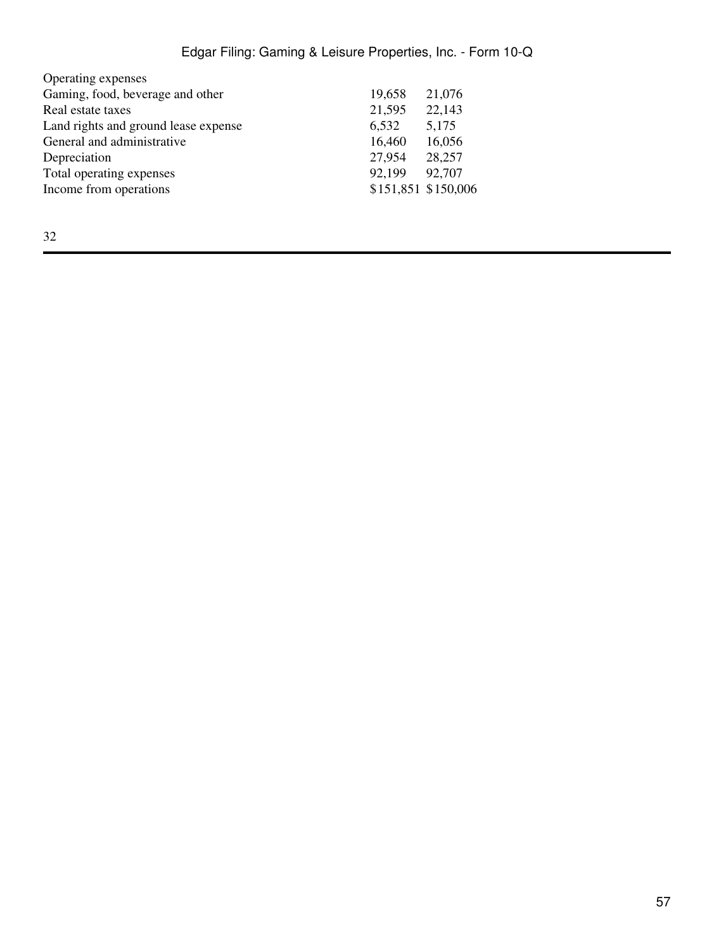# Edgar Filing: Gaming & Leisure Properties, Inc. - Form 10-Q

| Operating expenses                   |                     |        |
|--------------------------------------|---------------------|--------|
| Gaming, food, beverage and other     | 19,658              | 21,076 |
| Real estate taxes                    | 21,595              | 22,143 |
| Land rights and ground lease expense | 6,532               | 5,175  |
| General and administrative           | 16,460              | 16,056 |
| Depreciation                         | 27,954              | 28,257 |
| Total operating expenses             | 92,199              | 92,707 |
| Income from operations               | \$151,851 \$150,006 |        |
|                                      |                     |        |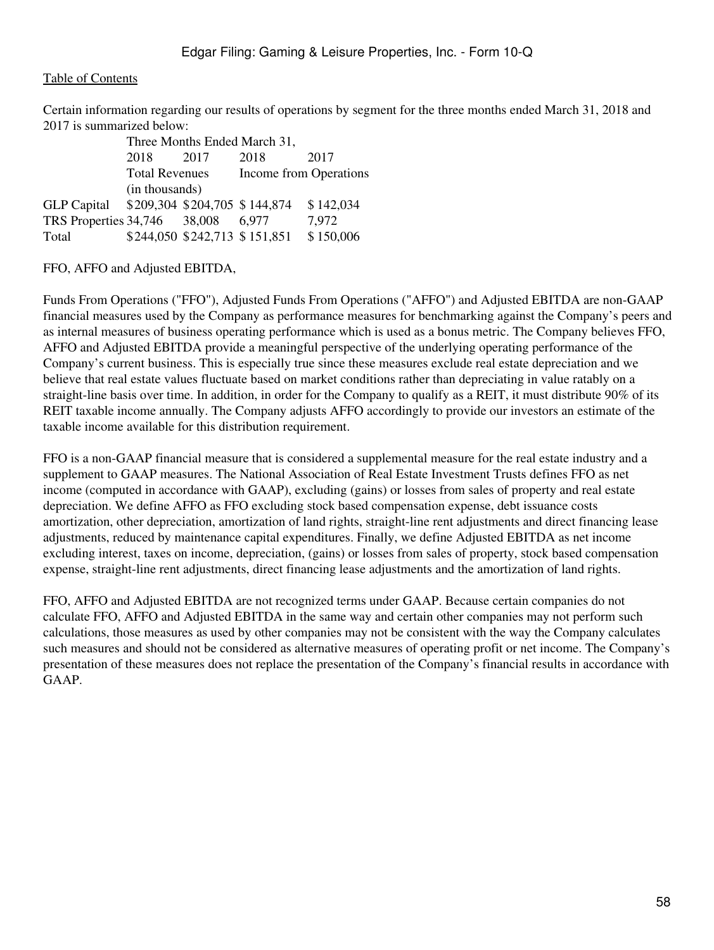Certain information regarding our results of operations by segment for the three months ended March 31, 2018 and 2017 is summarized below:

| Three Months Ended March 31,              |                       |      |                               |           |  |  |
|-------------------------------------------|-----------------------|------|-------------------------------|-----------|--|--|
|                                           | 2018                  | 2017 | 2018                          | 2017      |  |  |
|                                           | <b>Total Revenues</b> |      | Income from Operations        |           |  |  |
|                                           | (in thousands)        |      |                               |           |  |  |
| GLP Capital \$209,304 \$204,705 \$144,874 |                       |      |                               | \$142,034 |  |  |
| TRS Properties 34,746 38,008              |                       |      | 6.977                         | 7,972     |  |  |
| Total                                     |                       |      | \$244,050 \$242,713 \$151,851 | \$150,006 |  |  |

FFO, AFFO and Adjusted EBITDA,

Funds From Operations ("FFO"), Adjusted Funds From Operations ("AFFO") and Adjusted EBITDA are non-GAAP financial measures used by the Company as performance measures for benchmarking against the Company's peers and as internal measures of business operating performance which is used as a bonus metric. The Company believes FFO, AFFO and Adjusted EBITDA provide a meaningful perspective of the underlying operating performance of the Company's current business. This is especially true since these measures exclude real estate depreciation and we believe that real estate values fluctuate based on market conditions rather than depreciating in value ratably on a straight-line basis over time. In addition, in order for the Company to qualify as a REIT, it must distribute 90% of its REIT taxable income annually. The Company adjusts AFFO accordingly to provide our investors an estimate of the taxable income available for this distribution requirement.

FFO is a non-GAAP financial measure that is considered a supplemental measure for the real estate industry and a supplement to GAAP measures. The National Association of Real Estate Investment Trusts defines FFO as net income (computed in accordance with GAAP), excluding (gains) or losses from sales of property and real estate depreciation. We define AFFO as FFO excluding stock based compensation expense, debt issuance costs amortization, other depreciation, amortization of land rights, straight-line rent adjustments and direct financing lease adjustments, reduced by maintenance capital expenditures. Finally, we define Adjusted EBITDA as net income excluding interest, taxes on income, depreciation, (gains) or losses from sales of property, stock based compensation expense, straight-line rent adjustments, direct financing lease adjustments and the amortization of land rights.

FFO, AFFO and Adjusted EBITDA are not recognized terms under GAAP. Because certain companies do not calculate FFO, AFFO and Adjusted EBITDA in the same way and certain other companies may not perform such calculations, those measures as used by other companies may not be consistent with the way the Company calculates such measures and should not be considered as alternative measures of operating profit or net income. The Company's presentation of these measures does not replace the presentation of the Company's financial results in accordance with GAAP.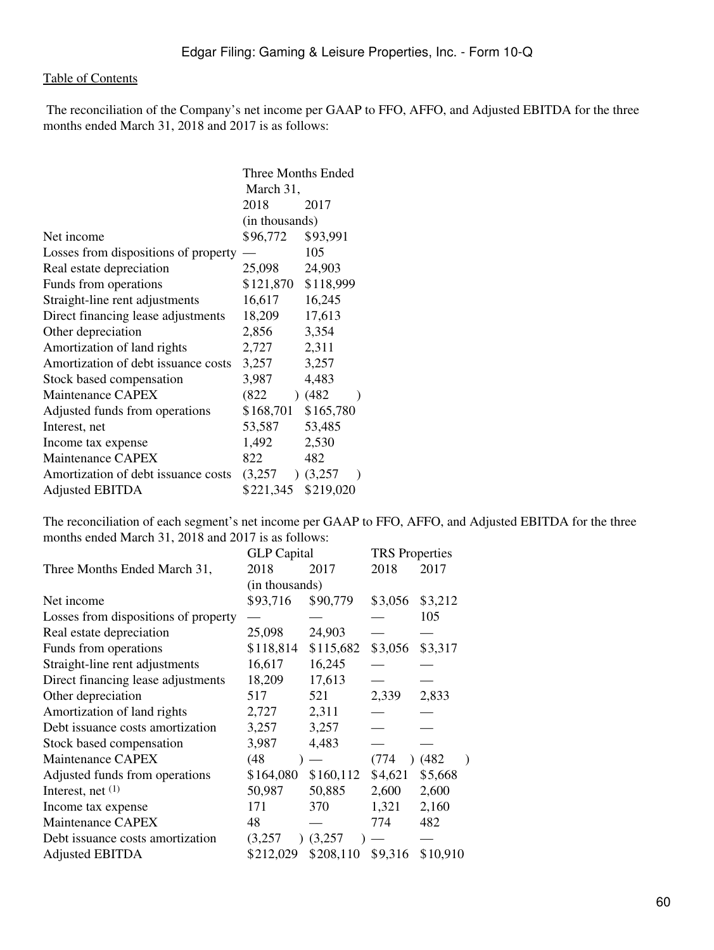The reconciliation of the Company's net income per GAAP to FFO, AFFO, and Adjusted EBITDA for the three months ended March 31, 2018 and 2017 is as follows:

|                                      | Three Months Ended |                          |  |  |
|--------------------------------------|--------------------|--------------------------|--|--|
|                                      | March 31,          |                          |  |  |
|                                      | 2018               | 2017                     |  |  |
|                                      | (in thousands)     |                          |  |  |
| Net income                           | \$96,772           | \$93,991                 |  |  |
| Losses from dispositions of property |                    | 105                      |  |  |
| Real estate depreciation             | 25,098             | 24,903                   |  |  |
| Funds from operations                | \$121,870          | \$118,999                |  |  |
| Straight-line rent adjustments       | 16,617             | 16,245                   |  |  |
| Direct financing lease adjustments   | 18,209             | 17,613                   |  |  |
| Other depreciation                   | 2,856              | 3,354                    |  |  |
| Amortization of land rights          | 2,727              | 2,311                    |  |  |
| Amortization of debt issuance costs  | 3,257              | 3,257                    |  |  |
| Stock based compensation             | 3,987              | 4,483                    |  |  |
| <b>Maintenance CAPEX</b>             | (822)              | (482)                    |  |  |
| Adjusted funds from operations       | \$168,701          | \$165,780                |  |  |
| Interest, net                        | 53,587             | 53,485                   |  |  |
| Income tax expense                   | 1,492              | 2,530                    |  |  |
| Maintenance CAPEX                    | 822                | 482                      |  |  |
| Amortization of debt issuance costs  | (3,257)            | (3,257)<br>$\rightarrow$ |  |  |
| <b>Adjusted EBITDA</b>               | \$221,345          | \$219,020                |  |  |
|                                      |                    |                          |  |  |

The reconciliation of each segment's net income per GAAP to FFO, AFFO, and Adjusted EBITDA for the three months ended March 31, 2018 and 2017 is as follows:

|                                      | <b>GLP</b> Capital |           | <b>TRS</b> Properties |          |  |
|--------------------------------------|--------------------|-----------|-----------------------|----------|--|
| Three Months Ended March 31,         | 2018               | 2017      | 2018                  | 2017     |  |
|                                      | (in thousands)     |           |                       |          |  |
| Net income                           | \$93,716           | \$90,779  | \$3,056               | \$3,212  |  |
| Losses from dispositions of property |                    |           |                       | 105      |  |
| Real estate depreciation             | 25,098             | 24,903    |                       |          |  |
| Funds from operations                | \$118,814          | \$115,682 | \$3,056               | \$3,317  |  |
| Straight-line rent adjustments       | 16,617             | 16,245    |                       |          |  |
| Direct financing lease adjustments   | 18,209             | 17,613    |                       |          |  |
| Other depreciation                   | 517                | 521       | 2,339                 | 2,833    |  |
| Amortization of land rights          | 2,727              | 2,311     |                       |          |  |
| Debt issuance costs amortization     | 3,257              | 3,257     |                       |          |  |
| Stock based compensation             | 3,987              | 4,483     |                       |          |  |
| Maintenance CAPEX                    | (48                |           | (774)                 | (482)    |  |
| Adjusted funds from operations       | \$164,080          | \$160,112 | \$4,621               | \$5,668  |  |
| Interest, net $(1)$                  | 50,987             | 50,885    | 2,600                 | 2,600    |  |
| Income tax expense                   | 171                | 370       | 1,321                 | 2,160    |  |
| Maintenance CAPEX                    | 48                 |           | 774                   | 482      |  |
| Debt issuance costs amortization     | (3,257)            | (3,257)   |                       |          |  |
| <b>Adjusted EBITDA</b>               | \$212,029          | \$208,110 | \$9,316               | \$10,910 |  |
|                                      |                    |           |                       |          |  |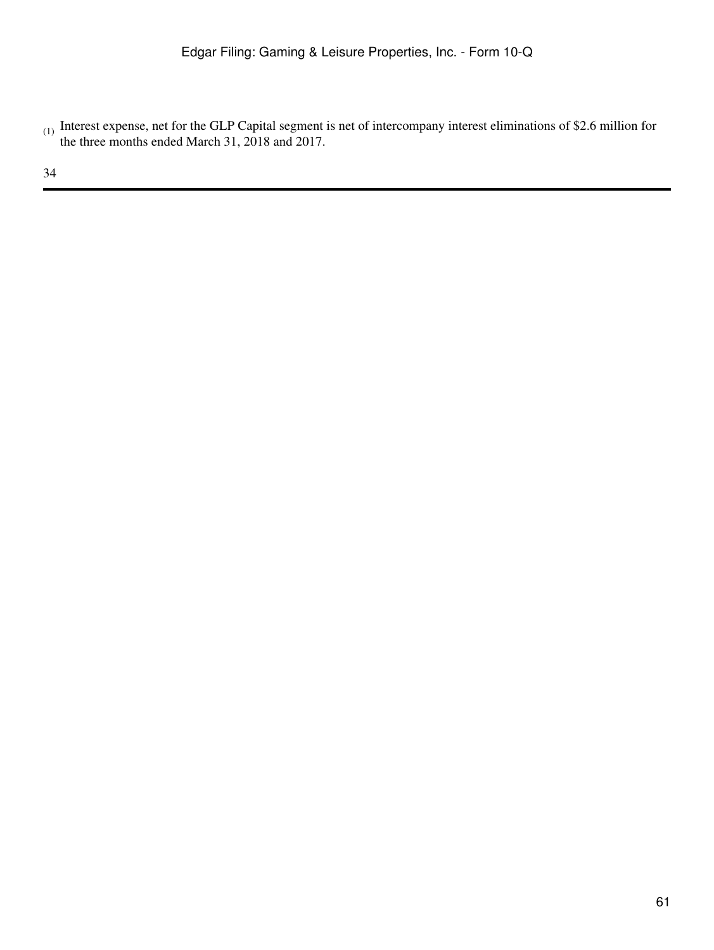$_{(1)}$  Interest expense, net for the GLP Capital segment is net of intercompany interest eliminations of \$2.6 million for the three months ended March 31, 2018 and 2017.

34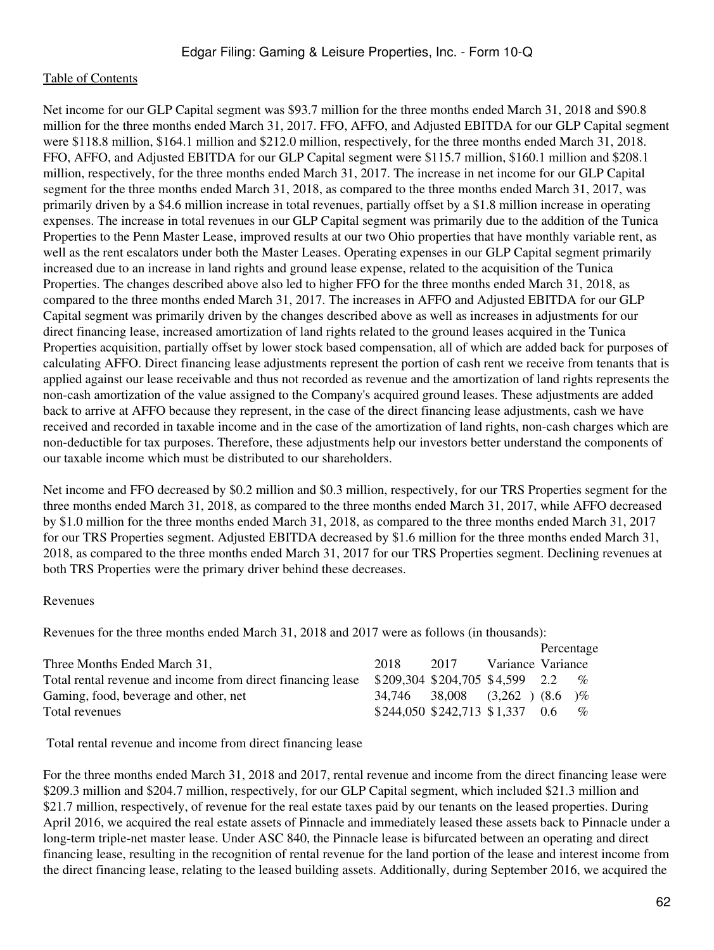Net income for our GLP Capital segment was \$93.7 million for the three months ended March 31, 2018 and \$90.8 million for the three months ended March 31, 2017. FFO, AFFO, and Adjusted EBITDA for our GLP Capital segment were \$118.8 million, \$164.1 million and \$212.0 million, respectively, for the three months ended March 31, 2018. FFO, AFFO, and Adjusted EBITDA for our GLP Capital segment were \$115.7 million, \$160.1 million and \$208.1 million, respectively, for the three months ended March 31, 2017. The increase in net income for our GLP Capital segment for the three months ended March 31, 2018, as compared to the three months ended March 31, 2017, was primarily driven by a \$4.6 million increase in total revenues, partially offset by a \$1.8 million increase in operating expenses. The increase in total revenues in our GLP Capital segment was primarily due to the addition of the Tunica Properties to the Penn Master Lease, improved results at our two Ohio properties that have monthly variable rent, as well as the rent escalators under both the Master Leases. Operating expenses in our GLP Capital segment primarily increased due to an increase in land rights and ground lease expense, related to the acquisition of the Tunica Properties. The changes described above also led to higher FFO for the three months ended March 31, 2018, as compared to the three months ended March 31, 2017. The increases in AFFO and Adjusted EBITDA for our GLP Capital segment was primarily driven by the changes described above as well as increases in adjustments for our direct financing lease, increased amortization of land rights related to the ground leases acquired in the Tunica Properties acquisition, partially offset by lower stock based compensation, all of which are added back for purposes of calculating AFFO. Direct financing lease adjustments represent the portion of cash rent we receive from tenants that is applied against our lease receivable and thus not recorded as revenue and the amortization of land rights represents the non-cash amortization of the value assigned to the Company's acquired ground leases. These adjustments are added back to arrive at AFFO because they represent, in the case of the direct financing lease adjustments, cash we have received and recorded in taxable income and in the case of the amortization of land rights, non-cash charges which are non-deductible for tax purposes. Therefore, these adjustments help our investors better understand the components of our taxable income which must be distributed to our shareholders.

Net income and FFO decreased by \$0.2 million and \$0.3 million, respectively, for our TRS Properties segment for the three months ended March 31, 2018, as compared to the three months ended March 31, 2017, while AFFO decreased by \$1.0 million for the three months ended March 31, 2018, as compared to the three months ended March 31, 2017 for our TRS Properties segment. Adjusted EBITDA decreased by \$1.6 million for the three months ended March 31, 2018, as compared to the three months ended March 31, 2017 for our TRS Properties segment. Declining revenues at both TRS Properties were the primary driver behind these decreases.

#### Revenues

Revenues for the three months ended March 31, 2018 and 2017 were as follows (in thousands):

|                                                             |                                  |                              |                   | Percentage |      |
|-------------------------------------------------------------|----------------------------------|------------------------------|-------------------|------------|------|
| Three Months Ended March 31,                                | 2018                             | 2017                         | Variance Variance |            |      |
| Total rental revenue and income from direct financing lease | $$209,304$ \$204,705 \$4,599 2.2 |                              |                   |            | $\%$ |
| Gaming, food, beverage and other, net                       | 34.746                           | $38.008$ $(3.262)$ $(8.6)$ % |                   |            |      |
| Total revenues                                              | \$244,050 \$242,713 \$1,337      |                              |                   | 0.6        | $\%$ |

Total rental revenue and income from direct financing lease

For the three months ended March 31, 2018 and 2017, rental revenue and income from the direct financing lease were \$209.3 million and \$204.7 million, respectively, for our GLP Capital segment, which included \$21.3 million and \$21.7 million, respectively, of revenue for the real estate taxes paid by our tenants on the leased properties. During April 2016, we acquired the real estate assets of Pinnacle and immediately leased these assets back to Pinnacle under a long-term triple-net master lease. Under ASC 840, the Pinnacle lease is bifurcated between an operating and direct financing lease, resulting in the recognition of rental revenue for the land portion of the lease and interest income from the direct financing lease, relating to the leased building assets. Additionally, during September 2016, we acquired the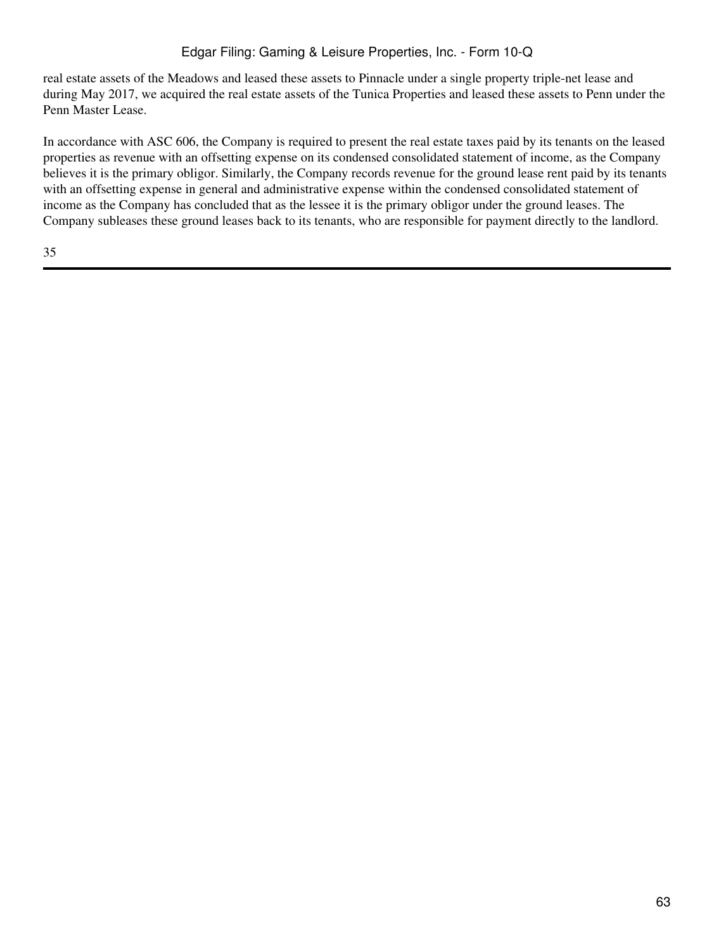## Edgar Filing: Gaming & Leisure Properties, Inc. - Form 10-Q

real estate assets of the Meadows and leased these assets to Pinnacle under a single property triple-net lease and during May 2017, we acquired the real estate assets of the Tunica Properties and leased these assets to Penn under the Penn Master Lease.

In accordance with ASC 606, the Company is required to present the real estate taxes paid by its tenants on the leased properties as revenue with an offsetting expense on its condensed consolidated statement of income, as the Company believes it is the primary obligor. Similarly, the Company records revenue for the ground lease rent paid by its tenants with an offsetting expense in general and administrative expense within the condensed consolidated statement of income as the Company has concluded that as the lessee it is the primary obligor under the ground leases. The Company subleases these ground leases back to its tenants, who are responsible for payment directly to the landlord.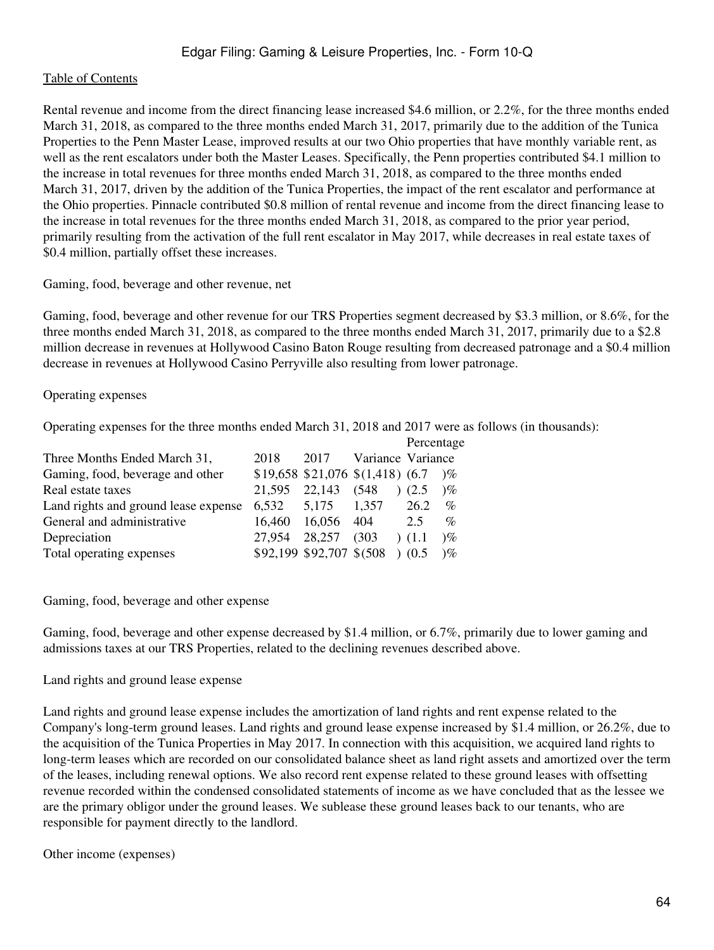Rental revenue and income from the direct financing lease increased \$4.6 million, or 2.2%, for the three months ended March 31, 2018, as compared to the three months ended March 31, 2017, primarily due to the addition of the Tunica Properties to the Penn Master Lease, improved results at our two Ohio properties that have monthly variable rent, as well as the rent escalators under both the Master Leases. Specifically, the Penn properties contributed \$4.1 million to the increase in total revenues for three months ended March 31, 2018, as compared to the three months ended March 31, 2017, driven by the addition of the Tunica Properties, the impact of the rent escalator and performance at the Ohio properties. Pinnacle contributed \$0.8 million of rental revenue and income from the direct financing lease to the increase in total revenues for the three months ended March 31, 2018, as compared to the prior year period, primarily resulting from the activation of the full rent escalator in May 2017, while decreases in real estate taxes of \$0.4 million, partially offset these increases.

Gaming, food, beverage and other revenue, net

Gaming, food, beverage and other revenue for our TRS Properties segment decreased by \$3.3 million, or 8.6%, for the three months ended March 31, 2018, as compared to the three months ended March 31, 2017, primarily due to a \$2.8 million decrease in revenues at Hollywood Casino Baton Rouge resulting from decreased patronage and a \$0.4 million decrease in revenues at Hollywood Casino Perryville also resulting from lower patronage.

#### Operating expenses

Operating expenses for the three months ended March 31, 2018 and 2017 were as follows (in thousands):

|                                      |        |              |                                          | Percentage |            |
|--------------------------------------|--------|--------------|------------------------------------------|------------|------------|
| Three Months Ended March 31,         | 2018   | 2017         | Variance Variance                        |            |            |
| Gaming, food, beverage and other     |        |              | $$19,658$ $$21,076$ $$(1,418)$ $(6.7)$ % |            |            |
| Real estate taxes                    | 21.595 | 22,143 (548) |                                          | (2.5)      | $\gamma$ % |
| Land rights and ground lease expense | 6,532  | 5.175        | 1,357                                    | 26.2       | $\%$       |
| General and administrative           | 16,460 | 16,056       | - 404                                    | 2.5        | $\%$       |
| Depreciation                         | 27.954 | 28,257       | (303)                                    | (1.1)      | $\gamma$   |
| Total operating expenses             |        |              | \$92,199 \$92,707 \$(508) (0.5           |            | $\%$       |

Gaming, food, beverage and other expense

Gaming, food, beverage and other expense decreased by \$1.4 million, or 6.7%, primarily due to lower gaming and admissions taxes at our TRS Properties, related to the declining revenues described above.

#### Land rights and ground lease expense

Land rights and ground lease expense includes the amortization of land rights and rent expense related to the Company's long-term ground leases. Land rights and ground lease expense increased by \$1.4 million, or 26.2%, due to the acquisition of the Tunica Properties in May 2017. In connection with this acquisition, we acquired land rights to long-term leases which are recorded on our consolidated balance sheet as land right assets and amortized over the term of the leases, including renewal options. We also record rent expense related to these ground leases with offsetting revenue recorded within the condensed consolidated statements of income as we have concluded that as the lessee we are the primary obligor under the ground leases. We sublease these ground leases back to our tenants, who are responsible for payment directly to the landlord.

Other income (expenses)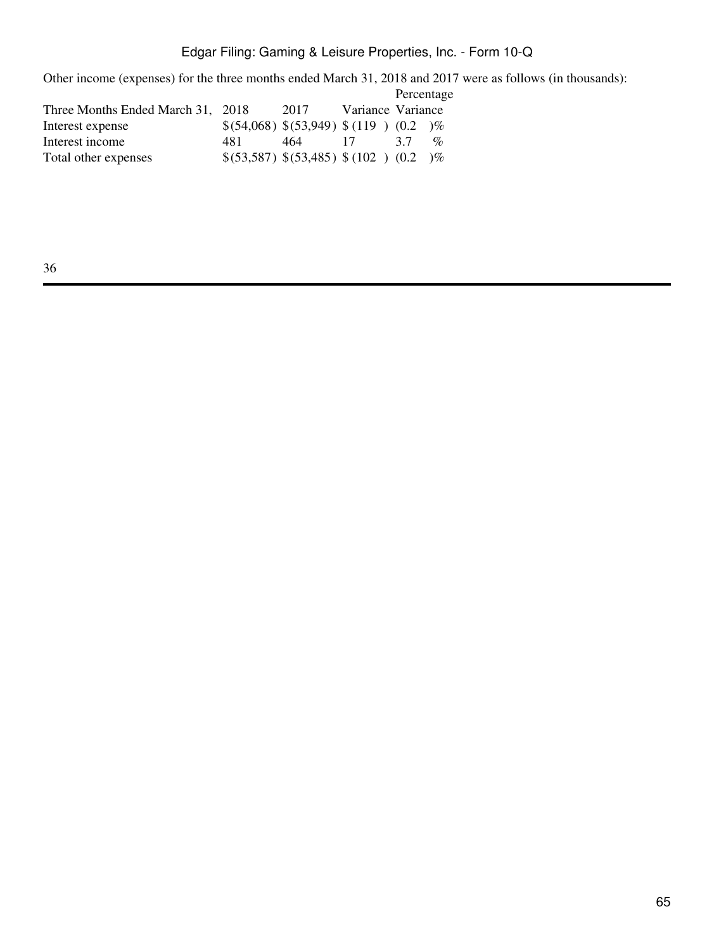Other income (expenses) for the three months ended March 31, 2018 and 2017 were as follows (in thousands):

|                                   |     |                                     |                   | Percentage |                             |
|-----------------------------------|-----|-------------------------------------|-------------------|------------|-----------------------------|
| Three Months Ended March 31, 2018 |     | 2017                                | Variance Variance |            |                             |
| Interest expense                  |     | \$(54,068) \$(53,949) \$(119) (0.2) |                   |            | $\gamma$ %                  |
| Interest income                   | 481 | 464                                 | 17                | 37         | $\mathcal{O}_{\mathcal{D}}$ |
| Total other expenses              |     | \$(53,587) \$(53,485) \$(102) (0.2) |                   |            | $\sqrt{\%}$                 |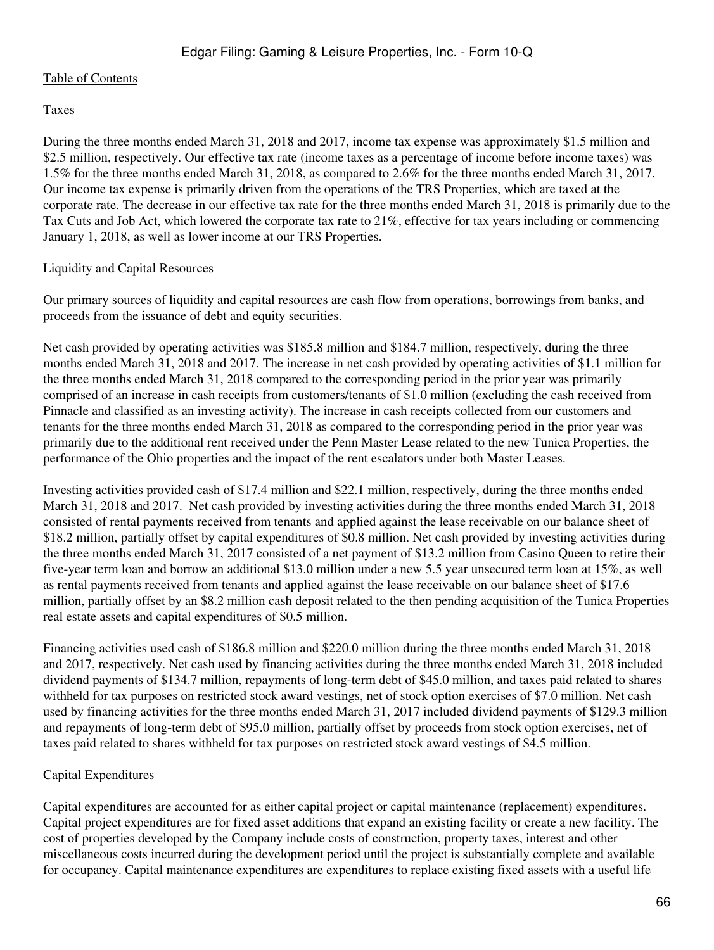#### Taxes

During the three months ended March 31, 2018 and 2017, income tax expense was approximately \$1.5 million and \$2.5 million, respectively. Our effective tax rate (income taxes as a percentage of income before income taxes) was 1.5% for the three months ended March 31, 2018, as compared to 2.6% for the three months ended March 31, 2017. Our income tax expense is primarily driven from the operations of the TRS Properties, which are taxed at the corporate rate. The decrease in our effective tax rate for the three months ended March 31, 2018 is primarily due to the Tax Cuts and Job Act, which lowered the corporate tax rate to 21%, effective for tax years including or commencing January 1, 2018, as well as lower income at our TRS Properties.

#### Liquidity and Capital Resources

Our primary sources of liquidity and capital resources are cash flow from operations, borrowings from banks, and proceeds from the issuance of debt and equity securities.

Net cash provided by operating activities was \$185.8 million and \$184.7 million, respectively, during the three months ended March 31, 2018 and 2017. The increase in net cash provided by operating activities of \$1.1 million for the three months ended March 31, 2018 compared to the corresponding period in the prior year was primarily comprised of an increase in cash receipts from customers/tenants of \$1.0 million (excluding the cash received from Pinnacle and classified as an investing activity). The increase in cash receipts collected from our customers and tenants for the three months ended March 31, 2018 as compared to the corresponding period in the prior year was primarily due to the additional rent received under the Penn Master Lease related to the new Tunica Properties, the performance of the Ohio properties and the impact of the rent escalators under both Master Leases.

Investing activities provided cash of \$17.4 million and \$22.1 million, respectively, during the three months ended March 31, 2018 and 2017. Net cash provided by investing activities during the three months ended March 31, 2018 consisted of rental payments received from tenants and applied against the lease receivable on our balance sheet of \$18.2 million, partially offset by capital expenditures of \$0.8 million. Net cash provided by investing activities during the three months ended March 31, 2017 consisted of a net payment of \$13.2 million from Casino Queen to retire their five-year term loan and borrow an additional \$13.0 million under a new 5.5 year unsecured term loan at 15%, as well as rental payments received from tenants and applied against the lease receivable on our balance sheet of \$17.6 million, partially offset by an \$8.2 million cash deposit related to the then pending acquisition of the Tunica Properties real estate assets and capital expenditures of \$0.5 million.

Financing activities used cash of \$186.8 million and \$220.0 million during the three months ended March 31, 2018 and 2017, respectively. Net cash used by financing activities during the three months ended March 31, 2018 included dividend payments of \$134.7 million, repayments of long-term debt of \$45.0 million, and taxes paid related to shares withheld for tax purposes on restricted stock award vestings, net of stock option exercises of \$7.0 million. Net cash used by financing activities for the three months ended March 31, 2017 included dividend payments of \$129.3 million and repayments of long-term debt of \$95.0 million, partially offset by proceeds from stock option exercises, net of taxes paid related to shares withheld for tax purposes on restricted stock award vestings of \$4.5 million.

## Capital Expenditures

Capital expenditures are accounted for as either capital project or capital maintenance (replacement) expenditures. Capital project expenditures are for fixed asset additions that expand an existing facility or create a new facility. The cost of properties developed by the Company include costs of construction, property taxes, interest and other miscellaneous costs incurred during the development period until the project is substantially complete and available for occupancy. Capital maintenance expenditures are expenditures to replace existing fixed assets with a useful life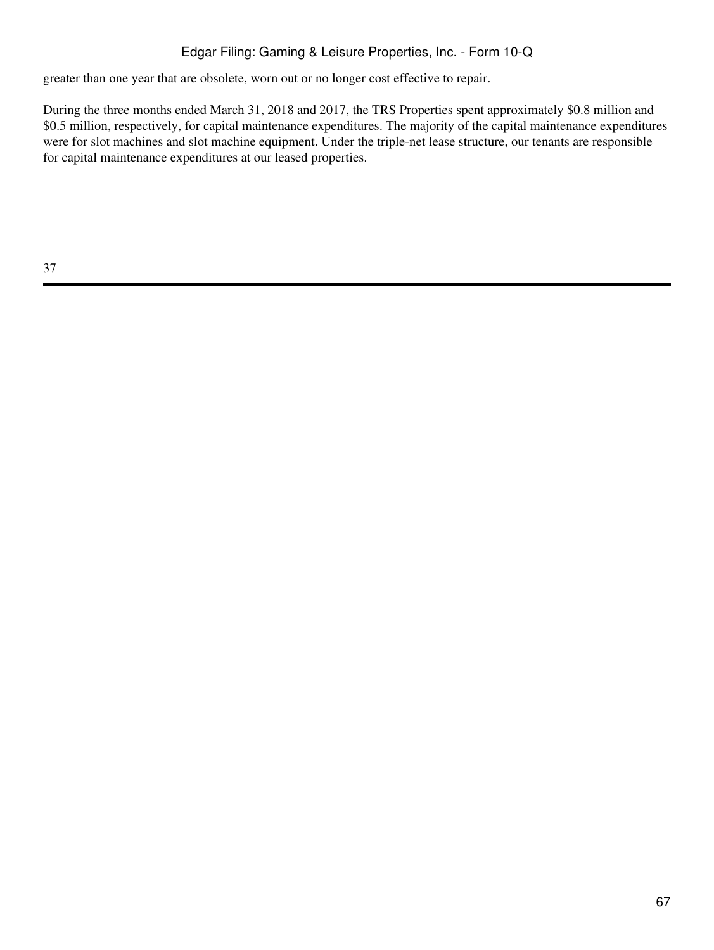## Edgar Filing: Gaming & Leisure Properties, Inc. - Form 10-Q

greater than one year that are obsolete, worn out or no longer cost effective to repair.

During the three months ended March 31, 2018 and 2017, the TRS Properties spent approximately \$0.8 million and \$0.5 million, respectively, for capital maintenance expenditures. The majority of the capital maintenance expenditures were for slot machines and slot machine equipment. Under the triple-net lease structure, our tenants are responsible for capital maintenance expenditures at our leased properties.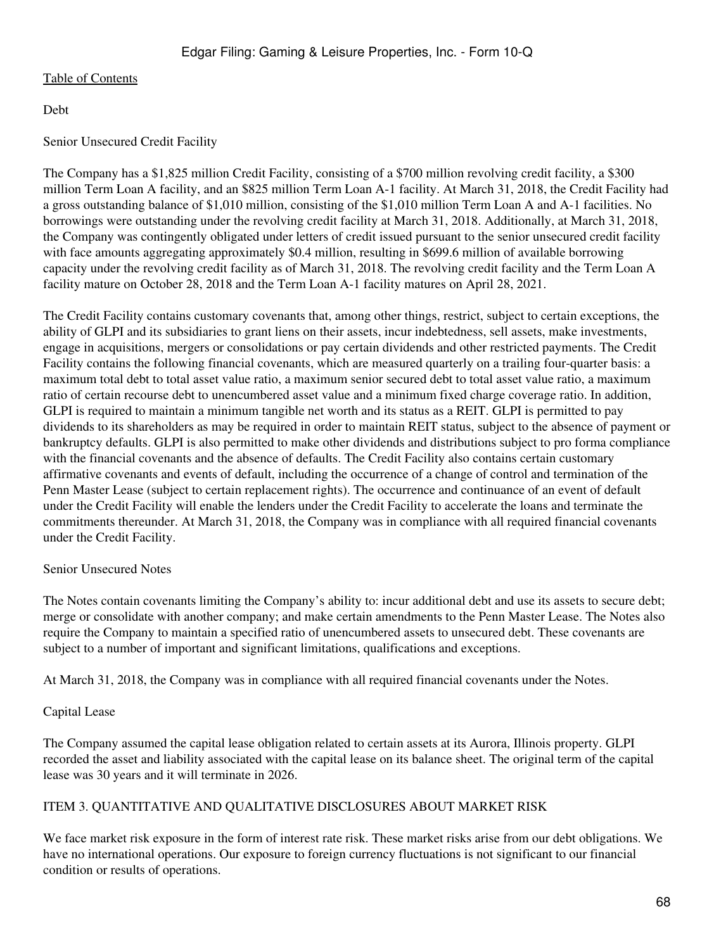Debt

#### Senior Unsecured Credit Facility

The Company has a \$1,825 million Credit Facility, consisting of a \$700 million revolving credit facility, a \$300 million Term Loan A facility, and an \$825 million Term Loan A-1 facility. At March 31, 2018, the Credit Facility had a gross outstanding balance of \$1,010 million, consisting of the \$1,010 million Term Loan A and A-1 facilities. No borrowings were outstanding under the revolving credit facility at March 31, 2018. Additionally, at March 31, 2018, the Company was contingently obligated under letters of credit issued pursuant to the senior unsecured credit facility with face amounts aggregating approximately \$0.4 million, resulting in \$699.6 million of available borrowing capacity under the revolving credit facility as of March 31, 2018. The revolving credit facility and the Term Loan A facility mature on October 28, 2018 and the Term Loan A-1 facility matures on April 28, 2021.

The Credit Facility contains customary covenants that, among other things, restrict, subject to certain exceptions, the ability of GLPI and its subsidiaries to grant liens on their assets, incur indebtedness, sell assets, make investments, engage in acquisitions, mergers or consolidations or pay certain dividends and other restricted payments. The Credit Facility contains the following financial covenants, which are measured quarterly on a trailing four-quarter basis: a maximum total debt to total asset value ratio, a maximum senior secured debt to total asset value ratio, a maximum ratio of certain recourse debt to unencumbered asset value and a minimum fixed charge coverage ratio. In addition, GLPI is required to maintain a minimum tangible net worth and its status as a REIT. GLPI is permitted to pay dividends to its shareholders as may be required in order to maintain REIT status, subject to the absence of payment or bankruptcy defaults. GLPI is also permitted to make other dividends and distributions subject to pro forma compliance with the financial covenants and the absence of defaults. The Credit Facility also contains certain customary affirmative covenants and events of default, including the occurrence of a change of control and termination of the Penn Master Lease (subject to certain replacement rights). The occurrence and continuance of an event of default under the Credit Facility will enable the lenders under the Credit Facility to accelerate the loans and terminate the commitments thereunder. At March 31, 2018, the Company was in compliance with all required financial covenants under the Credit Facility.

#### Senior Unsecured Notes

The Notes contain covenants limiting the Company's ability to: incur additional debt and use its assets to secure debt; merge or consolidate with another company; and make certain amendments to the Penn Master Lease. The Notes also require the Company to maintain a specified ratio of unencumbered assets to unsecured debt. These covenants are subject to a number of important and significant limitations, qualifications and exceptions.

At March 31, 2018, the Company was in compliance with all required financial covenants under the Notes.

#### Capital Lease

The Company assumed the capital lease obligation related to certain assets at its Aurora, Illinois property. GLPI recorded the asset and liability associated with the capital lease on its balance sheet. The original term of the capital lease was 30 years and it will terminate in 2026.

#### ITEM 3. QUANTITATIVE AND QUALITATIVE DISCLOSURES ABOUT MARKET RISK

We face market risk exposure in the form of interest rate risk. These market risks arise from our debt obligations. We have no international operations. Our exposure to foreign currency fluctuations is not significant to our financial condition or results of operations.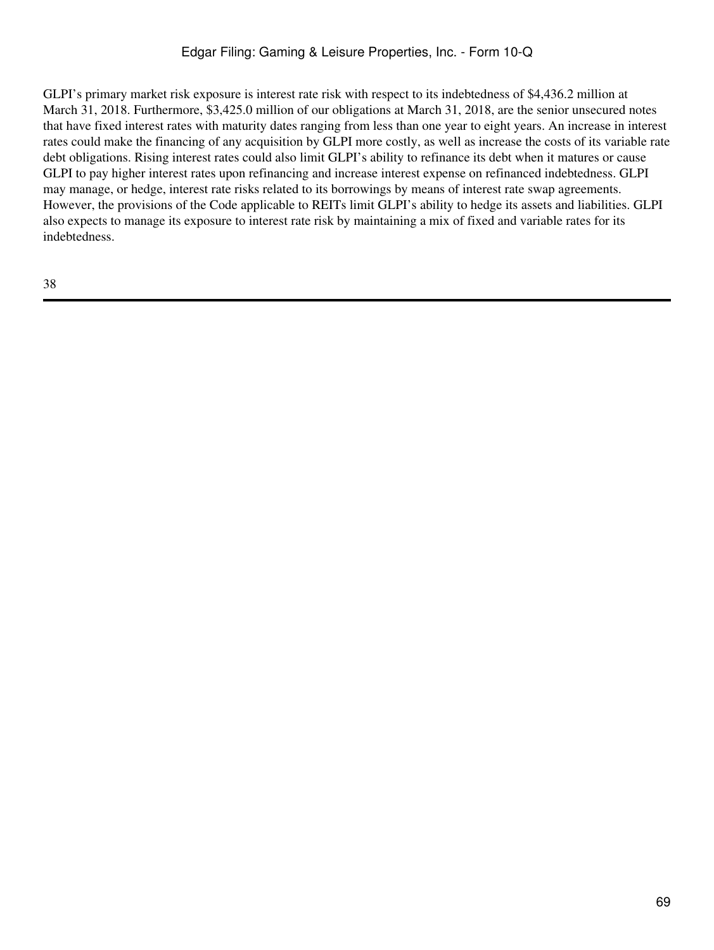GLPI's primary market risk exposure is interest rate risk with respect to its indebtedness of \$4,436.2 million at March 31, 2018. Furthermore, \$3,425.0 million of our obligations at March 31, 2018, are the senior unsecured notes that have fixed interest rates with maturity dates ranging from less than one year to eight years. An increase in interest rates could make the financing of any acquisition by GLPI more costly, as well as increase the costs of its variable rate debt obligations. Rising interest rates could also limit GLPI's ability to refinance its debt when it matures or cause GLPI to pay higher interest rates upon refinancing and increase interest expense on refinanced indebtedness. GLPI may manage, or hedge, interest rate risks related to its borrowings by means of interest rate swap agreements. However, the provisions of the Code applicable to REITs limit GLPI's ability to hedge its assets and liabilities. GLPI also expects to manage its exposure to interest rate risk by maintaining a mix of fixed and variable rates for its indebtedness.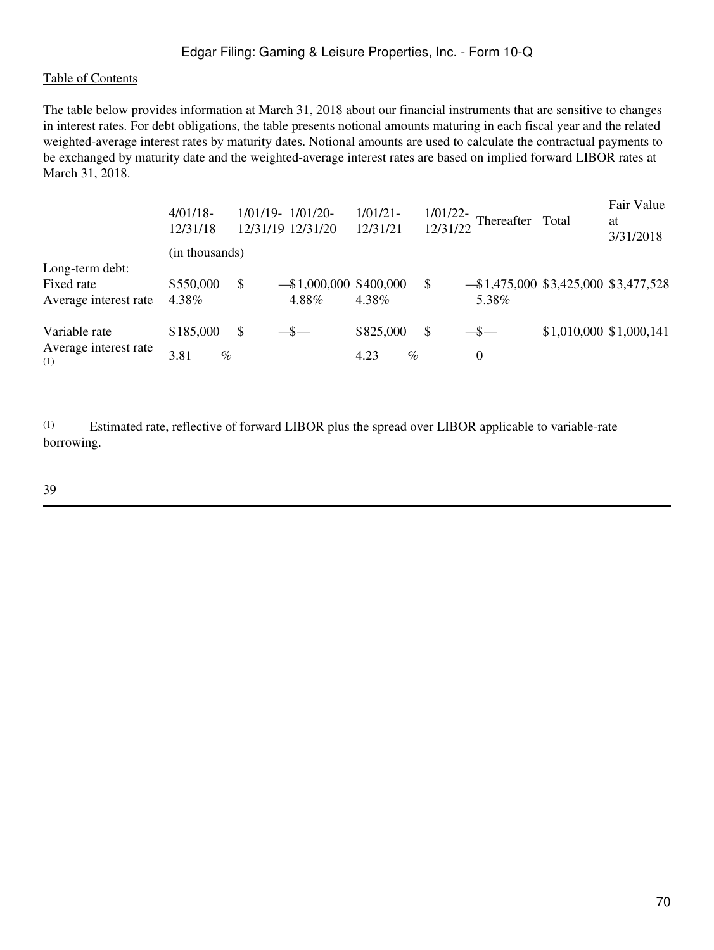#### Edgar Filing: Gaming & Leisure Properties, Inc. - Form 10-Q

#### [Table of Contents](#page-5-0)

The table below provides information at March 31, 2018 about our financial instruments that are sensitive to changes in interest rates. For debt obligations, the table presents notional amounts maturing in each fiscal year and the related weighted-average interest rates by maturity dates. Notional amounts are used to calculate the contractual payments to be exchanged by maturity date and the weighted-average interest rates are based on implied forward LIBOR rates at March 31, 2018.

|                                                        | $4/01/18$ -<br>12/31/18   | $1/01/19 - 1/01/20$<br>12/31/19 12/31/20 | $1/01/21-$<br>12/31/21    | $1/01/22$ -<br>12/31/22 | Thereafter Total                                 |                         | Fair Value<br>at<br>3/31/2018 |
|--------------------------------------------------------|---------------------------|------------------------------------------|---------------------------|-------------------------|--------------------------------------------------|-------------------------|-------------------------------|
|                                                        | (in thousands)            |                                          |                           |                         |                                                  |                         |                               |
| Long-term debt:<br>Fixed rate<br>Average interest rate | \$550,000<br>4.38%        | \$<br>$-$ \$1,000,000 \$400,000<br>4.88% | 4.38%                     | $\mathbb{S}$            | $-$ \$1,475,000 \$3,425,000 \$3,477,528<br>5.38% |                         |                               |
| Variable rate<br>Average interest rate<br>(1)          | \$185,000<br>3.81<br>$\%$ | \$<br>$-$ \$ $-$                         | \$825,000<br>$\%$<br>4.23 | $\mathbb{S}$            | $-$ \$ $-$<br>0                                  | \$1,010,000 \$1,000,141 |                               |

(1) Estimated rate, reflective of forward LIBOR plus the spread over LIBOR applicable to variable-rate borrowing.

39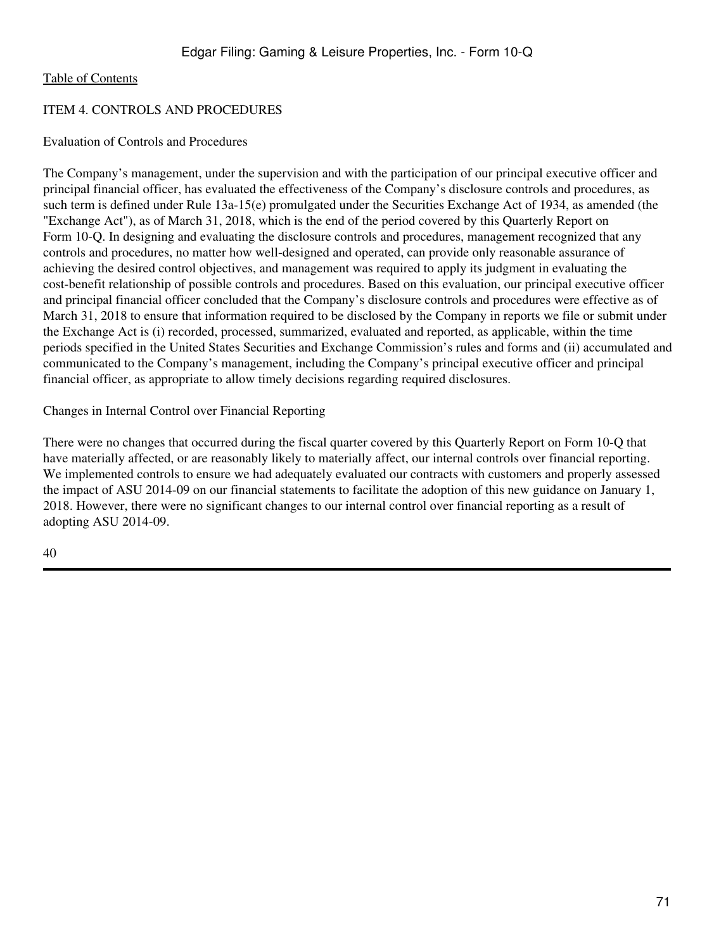## ITEM 4. CONTROLS AND PROCEDURES

### Evaluation of Controls and Procedures

The Company's management, under the supervision and with the participation of our principal executive officer and principal financial officer, has evaluated the effectiveness of the Company's disclosure controls and procedures, as such term is defined under Rule 13a-15(e) promulgated under the Securities Exchange Act of 1934, as amended (the "Exchange Act"), as of March 31, 2018, which is the end of the period covered by this Quarterly Report on Form 10-Q. In designing and evaluating the disclosure controls and procedures, management recognized that any controls and procedures, no matter how well-designed and operated, can provide only reasonable assurance of achieving the desired control objectives, and management was required to apply its judgment in evaluating the cost-benefit relationship of possible controls and procedures. Based on this evaluation, our principal executive officer and principal financial officer concluded that the Company's disclosure controls and procedures were effective as of March 31, 2018 to ensure that information required to be disclosed by the Company in reports we file or submit under the Exchange Act is (i) recorded, processed, summarized, evaluated and reported, as applicable, within the time periods specified in the United States Securities and Exchange Commission's rules and forms and (ii) accumulated and communicated to the Company's management, including the Company's principal executive officer and principal financial officer, as appropriate to allow timely decisions regarding required disclosures.

## Changes in Internal Control over Financial Reporting

There were no changes that occurred during the fiscal quarter covered by this Quarterly Report on Form 10-Q that have materially affected, or are reasonably likely to materially affect, our internal controls over financial reporting. We implemented controls to ensure we had adequately evaluated our contracts with customers and properly assessed the impact of ASU 2014-09 on our financial statements to facilitate the adoption of this new guidance on January 1, 2018. However, there were no significant changes to our internal control over financial reporting as a result of adopting ASU 2014-09.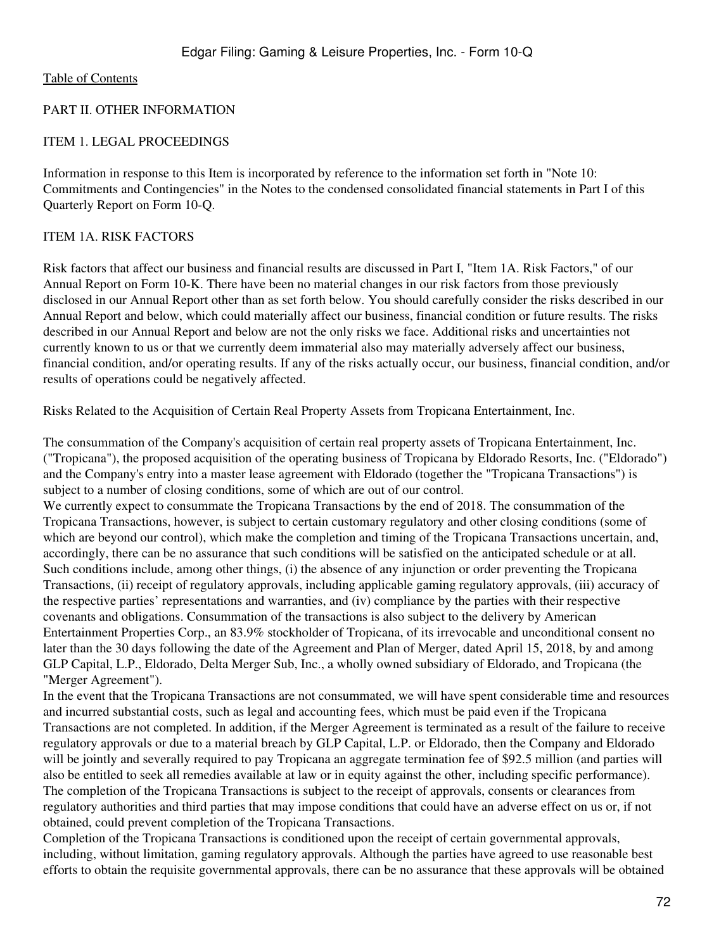#### PART II. OTHER INFORMATION

#### ITEM 1. LEGAL PROCEEDINGS

Information in response to this Item is incorporated by reference to the information set forth in "Note 10: Commitments and Contingencies" in the Notes to the condensed consolidated financial statements in Part I of this Quarterly Report on Form 10-Q.

#### ITEM 1A. RISK FACTORS

Risk factors that affect our business and financial results are discussed in Part I, "Item 1A. Risk Factors," of our Annual Report on Form 10-K. There have been no material changes in our risk factors from those previously disclosed in our Annual Report other than as set forth below. You should carefully consider the risks described in our Annual Report and below, which could materially affect our business, financial condition or future results. The risks described in our Annual Report and below are not the only risks we face. Additional risks and uncertainties not currently known to us or that we currently deem immaterial also may materially adversely affect our business, financial condition, and/or operating results. If any of the risks actually occur, our business, financial condition, and/or results of operations could be negatively affected.

Risks Related to the Acquisition of Certain Real Property Assets from Tropicana Entertainment, Inc.

The consummation of the Company's acquisition of certain real property assets of Tropicana Entertainment, Inc. ("Tropicana"), the proposed acquisition of the operating business of Tropicana by Eldorado Resorts, Inc. ("Eldorado") and the Company's entry into a master lease agreement with Eldorado (together the "Tropicana Transactions") is subject to a number of closing conditions, some of which are out of our control.

We currently expect to consummate the Tropicana Transactions by the end of 2018. The consummation of the Tropicana Transactions, however, is subject to certain customary regulatory and other closing conditions (some of which are beyond our control), which make the completion and timing of the Tropicana Transactions uncertain, and, accordingly, there can be no assurance that such conditions will be satisfied on the anticipated schedule or at all. Such conditions include, among other things, (i) the absence of any injunction or order preventing the Tropicana Transactions, (ii) receipt of regulatory approvals, including applicable gaming regulatory approvals, (iii) accuracy of the respective parties' representations and warranties, and (iv) compliance by the parties with their respective covenants and obligations. Consummation of the transactions is also subject to the delivery by American Entertainment Properties Corp., an 83.9% stockholder of Tropicana, of its irrevocable and unconditional consent no later than the 30 days following the date of the Agreement and Plan of Merger, dated April 15, 2018, by and among GLP Capital, L.P., Eldorado, Delta Merger Sub, Inc., a wholly owned subsidiary of Eldorado, and Tropicana (the "Merger Agreement").

In the event that the Tropicana Transactions are not consummated, we will have spent considerable time and resources and incurred substantial costs, such as legal and accounting fees, which must be paid even if the Tropicana Transactions are not completed. In addition, if the Merger Agreement is terminated as a result of the failure to receive regulatory approvals or due to a material breach by GLP Capital, L.P. or Eldorado, then the Company and Eldorado will be jointly and severally required to pay Tropicana an aggregate termination fee of \$92.5 million (and parties will also be entitled to seek all remedies available at law or in equity against the other, including specific performance). The completion of the Tropicana Transactions is subject to the receipt of approvals, consents or clearances from regulatory authorities and third parties that may impose conditions that could have an adverse effect on us or, if not obtained, could prevent completion of the Tropicana Transactions.

Completion of the Tropicana Transactions is conditioned upon the receipt of certain governmental approvals, including, without limitation, gaming regulatory approvals. Although the parties have agreed to use reasonable best efforts to obtain the requisite governmental approvals, there can be no assurance that these approvals will be obtained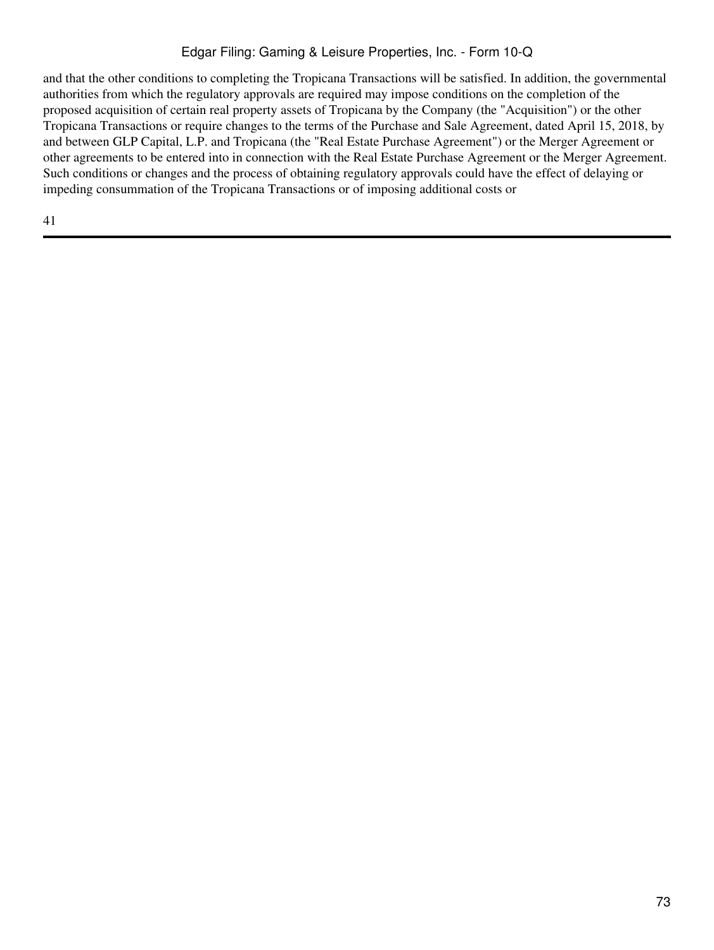### Edgar Filing: Gaming & Leisure Properties, Inc. - Form 10-Q

and that the other conditions to completing the Tropicana Transactions will be satisfied. In addition, the governmental authorities from which the regulatory approvals are required may impose conditions on the completion of the proposed acquisition of certain real property assets of Tropicana by the Company (the "Acquisition") or the other Tropicana Transactions or require changes to the terms of the Purchase and Sale Agreement, dated April 15, 2018, by and between GLP Capital, L.P. and Tropicana (the "Real Estate Purchase Agreement") or the Merger Agreement or other agreements to be entered into in connection with the Real Estate Purchase Agreement or the Merger Agreement. Such conditions or changes and the process of obtaining regulatory approvals could have the effect of delaying or impeding consummation of the Tropicana Transactions or of imposing additional costs or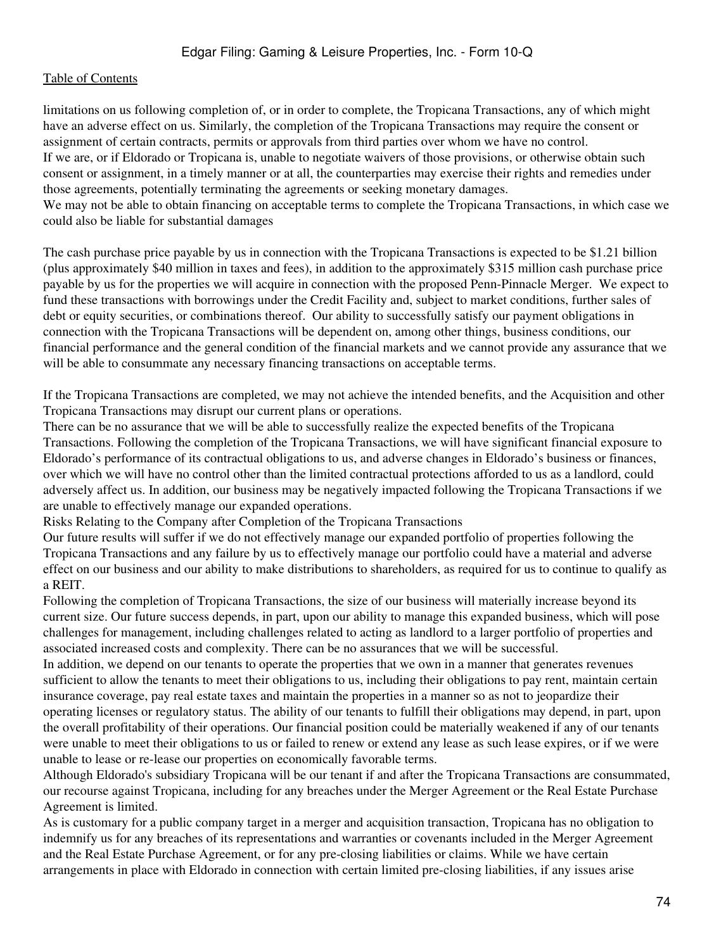limitations on us following completion of, or in order to complete, the Tropicana Transactions, any of which might have an adverse effect on us. Similarly, the completion of the Tropicana Transactions may require the consent or assignment of certain contracts, permits or approvals from third parties over whom we have no control. If we are, or if Eldorado or Tropicana is, unable to negotiate waivers of those provisions, or otherwise obtain such consent or assignment, in a timely manner or at all, the counterparties may exercise their rights and remedies under those agreements, potentially terminating the agreements or seeking monetary damages. We may not be able to obtain financing on acceptable terms to complete the Tropicana Transactions, in which case we

could also be liable for substantial damages

The cash purchase price payable by us in connection with the Tropicana Transactions is expected to be \$1.21 billion (plus approximately \$40 million in taxes and fees), in addition to the approximately \$315 million cash purchase price payable by us for the properties we will acquire in connection with the proposed Penn-Pinnacle Merger. We expect to fund these transactions with borrowings under the Credit Facility and, subject to market conditions, further sales of debt or equity securities, or combinations thereof. Our ability to successfully satisfy our payment obligations in connection with the Tropicana Transactions will be dependent on, among other things, business conditions, our financial performance and the general condition of the financial markets and we cannot provide any assurance that we will be able to consummate any necessary financing transactions on acceptable terms.

If the Tropicana Transactions are completed, we may not achieve the intended benefits, and the Acquisition and other Tropicana Transactions may disrupt our current plans or operations.

There can be no assurance that we will be able to successfully realize the expected benefits of the Tropicana Transactions. Following the completion of the Tropicana Transactions, we will have significant financial exposure to Eldorado's performance of its contractual obligations to us, and adverse changes in Eldorado's business or finances, over which we will have no control other than the limited contractual protections afforded to us as a landlord, could adversely affect us. In addition, our business may be negatively impacted following the Tropicana Transactions if we are unable to effectively manage our expanded operations.

Risks Relating to the Company after Completion of the Tropicana Transactions

Our future results will suffer if we do not effectively manage our expanded portfolio of properties following the Tropicana Transactions and any failure by us to effectively manage our portfolio could have a material and adverse effect on our business and our ability to make distributions to shareholders, as required for us to continue to qualify as a REIT.

Following the completion of Tropicana Transactions, the size of our business will materially increase beyond its current size. Our future success depends, in part, upon our ability to manage this expanded business, which will pose challenges for management, including challenges related to acting as landlord to a larger portfolio of properties and associated increased costs and complexity. There can be no assurances that we will be successful.

In addition, we depend on our tenants to operate the properties that we own in a manner that generates revenues sufficient to allow the tenants to meet their obligations to us, including their obligations to pay rent, maintain certain insurance coverage, pay real estate taxes and maintain the properties in a manner so as not to jeopardize their operating licenses or regulatory status. The ability of our tenants to fulfill their obligations may depend, in part, upon the overall profitability of their operations. Our financial position could be materially weakened if any of our tenants were unable to meet their obligations to us or failed to renew or extend any lease as such lease expires, or if we were unable to lease or re-lease our properties on economically favorable terms.

Although Eldorado's subsidiary Tropicana will be our tenant if and after the Tropicana Transactions are consummated, our recourse against Tropicana, including for any breaches under the Merger Agreement or the Real Estate Purchase Agreement is limited.

As is customary for a public company target in a merger and acquisition transaction, Tropicana has no obligation to indemnify us for any breaches of its representations and warranties or covenants included in the Merger Agreement and the Real Estate Purchase Agreement, or for any pre-closing liabilities or claims. While we have certain arrangements in place with Eldorado in connection with certain limited pre-closing liabilities, if any issues arise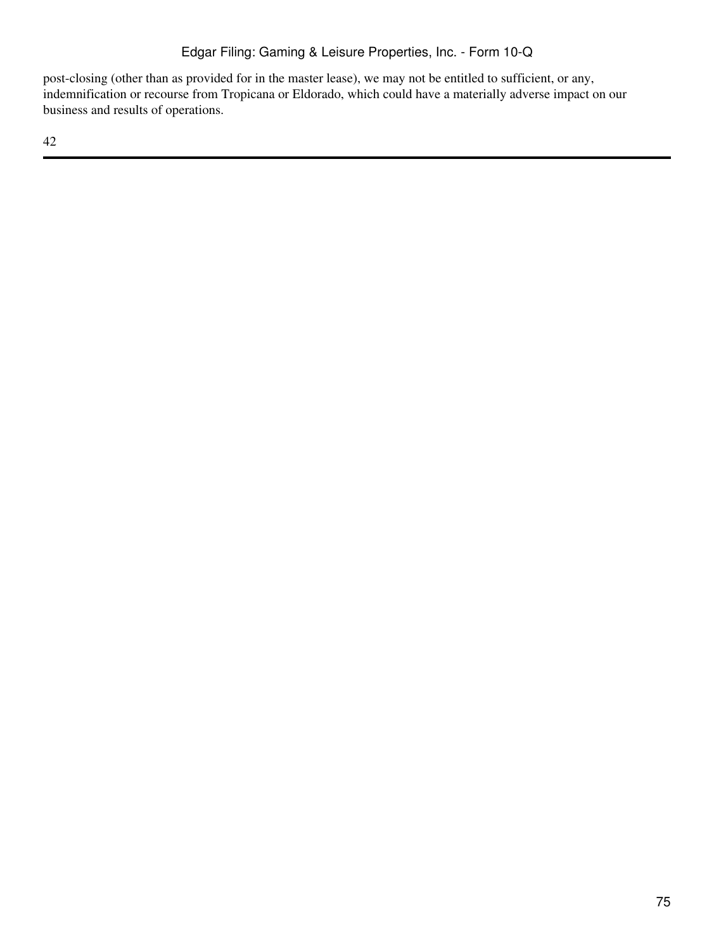post-closing (other than as provided for in the master lease), we may not be entitled to sufficient, or any, indemnification or recourse from Tropicana or Eldorado, which could have a materially adverse impact on our business and results of operations.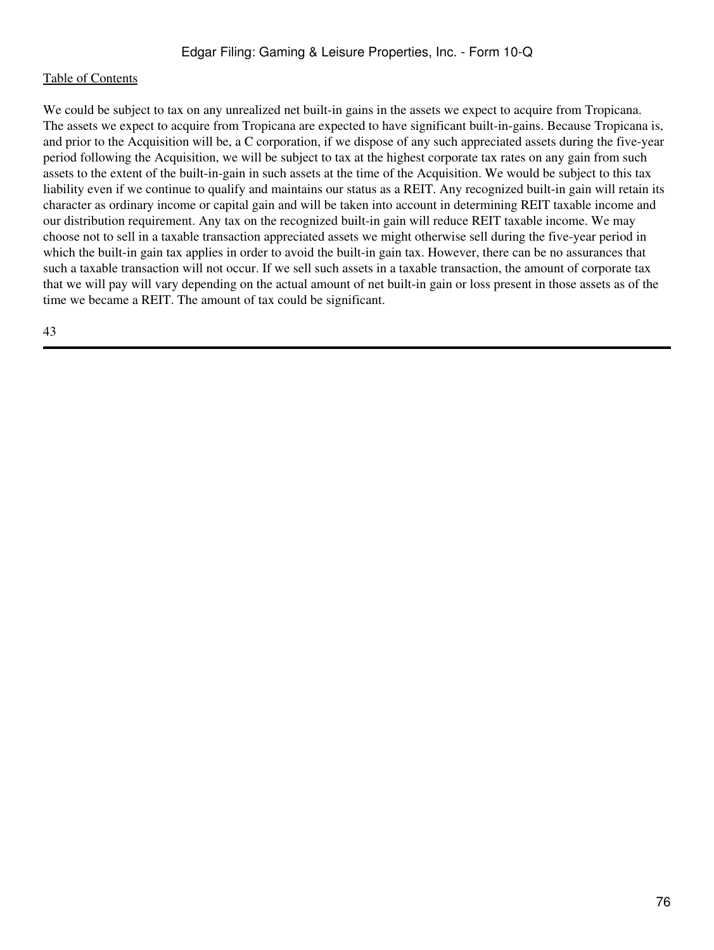We could be subject to tax on any unrealized net built-in gains in the assets we expect to acquire from Tropicana. The assets we expect to acquire from Tropicana are expected to have significant built-in-gains. Because Tropicana is, and prior to the Acquisition will be, a C corporation, if we dispose of any such appreciated assets during the five-year period following the Acquisition, we will be subject to tax at the highest corporate tax rates on any gain from such assets to the extent of the built-in-gain in such assets at the time of the Acquisition. We would be subject to this tax liability even if we continue to qualify and maintains our status as a REIT. Any recognized built-in gain will retain its character as ordinary income or capital gain and will be taken into account in determining REIT taxable income and our distribution requirement. Any tax on the recognized built-in gain will reduce REIT taxable income. We may choose not to sell in a taxable transaction appreciated assets we might otherwise sell during the five-year period in which the built-in gain tax applies in order to avoid the built-in gain tax. However, there can be no assurances that such a taxable transaction will not occur. If we sell such assets in a taxable transaction, the amount of corporate tax that we will pay will vary depending on the actual amount of net built-in gain or loss present in those assets as of the time we became a REIT. The amount of tax could be significant.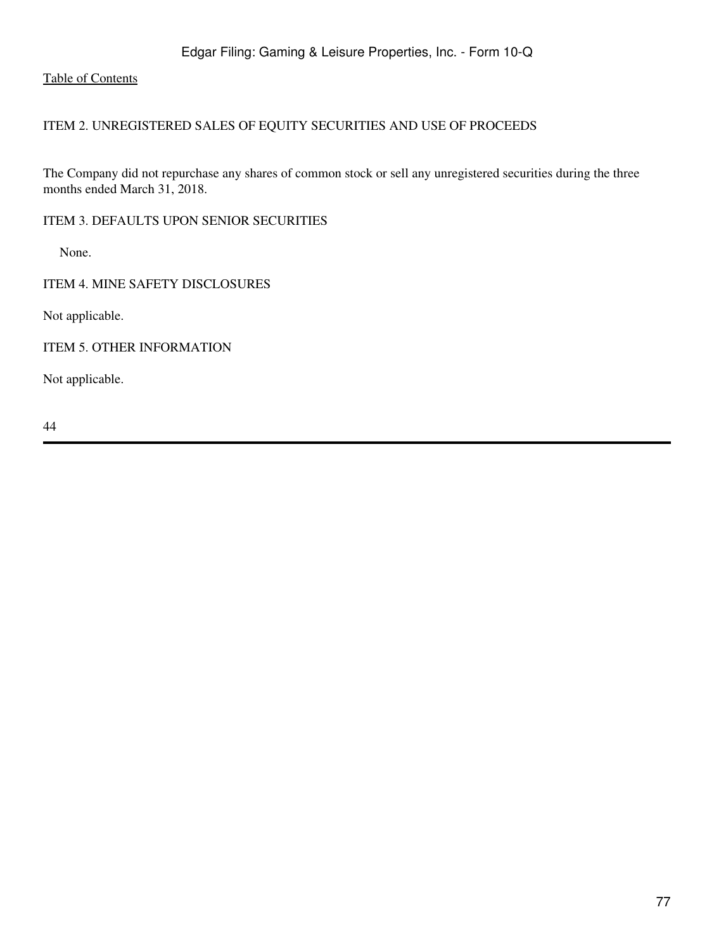## ITEM 2. UNREGISTERED SALES OF EQUITY SECURITIES AND USE OF PROCEEDS

The Company did not repurchase any shares of common stock or sell any unregistered securities during the three months ended March 31, 2018.

ITEM 3. DEFAULTS UPON SENIOR SECURITIES

None.

ITEM 4. MINE SAFETY DISCLOSURES

Not applicable.

ITEM 5. OTHER INFORMATION

Not applicable.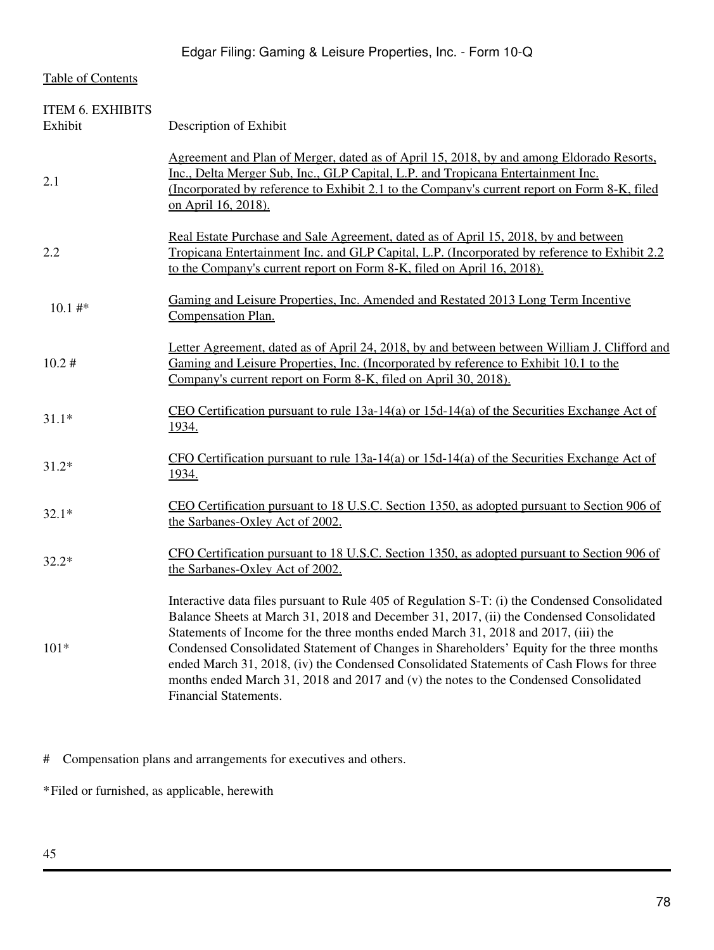| <b>ITEM 6. EXHIBITS</b><br>Exhibit | Description of Exhibit                                                                                                                                                                                                                                                                                                                                                                                                                                                                                                                                                                         |
|------------------------------------|------------------------------------------------------------------------------------------------------------------------------------------------------------------------------------------------------------------------------------------------------------------------------------------------------------------------------------------------------------------------------------------------------------------------------------------------------------------------------------------------------------------------------------------------------------------------------------------------|
| 2.1                                | Agreement and Plan of Merger, dated as of April 15, 2018, by and among Eldorado Resorts,<br>Inc., Delta Merger Sub, Inc., GLP Capital, L.P. and Tropicana Entertainment Inc.<br>(Incorporated by reference to Exhibit 2.1 to the Company's current report on Form 8-K, filed<br>on April 16, 2018).                                                                                                                                                                                                                                                                                            |
| 2.2                                | Real Estate Purchase and Sale Agreement, dated as of April 15, 2018, by and between<br>Tropicana Entertainment Inc. and GLP Capital, L.P. (Incorporated by reference to Exhibit 2.2)<br>to the Company's current report on Form 8-K, filed on April 16, 2018).                                                                                                                                                                                                                                                                                                                                 |
| 10.1#                              | Gaming and Leisure Properties, Inc. Amended and Restated 2013 Long Term Incentive<br>Compensation Plan.                                                                                                                                                                                                                                                                                                                                                                                                                                                                                        |
| 10.2#                              | Letter Agreement, dated as of April 24, 2018, by and between between William J. Clifford and<br>Gaming and Leisure Properties, Inc. (Incorporated by reference to Exhibit 10.1 to the<br>Company's current report on Form 8-K, filed on April 30, 2018).                                                                                                                                                                                                                                                                                                                                       |
| $31.1*$                            | CEO Certification pursuant to rule $13a-14(a)$ or $15d-14(a)$ of the Securities Exchange Act of<br>1934.                                                                                                                                                                                                                                                                                                                                                                                                                                                                                       |
| $31.2*$                            | CFO Certification pursuant to rule $13a-14(a)$ or $15d-14(a)$ of the Securities Exchange Act of<br><u>1934.</u>                                                                                                                                                                                                                                                                                                                                                                                                                                                                                |
| $32.1*$                            | CEO Certification pursuant to 18 U.S.C. Section 1350, as adopted pursuant to Section 906 of<br>the Sarbanes-Oxley Act of 2002.                                                                                                                                                                                                                                                                                                                                                                                                                                                                 |
| $32.2*$                            | CFO Certification pursuant to 18 U.S.C. Section 1350, as adopted pursuant to Section 906 of<br>the Sarbanes-Oxley Act of 2002.                                                                                                                                                                                                                                                                                                                                                                                                                                                                 |
| $101*$                             | Interactive data files pursuant to Rule 405 of Regulation S-T: (i) the Condensed Consolidated<br>Balance Sheets at March 31, 2018 and December 31, 2017, (ii) the Condensed Consolidated<br>Statements of Income for the three months ended March 31, 2018 and 2017, (iii) the<br>Condensed Consolidated Statement of Changes in Shareholders' Equity for the three months<br>ended March 31, 2018, (iv) the Condensed Consolidated Statements of Cash Flows for three<br>months ended March 31, 2018 and 2017 and (v) the notes to the Condensed Consolidated<br><b>Financial Statements.</b> |

# Compensation plans and arrangements for executives and others.

\*Filed or furnished, as applicable, herewith